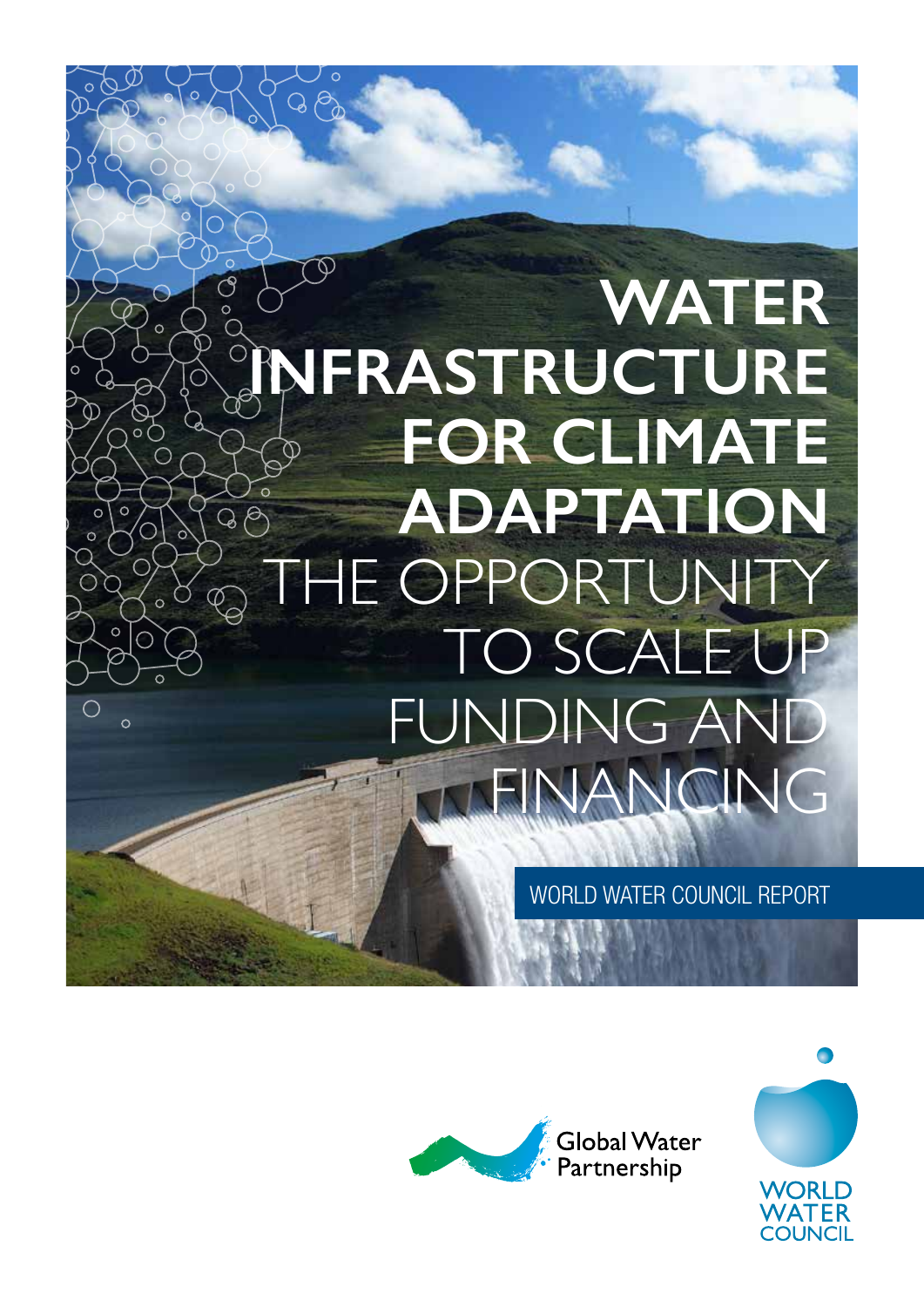## **WATER INFRASTRUCTURE FOR CLIMATE ADAPTATION**  $\beta$ E OPPORTUNI SCA NG A NGING

 $\mathcal{D}% _{T}=\mathcal{D}_{T}\!\left( a,b\right) ,\ \mathcal{D}_{T}=\mathcal{D}_{T}\!\left( a,b\right) ,$ 

J

 $\mathsf{Q}$ 

 $\phi$ 

 $\bigcirc$ 

 $\circ$ 

WORLD WATER COUNCIL REPORT



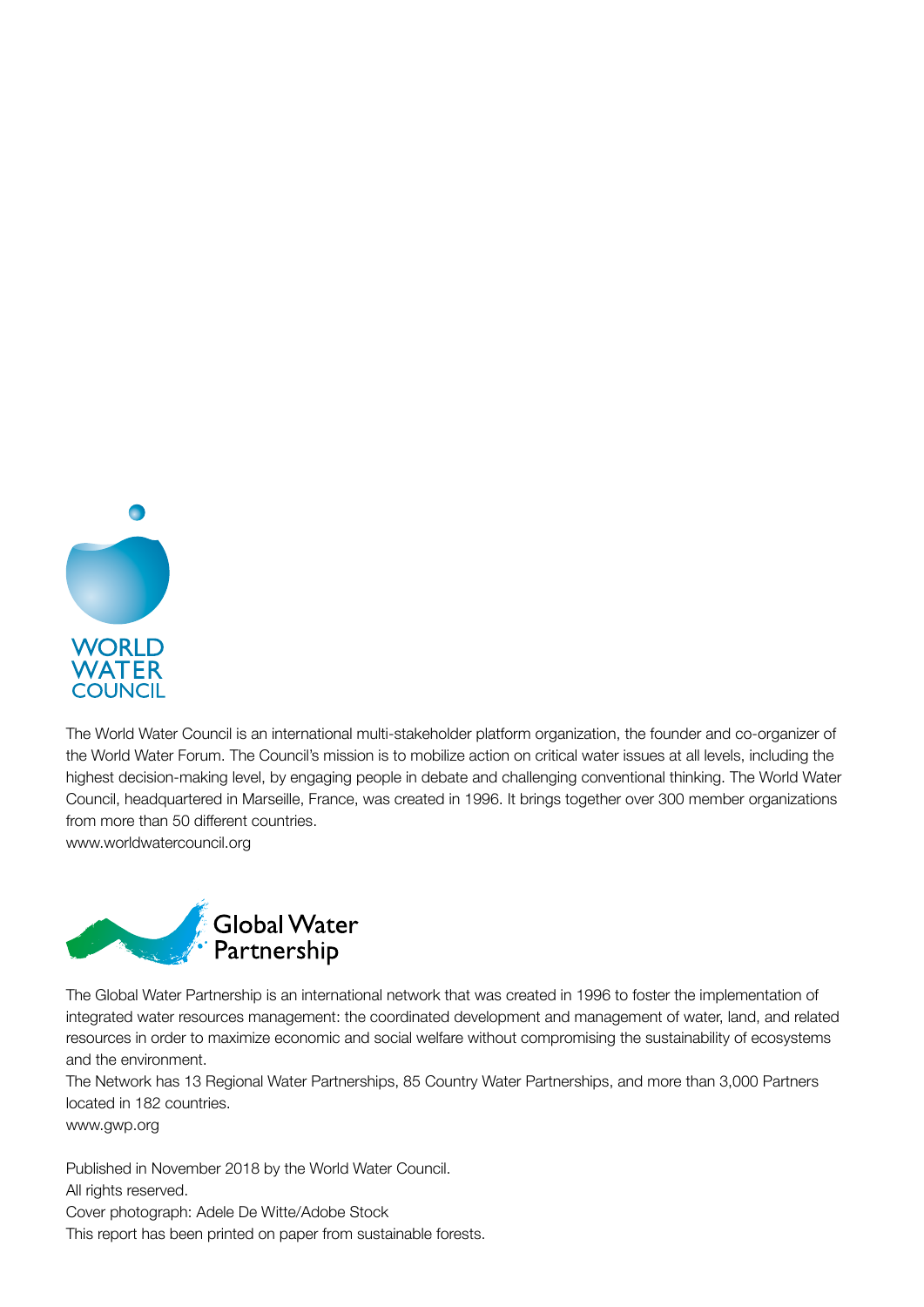

The World Water Council is an international multi-stakeholder platform organization, the founder and co-organizer of the World Water Forum. The Council's mission is to mobilize action on critical water issues at all levels, including the highest decision-making level, by engaging people in debate and challenging conventional thinking. The World Water Council, headquartered in Marseille, France, was created in 1996. It brings together over 300 member organizations from more than 50 different countries.

www.worldwatercouncil.org



The Global Water Partnership is an international network that was created in 1996 to foster the implementation of integrated water resources management: the coordinated development and management of water, land, and related resources in order to maximize economic and social welfare without compromising the sustainability of ecosystems and the environment.

The Network has 13 Regional Water Partnerships, 85 Country Water Partnerships, and more than 3,000 Partners located in 182 countries.

www.gwp.org

Published in November 2018 by the World Water Council. All rights reserved. Cover photograph: Adele De Witte/Adobe Stock This report has been printed on paper from sustainable forests.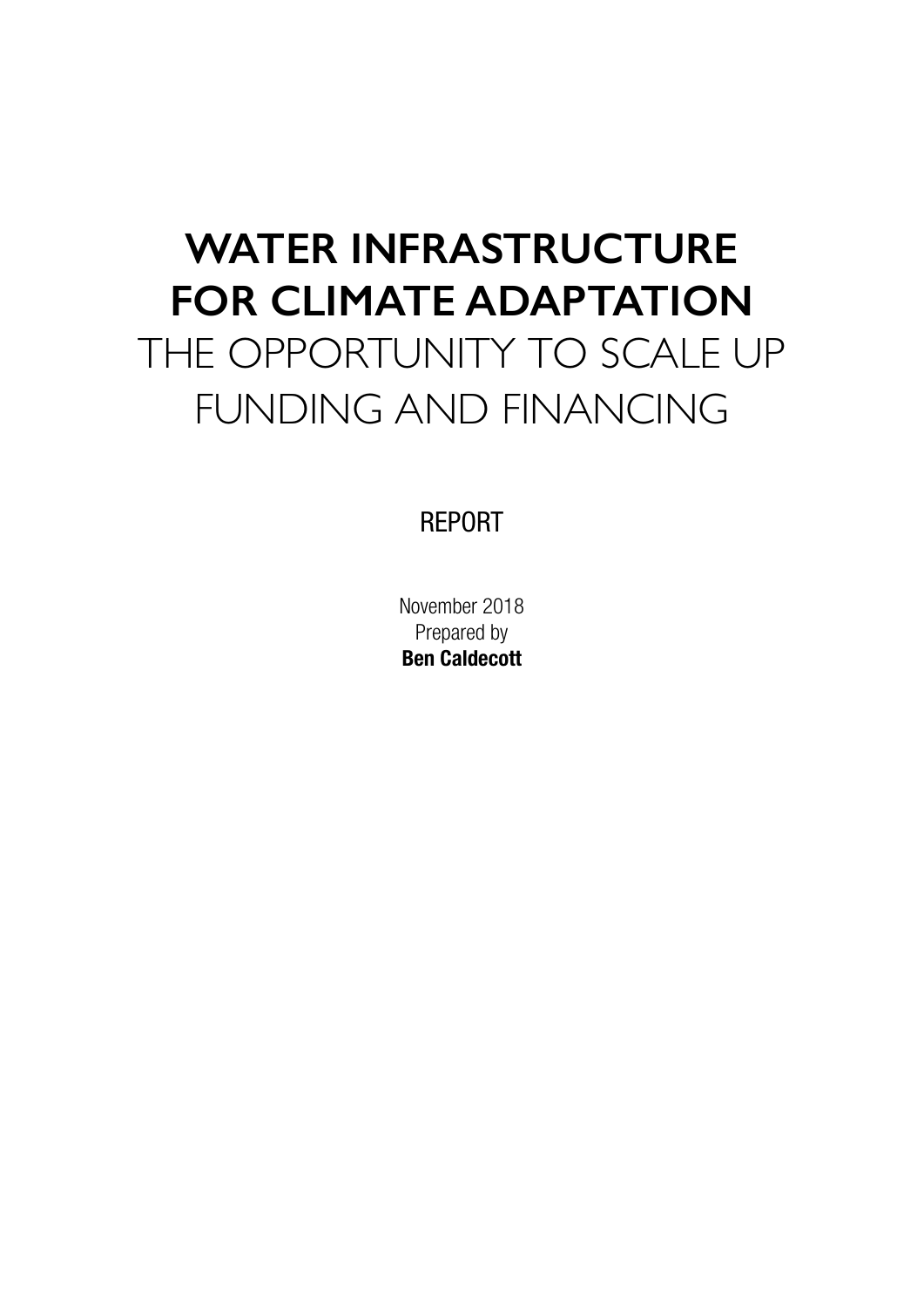## **WATER INFRASTRUCTURE FOR CLIMATE ADAPTATION** THE OPPORTUNITY TO SCALE UP FUNDING AND FINANCING

### REPORT

November 2018 Prepared by **Ben Caldecott**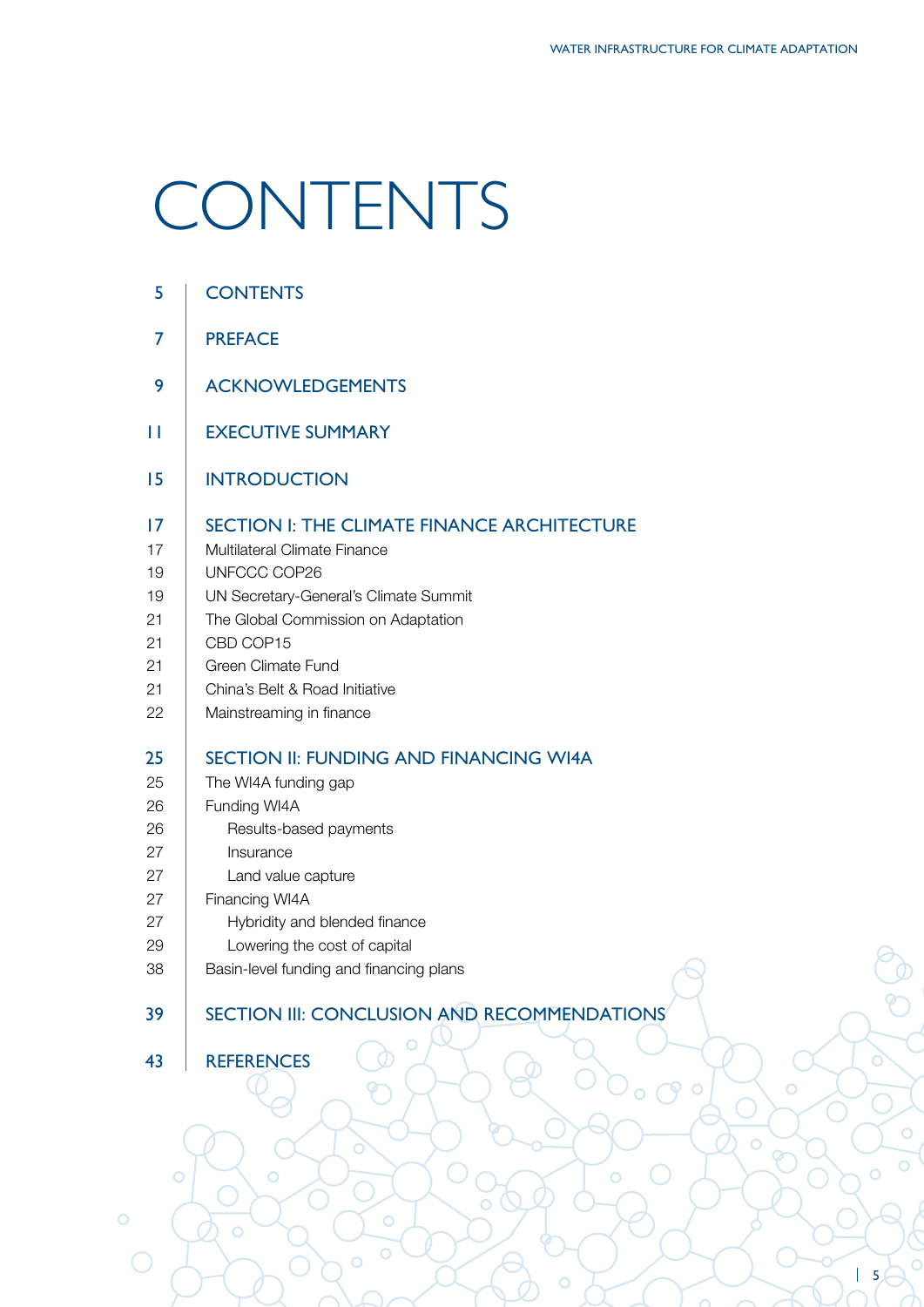# CONTENTS

 $\overline{O}$ 

 $\circ$ 

 $\circ$ 

| 5  | <b>CONTENTS</b>                                    |
|----|----------------------------------------------------|
| 7  | <b>PREFACE</b>                                     |
| 9  | <b>ACKNOWLEDGEMENTS</b>                            |
| П  | <b>EXECUTIVE SUMMARY</b>                           |
| 15 | <b>INTRODUCTION</b>                                |
| 17 | <b>SECTION I: THE CLIMATE FINANCE ARCHITECTURE</b> |
| 17 | Multilateral Climate Finance                       |
| 19 | UNFCCC COP26                                       |
| 19 | UN Secretary-General's Climate Summit              |
| 21 | The Global Commission on Adaptation                |
| 21 | CBD COP15                                          |
| 21 | Green Climate Fund                                 |
| 21 | China's Belt & Road Initiative                     |
| 22 | Mainstreaming in finance                           |
| 25 | <b>SECTION II: FUNDING AND FINANCING WI4A</b>      |
| 25 | The WI4A funding gap                               |
| 26 | Funding WI4A                                       |
| 26 | Results-based payments                             |
| 27 | Insurance                                          |
| 27 | Land value capture                                 |
| 27 | Financing WI4A                                     |
| 27 | Hybridity and blended finance                      |
| 29 | Lowering the cost of capital                       |
| 38 | Basin-level funding and financing plans            |
| 39 | SECTION III: CONCLUSION AND RECOMMENDATIONS        |
| 43 | <b>REFERENCES</b><br>$\bigcirc$                    |
|    |                                                    |

 $\overline{O}$ 

 $\circ$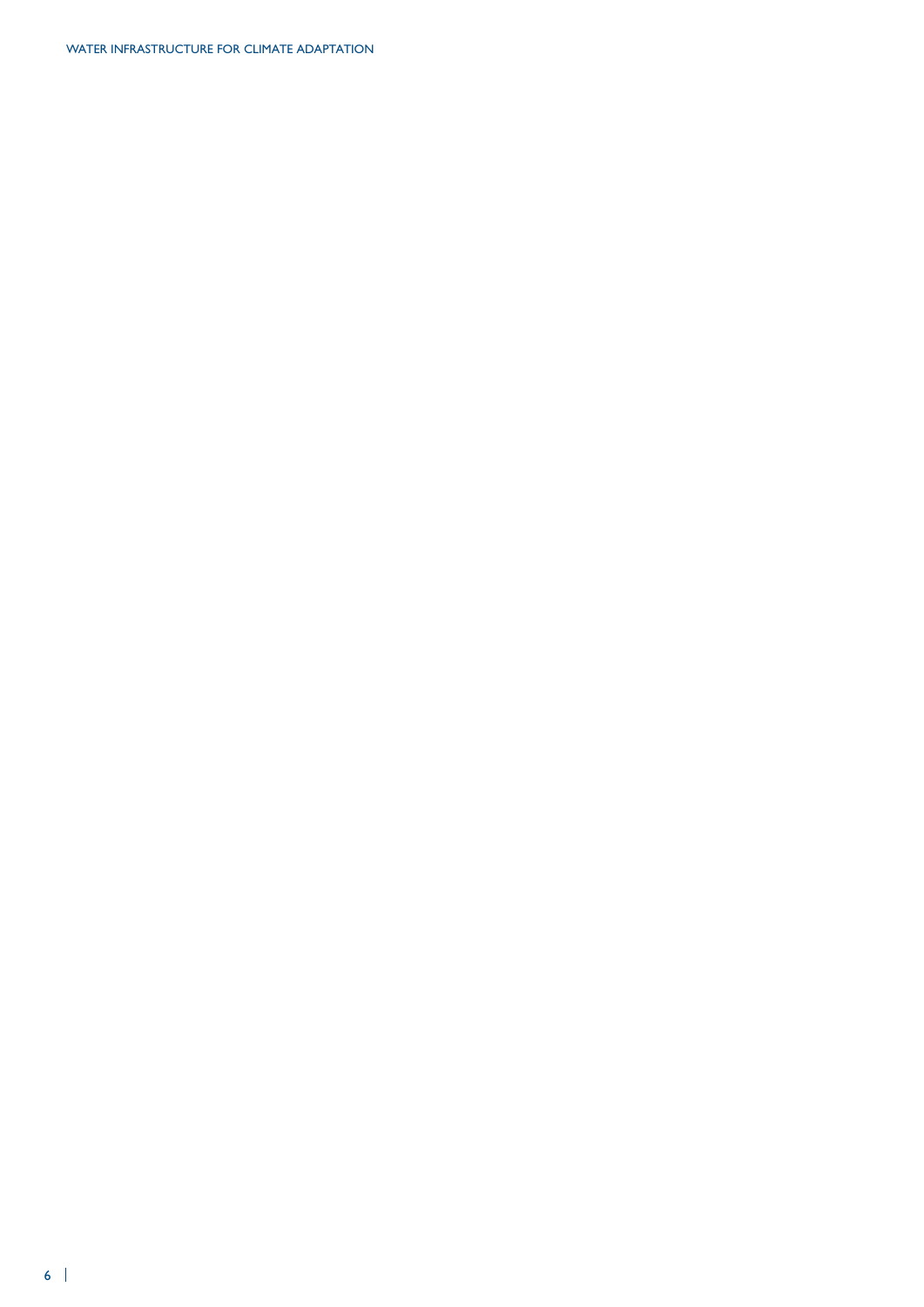WATER INFRASTRUCTURE FOR CLIMATE ADAPTATION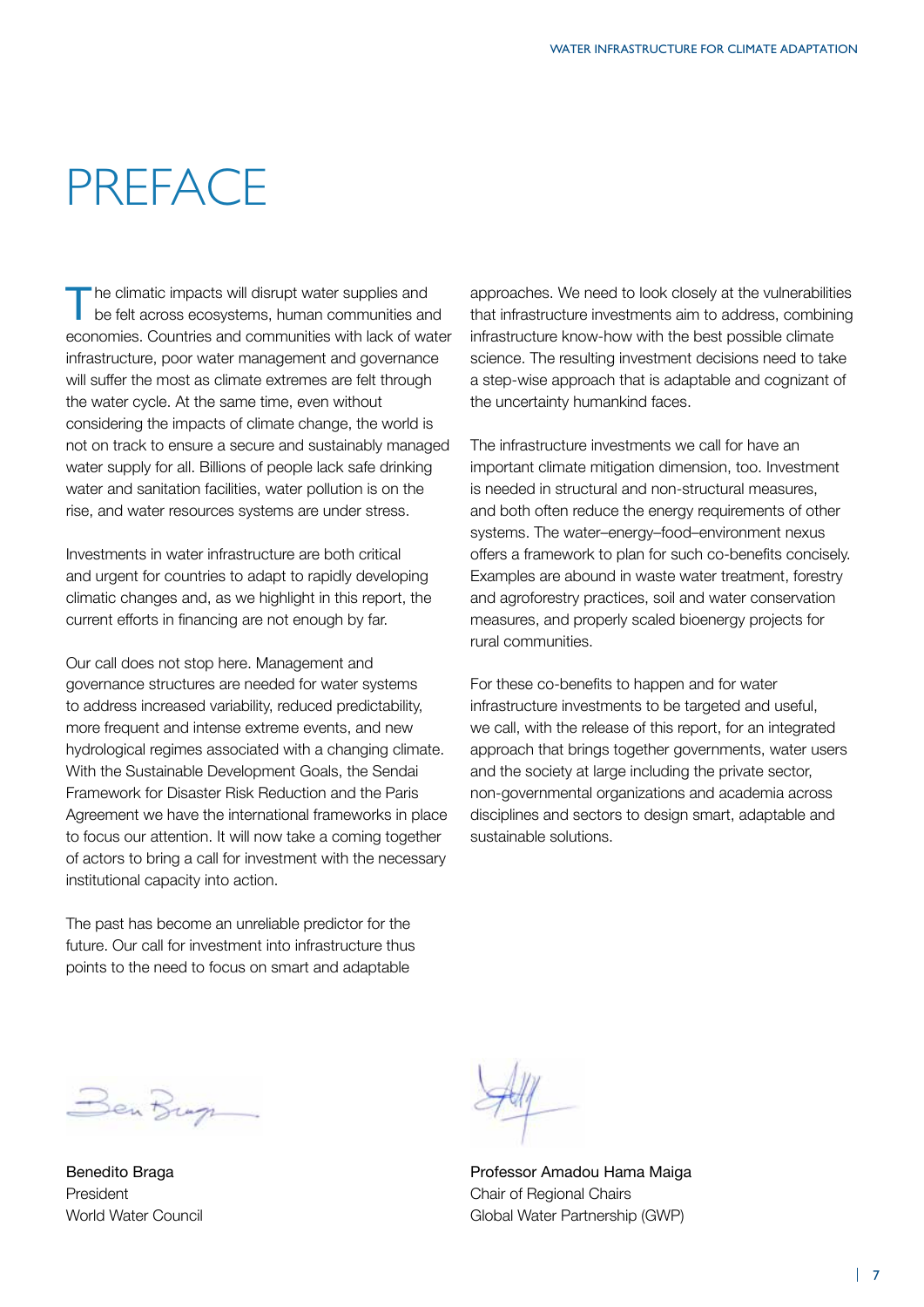## PREFACE

The climatic impacts will disrupt water supplies and<br>be felt across ecosystems, human communities and<br>proporcing Countries and proporciation with lack of unter economies. Countries and communities with lack of water infrastructure, poor water management and governance will suffer the most as climate extremes are felt through the water cycle. At the same time, even without considering the impacts of climate change, the world is not on track to ensure a secure and sustainably managed water supply for all. Billions of people lack safe drinking water and sanitation facilities, water pollution is on the rise, and water resources systems are under stress.

Investments in water infrastructure are both critical and urgent for countries to adapt to rapidly developing climatic changes and, as we highlight in this report, the current efforts in financing are not enough by far.

Our call does not stop here. Management and governance structures are needed for water systems to address increased variability, reduced predictability, more frequent and intense extreme events, and new hydrological regimes associated with a changing climate. With the Sustainable Development Goals, the Sendai Framework for Disaster Risk Reduction and the Paris Agreement we have the international frameworks in place to focus our attention. It will now take a coming together of actors to bring a call for investment with the necessary institutional capacity into action.

The past has become an unreliable predictor for the future. Our call for investment into infrastructure thus points to the need to focus on smart and adaptable

approaches. We need to look closely at the vulnerabilities that infrastructure investments aim to address, combining infrastructure know-how with the best possible climate science. The resulting investment decisions need to take a step-wise approach that is adaptable and cognizant of the uncertainty humankind faces.

The infrastructure investments we call for have an important climate mitigation dimension, too. Investment is needed in structural and non-structural measures, and both often reduce the energy requirements of other systems. The water–energy–food–environment nexus offers a framework to plan for such co-benefits concisely. Examples are abound in waste water treatment, forestry and agroforestry practices, soil and water conservation measures, and properly scaled bioenergy projects for rural communities.

For these co-benefits to happen and for water infrastructure investments to be targeted and useful, we call, with the release of this report, for an integrated approach that brings together governments, water users and the society at large including the private sector, non-governmental organizations and academia across disciplines and sectors to design smart, adaptable and sustainable solutions.

Benfug

Benedito Braga President World Water Council

Professor Amadou Hama Maiga Chair of Regional Chairs Global Water Partnership (GWP)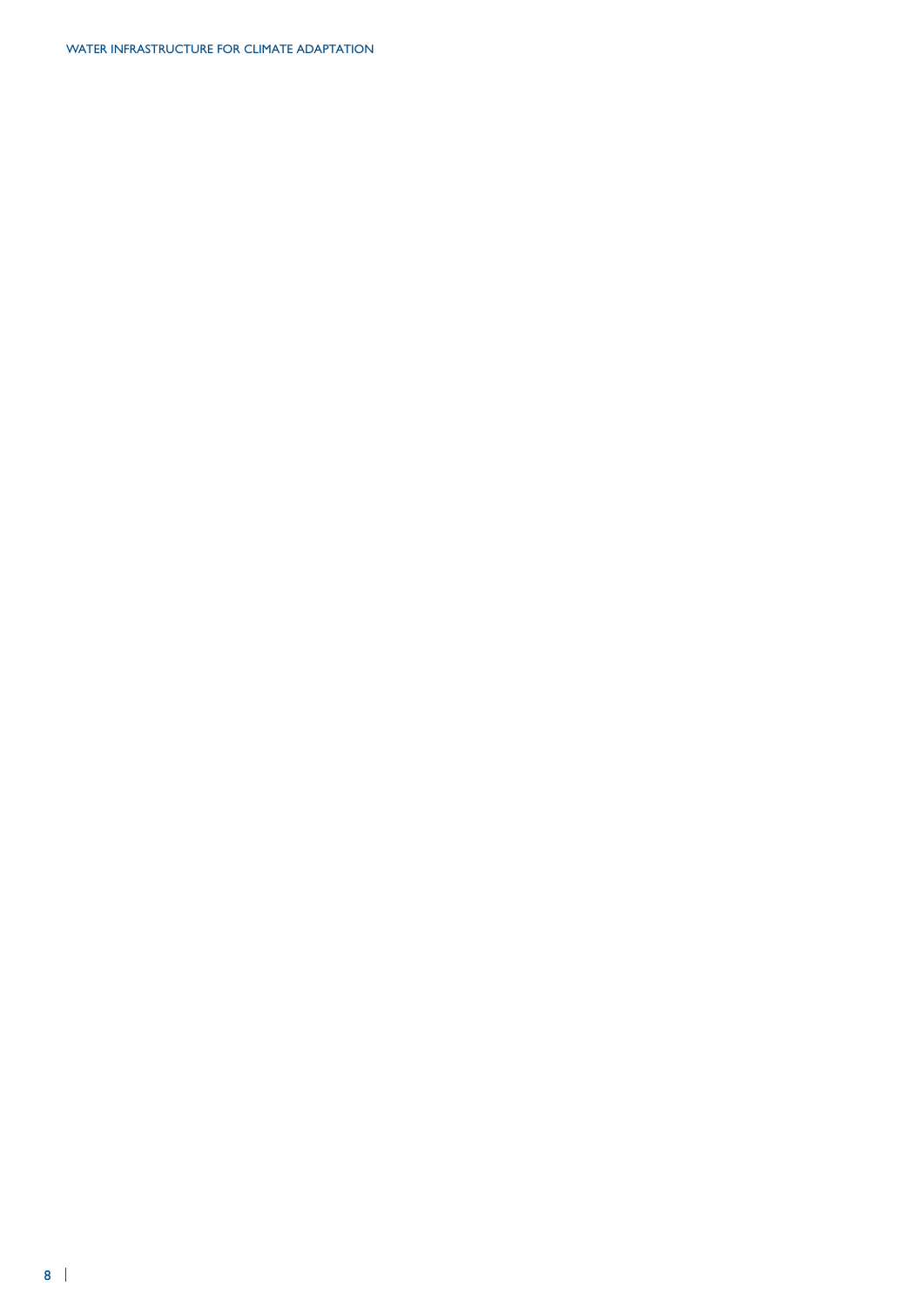WATER INFRASTRUCTURE FOR CLIMATE ADAPTATION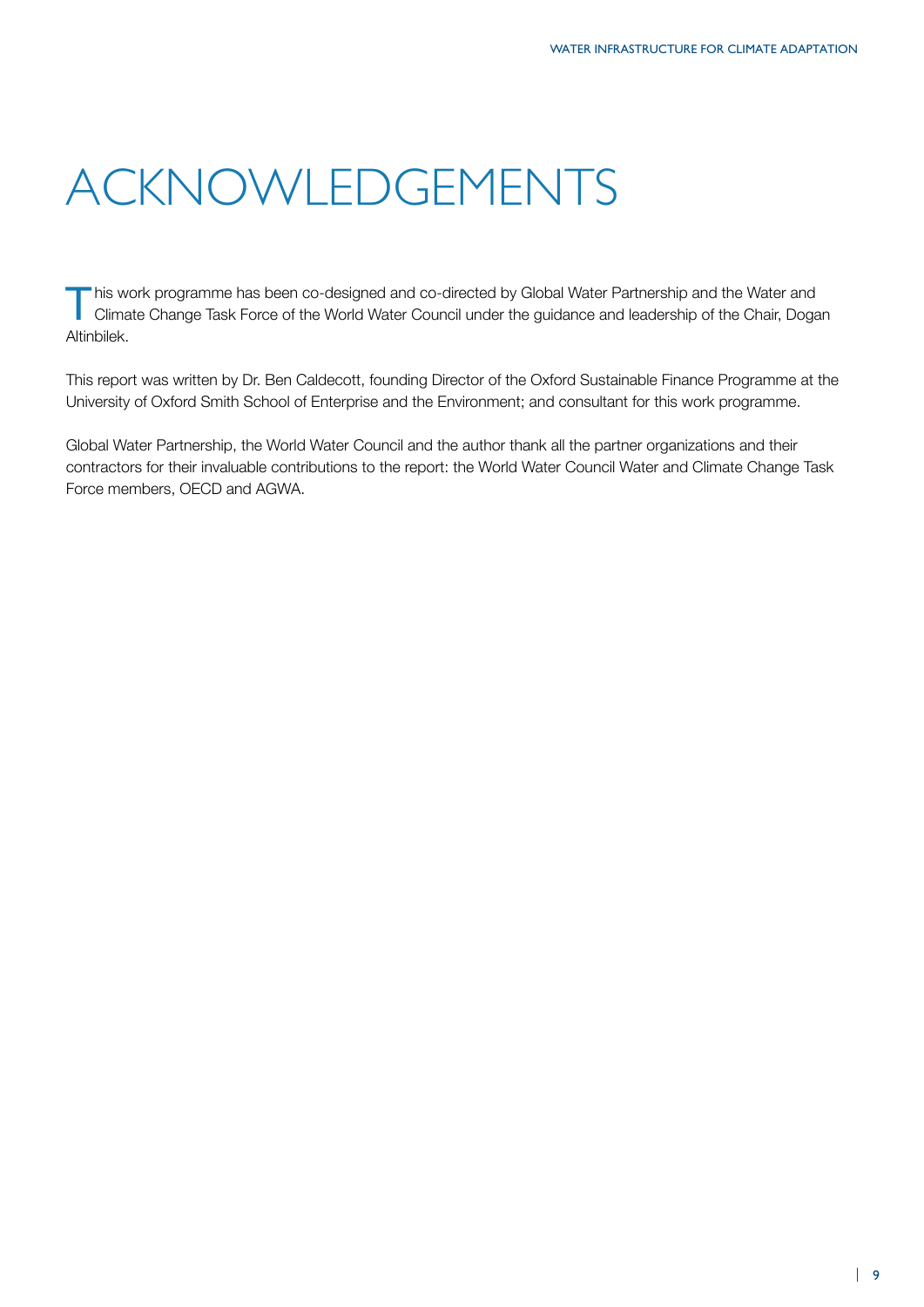## ACKNOWLEDGEMENTS

This work programme has been co-designed and co-directed by Global Water Partnership and the Water and Climate Change Task Force of the World Water Council under the guidance and leadership of the Chair, Dogan Altinbilek.

This report was written by Dr. Ben Caldecott, founding Director of the Oxford Sustainable Finance Programme at the University of Oxford Smith School of Enterprise and the Environment; and consultant for this work programme.

Global Water Partnership, the World Water Council and the author thank all the partner organizations and their contractors for their invaluable contributions to the report: the World Water Council Water and Climate Change Task Force members, OECD and AGWA.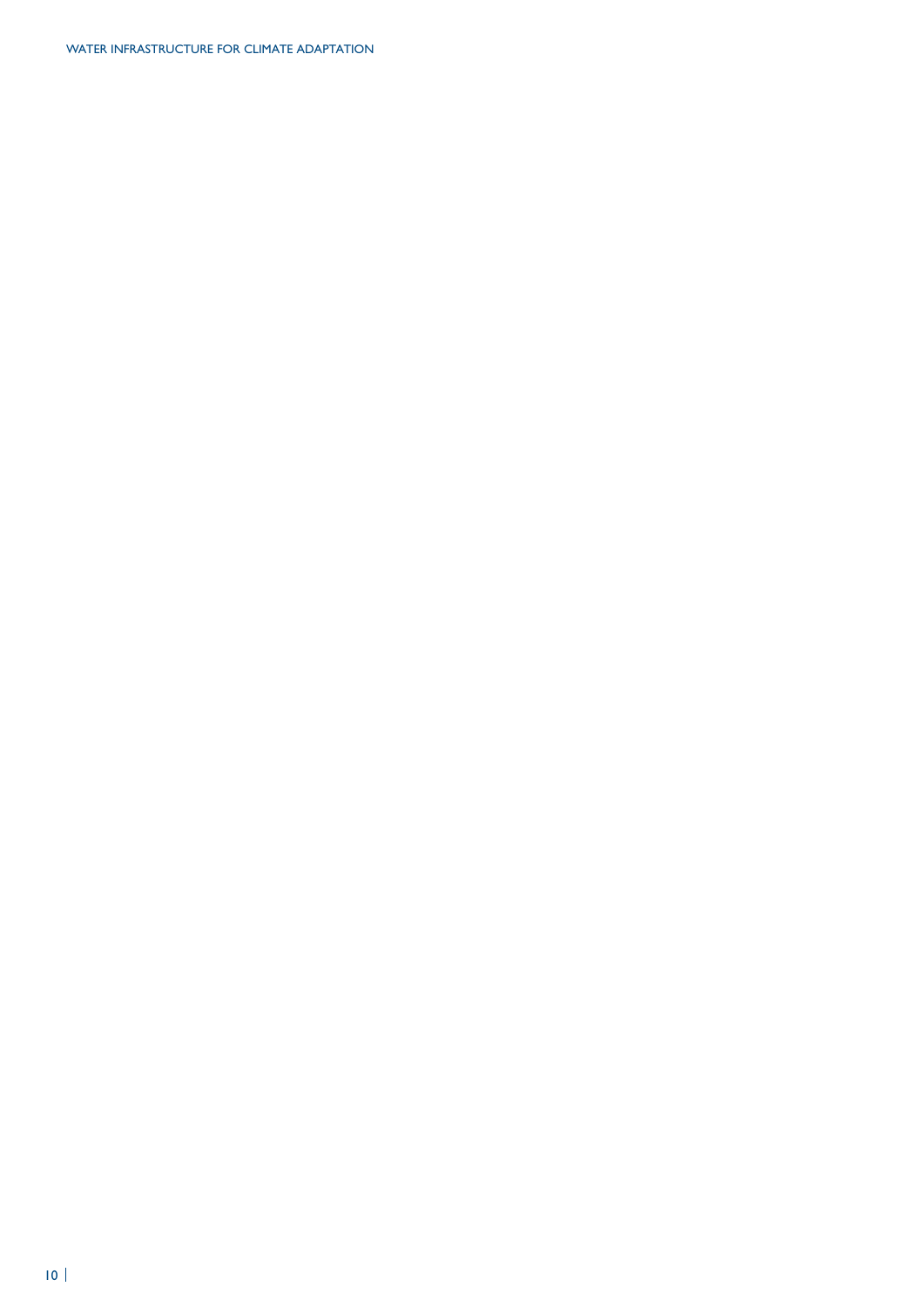WATER INFRASTRUCTURE FOR CLIMATE ADAPTATION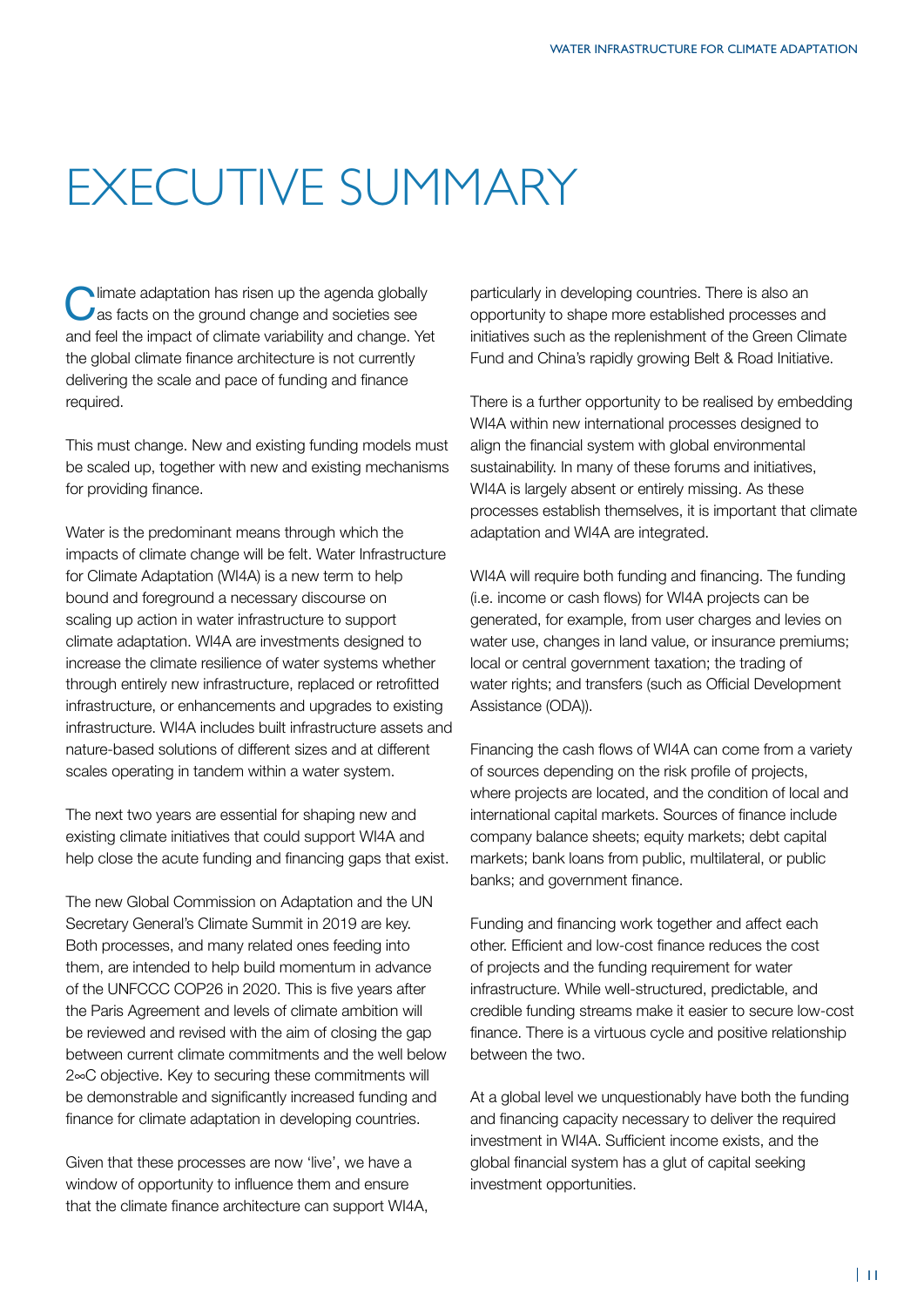## EXECUTIVE SUMMARY

Climate adaptation has risen up the agenda globally<br>as facts on the ground change and societies see and feel the impact of climate variability and change. Yet the global climate finance architecture is not currently delivering the scale and pace of funding and finance required.

This must change. New and existing funding models must be scaled up, together with new and existing mechanisms for providing finance.

Water is the predominant means through which the impacts of climate change will be felt. Water Infrastructure for Climate Adaptation (WI4A) is a new term to help bound and foreground a necessary discourse on scaling up action in water infrastructure to support climate adaptation. WI4A are investments designed to increase the climate resilience of water systems whether through entirely new infrastructure, replaced or retrofitted infrastructure, or enhancements and upgrades to existing infrastructure. WI4A includes built infrastructure assets and nature-based solutions of different sizes and at different scales operating in tandem within a water system.

The next two years are essential for shaping new and existing climate initiatives that could support WI4A and help close the acute funding and financing gaps that exist.

The new Global Commission on Adaptation and the UN Secretary General's Climate Summit in 2019 are key. Both processes, and many related ones feeding into them, are intended to help build momentum in advance of the UNFCCC COP26 in 2020. This is five years after the Paris Agreement and levels of climate ambition will be reviewed and revised with the aim of closing the gap between current climate commitments and the well below 2∞C objective. Key to securing these commitments will be demonstrable and significantly increased funding and finance for climate adaptation in developing countries.

Given that these processes are now 'live', we have a window of opportunity to influence them and ensure that the climate finance architecture can support WI4A, particularly in developing countries. There is also an opportunity to shape more established processes and initiatives such as the replenishment of the Green Climate Fund and China's rapidly growing Belt & Road Initiative.

There is a further opportunity to be realised by embedding WI4A within new international processes designed to align the financial system with global environmental sustainability. In many of these forums and initiatives, WI4A is largely absent or entirely missing. As these processes establish themselves, it is important that climate adaptation and WI4A are integrated.

WI4A will require both funding and financing. The funding (i.e. income or cash flows) for WI4A projects can be generated, for example, from user charges and levies on water use, changes in land value, or insurance premiums; local or central government taxation; the trading of water rights; and transfers (such as Official Development Assistance (ODA)).

Financing the cash flows of WI4A can come from a variety of sources depending on the risk profile of projects, where projects are located, and the condition of local and international capital markets. Sources of finance include company balance sheets; equity markets; debt capital markets; bank loans from public, multilateral, or public banks; and government finance.

Funding and financing work together and affect each other. Efficient and low-cost finance reduces the cost of projects and the funding requirement for water infrastructure. While well-structured, predictable, and credible funding streams make it easier to secure low-cost finance. There is a virtuous cycle and positive relationship between the two.

At a global level we unquestionably have both the funding and financing capacity necessary to deliver the required investment in WI4A. Sufficient income exists, and the global financial system has a glut of capital seeking investment opportunities.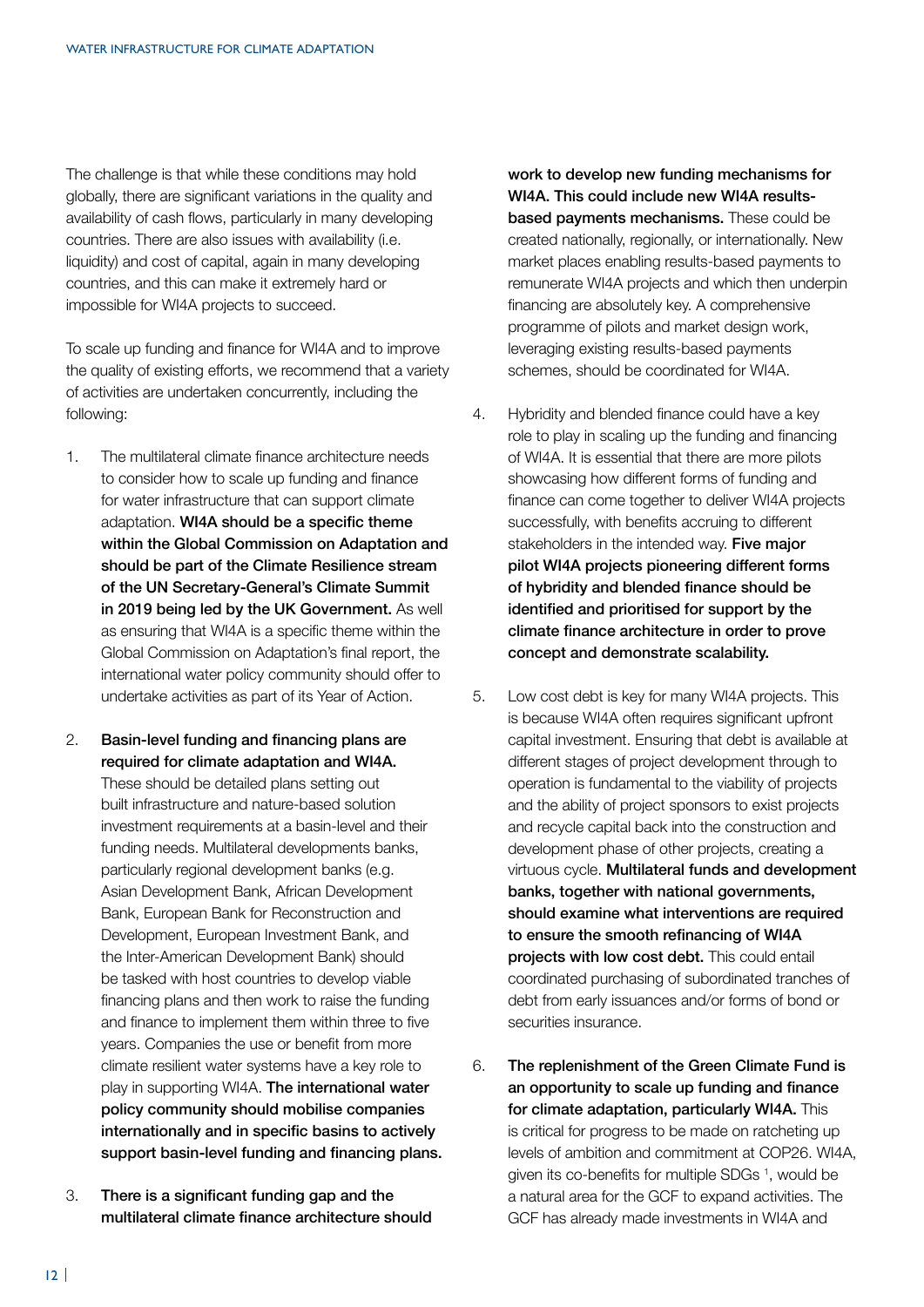The challenge is that while these conditions may hold globally, there are significant variations in the quality and availability of cash flows, particularly in many developing countries. There are also issues with availability (i.e. liquidity) and cost of capital, again in many developing countries, and this can make it extremely hard or impossible for WI4A projects to succeed.

To scale up funding and finance for WI4A and to improve the quality of existing efforts, we recommend that a variety of activities are undertaken concurrently, including the following:

- 1. The multilateral climate finance architecture needs to consider how to scale up funding and finance for water infrastructure that can support climate adaptation. WI4A should be a specific theme within the Global Commission on Adaptation and should be part of the Climate Resilience stream of the UN Secretary-General's Climate Summit in 2019 being led by the UK Government. As well as ensuring that WI4A is a specific theme within the Global Commission on Adaptation's final report, the international water policy community should offer to undertake activities as part of its Year of Action.
- 2. Basin-level funding and financing plans are required for climate adaptation and WI4A. These should be detailed plans setting out built infrastructure and nature-based solution investment requirements at a basin-level and their funding needs. Multilateral developments banks, particularly regional development banks (e.g. Asian Development Bank, African Development Bank, European Bank for Reconstruction and Development, European Investment Bank, and the Inter-American Development Bank) should be tasked with host countries to develop viable financing plans and then work to raise the funding and finance to implement them within three to five years. Companies the use or benefit from more climate resilient water systems have a key role to play in supporting WI4A. The international water policy community should mobilise companies internationally and in specific basins to actively support basin-level funding and financing plans.
- 3. There is a significant funding gap and the multilateral climate finance architecture should

work to develop new funding mechanisms for WI4A. This could include new WI4A results**based payments mechanisms.** These could be created nationally, regionally, or internationally. New market places enabling results-based payments to remunerate WI4A projects and which then underpin financing are absolutely key. A comprehensive programme of pilots and market design work, leveraging existing results-based payments schemes, should be coordinated for WI4A.

- 4. Hybridity and blended finance could have a key role to play in scaling up the funding and financing of WI4A. It is essential that there are more pilots showcasing how different forms of funding and finance can come together to deliver WI4A projects successfully, with benefits accruing to different stakeholders in the intended way. Five major pilot WI4A projects pioneering different forms of hybridity and blended finance should be identified and prioritised for support by the climate finance architecture in order to prove concept and demonstrate scalability.
- 5. Low cost debt is key for many WI4A projects. This is because WI4A often requires significant upfront capital investment. Ensuring that debt is available at different stages of project development through to operation is fundamental to the viability of projects and the ability of project sponsors to exist projects and recycle capital back into the construction and development phase of other projects, creating a virtuous cycle. Multilateral funds and development banks, together with national governments, should examine what interventions are required to ensure the smooth refinancing of WI4A projects with low cost debt. This could entail coordinated purchasing of subordinated tranches of debt from early issuances and/or forms of bond or securities insurance.
- 6. The replenishment of the Green Climate Fund is an opportunity to scale up funding and finance for climate adaptation, particularly WI4A. This is critical for progress to be made on ratcheting up levels of ambition and commitment at COP26. WI4A, given its co-benefits for multiple SDGs<sup>1</sup>, would be a natural area for the GCF to expand activities. The GCF has already made investments in WI4A and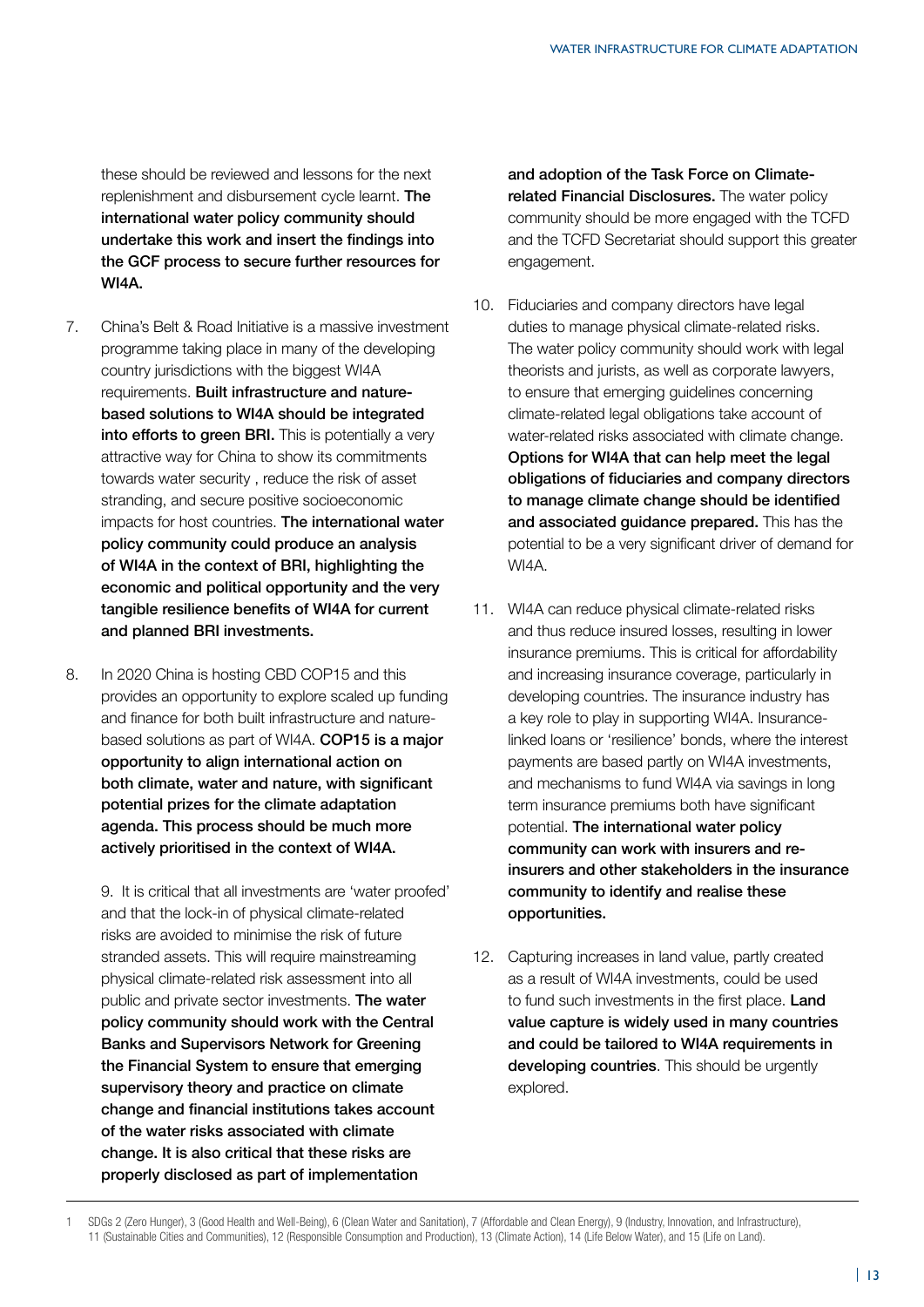these should be reviewed and lessons for the next replenishment and disbursement cycle learnt. The international water policy community should undertake this work and insert the findings into the GCF process to secure further resources for WI4A.

- 7. China's Belt & Road Initiative is a massive investment programme taking place in many of the developing country jurisdictions with the biggest WI4A requirements. Built infrastructure and naturebased solutions to WI4A should be integrated into efforts to green BRI. This is potentially a very attractive way for China to show its commitments towards water security , reduce the risk of asset stranding, and secure positive socioeconomic impacts for host countries. The international water policy community could produce an analysis of WI4A in the context of BRI, highlighting the economic and political opportunity and the very tangible resilience benefits of WI4A for current and planned BRI investments.
- 8. In 2020 China is hosting CBD COP15 and this provides an opportunity to explore scaled up funding and finance for both built infrastructure and naturebased solutions as part of WI4A. COP15 is a major opportunity to align international action on both climate, water and nature, with significant potential prizes for the climate adaptation agenda. This process should be much more actively prioritised in the context of WI4A.

9. It is critical that all investments are 'water proofed' and that the lock-in of physical climate-related risks are avoided to minimise the risk of future stranded assets. This will require mainstreaming physical climate-related risk assessment into all public and private sector investments. The water policy community should work with the Central Banks and Supervisors Network for Greening the Financial System to ensure that emerging supervisory theory and practice on climate change and financial institutions takes account of the water risks associated with climate change. It is also critical that these risks are properly disclosed as part of implementation

and adoption of the Task Force on Climaterelated Financial Disclosures. The water policy community should be more engaged with the TCFD and the TCFD Secretariat should support this greater engagement.

- 10. Fiduciaries and company directors have legal duties to manage physical climate-related risks. The water policy community should work with legal theorists and jurists, as well as corporate lawyers, to ensure that emerging guidelines concerning climate-related legal obligations take account of water-related risks associated with climate change. Options for WI4A that can help meet the legal obligations of fiduciaries and company directors to manage climate change should be identified and associated quidance prepared. This has the potential to be a very significant driver of demand for WI4A.
- 11. WI4A can reduce physical climate-related risks and thus reduce insured losses, resulting in lower insurance premiums. This is critical for affordability and increasing insurance coverage, particularly in developing countries. The insurance industry has a key role to play in supporting WI4A. Insurancelinked loans or 'resilience' bonds, where the interest payments are based partly on WI4A investments, and mechanisms to fund WI4A via savings in long term insurance premiums both have significant potential. The international water policy community can work with insurers and reinsurers and other stakeholders in the insurance community to identify and realise these opportunities.
- 12. Capturing increases in land value, partly created as a result of WI4A investments, could be used to fund such investments in the first place. Land value capture is widely used in many countries and could be tailored to WI4A requirements in developing countries. This should be urgently explored.

1 SDGs 2 (Zero Hunger), 3 (Good Health and Well-Being), 6 (Clean Water and Sanitation), 7 (Affordable and Clean Energy), 9 (Industry, Innovation, and Infrastructure), 11 (Sustainable Cities and Communities), 12 (Responsible Consumption and Production), 13 (Climate Action), 14 (Life Below Water), and 15 (Life on Land).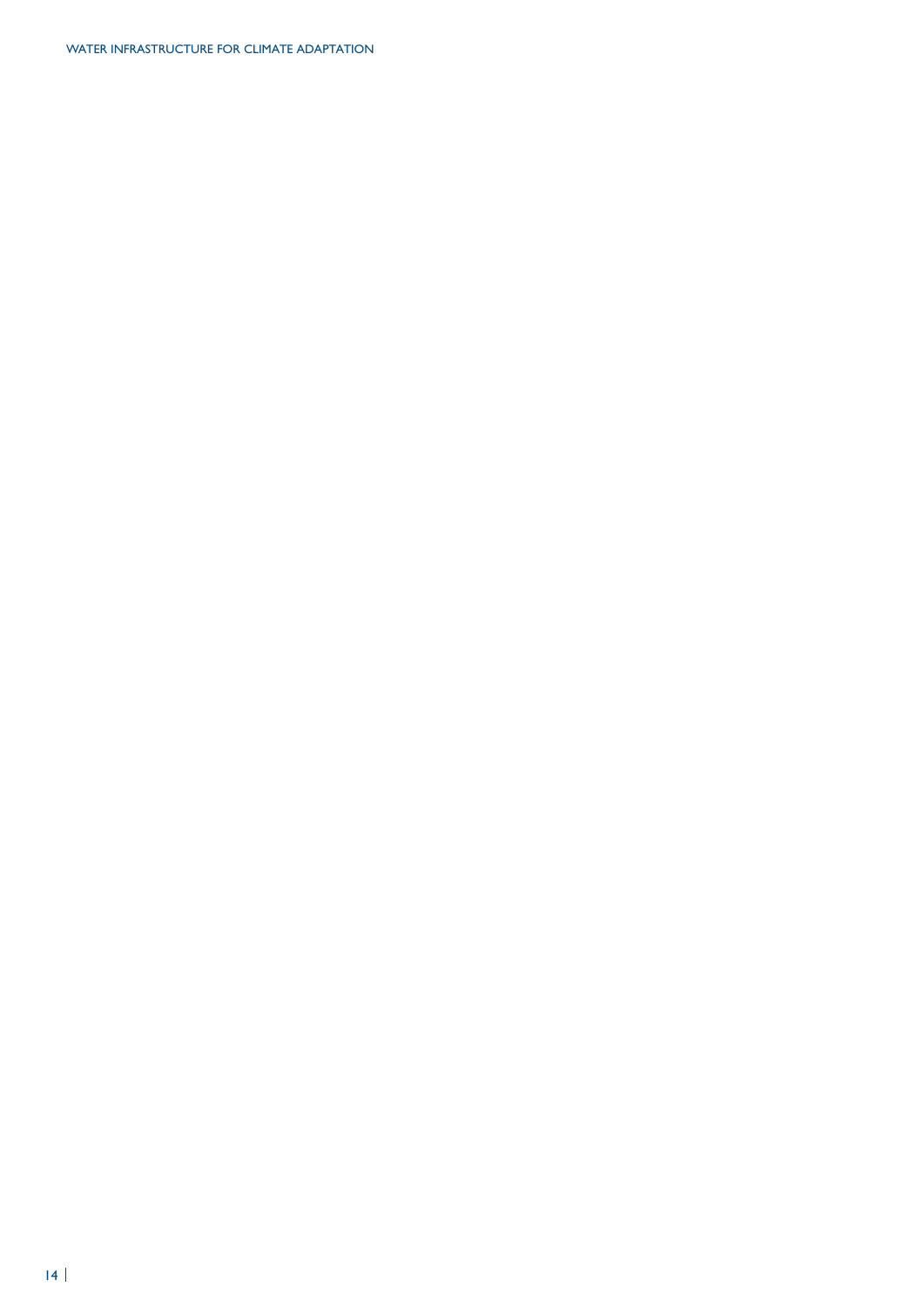WATER INFRASTRUCTURE FOR CLIMATE ADAPTATION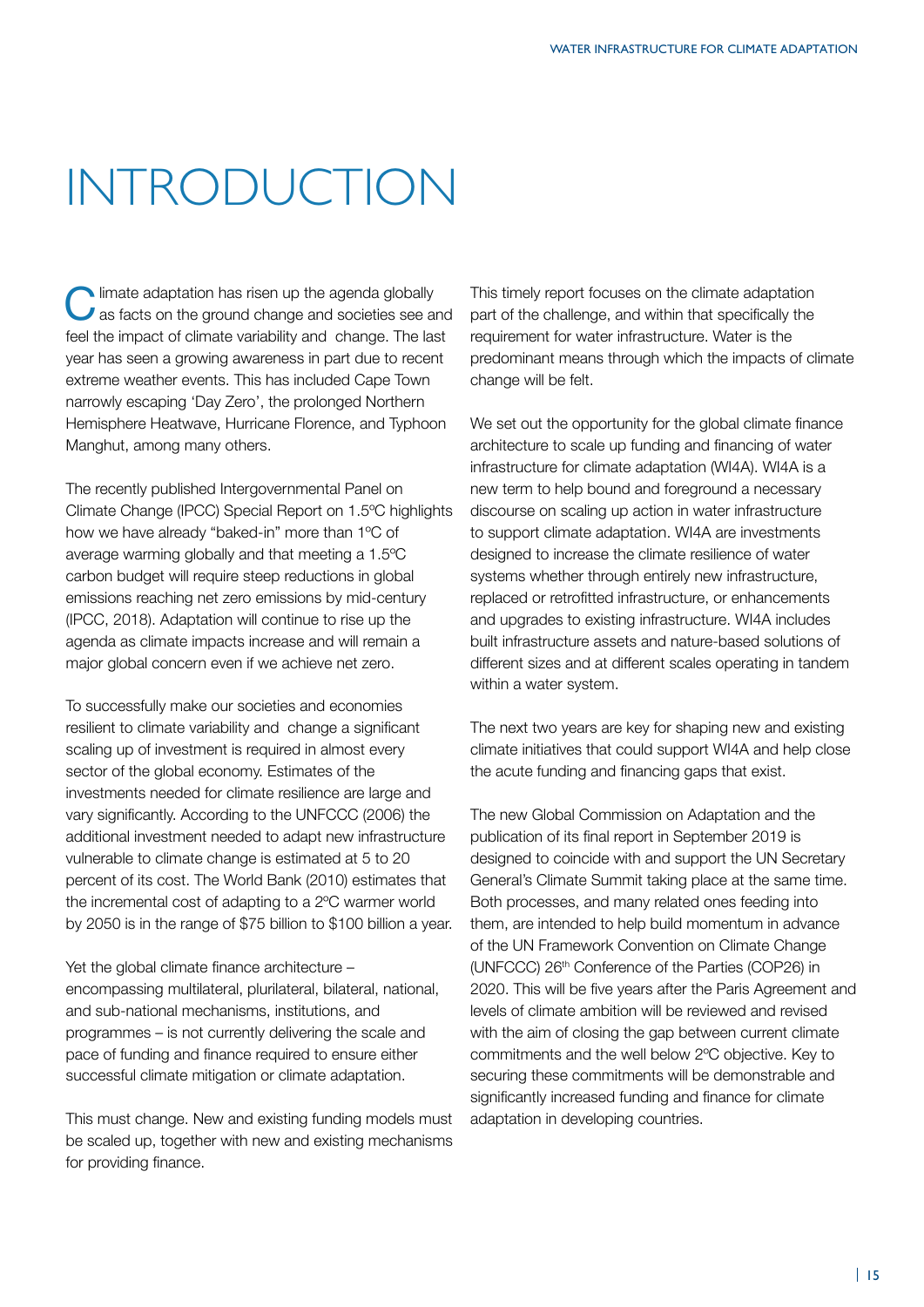## INTRODUCTION

C limate adaptation has risen up the agenda globally<br>as facts on the ground change and societies see and<br>fact the inneat of climate up is higher and change. The last feel the impact of climate variability and change. The last year has seen a growing awareness in part due to recent extreme weather events. This has included Cape Town narrowly escaping 'Day Zero', the prolonged Northern Hemisphere Heatwave, Hurricane Florence, and Typhoon Manghut, among many others.

The recently published Intergovernmental Panel on Climate Change (IPCC) Special Report on 1.5ºC highlights how we have already "baked-in" more than 1ºC of average warming globally and that meeting a 1.5ºC carbon budget will require steep reductions in global emissions reaching net zero emissions by mid-century (IPCC, 2018). Adaptation will continue to rise up the agenda as climate impacts increase and will remain a major global concern even if we achieve net zero.

To successfully make our societies and economies resilient to climate variability and change a significant scaling up of investment is required in almost every sector of the global economy. Estimates of the investments needed for climate resilience are large and vary significantly. According to the UNFCCC (2006) the additional investment needed to adapt new infrastructure vulnerable to climate change is estimated at 5 to 20 percent of its cost. The World Bank (2010) estimates that the incremental cost of adapting to a 2ºC warmer world by 2050 is in the range of \$75 billion to \$100 billion a year.

Yet the global climate finance architecture – encompassing multilateral, plurilateral, bilateral, national, and sub-national mechanisms, institutions, and programmes – is not currently delivering the scale and pace of funding and finance required to ensure either successful climate mitigation or climate adaptation.

This must change. New and existing funding models must be scaled up, together with new and existing mechanisms for providing finance.

This timely report focuses on the climate adaptation part of the challenge, and within that specifically the requirement for water infrastructure. Water is the predominant means through which the impacts of climate change will be felt.

We set out the opportunity for the global climate finance architecture to scale up funding and financing of water infrastructure for climate adaptation (WI4A). WI4A is a new term to help bound and foreground a necessary discourse on scaling up action in water infrastructure to support climate adaptation. WI4A are investments designed to increase the climate resilience of water systems whether through entirely new infrastructure, replaced or retrofitted infrastructure, or enhancements and upgrades to existing infrastructure. WI4A includes built infrastructure assets and nature-based solutions of different sizes and at different scales operating in tandem within a water system.

The next two years are key for shaping new and existing climate initiatives that could support WI4A and help close the acute funding and financing gaps that exist.

The new Global Commission on Adaptation and the publication of its final report in September 2019 is designed to coincide with and support the UN Secretary General's Climate Summit taking place at the same time. Both processes, and many related ones feeding into them, are intended to help build momentum in advance of the UN Framework Convention on Climate Change (UNFCCC) 26th Conference of the Parties (COP26) in 2020. This will be five years after the Paris Agreement and levels of climate ambition will be reviewed and revised with the aim of closing the gap between current climate commitments and the well below 2ºC objective. Key to securing these commitments will be demonstrable and significantly increased funding and finance for climate adaptation in developing countries.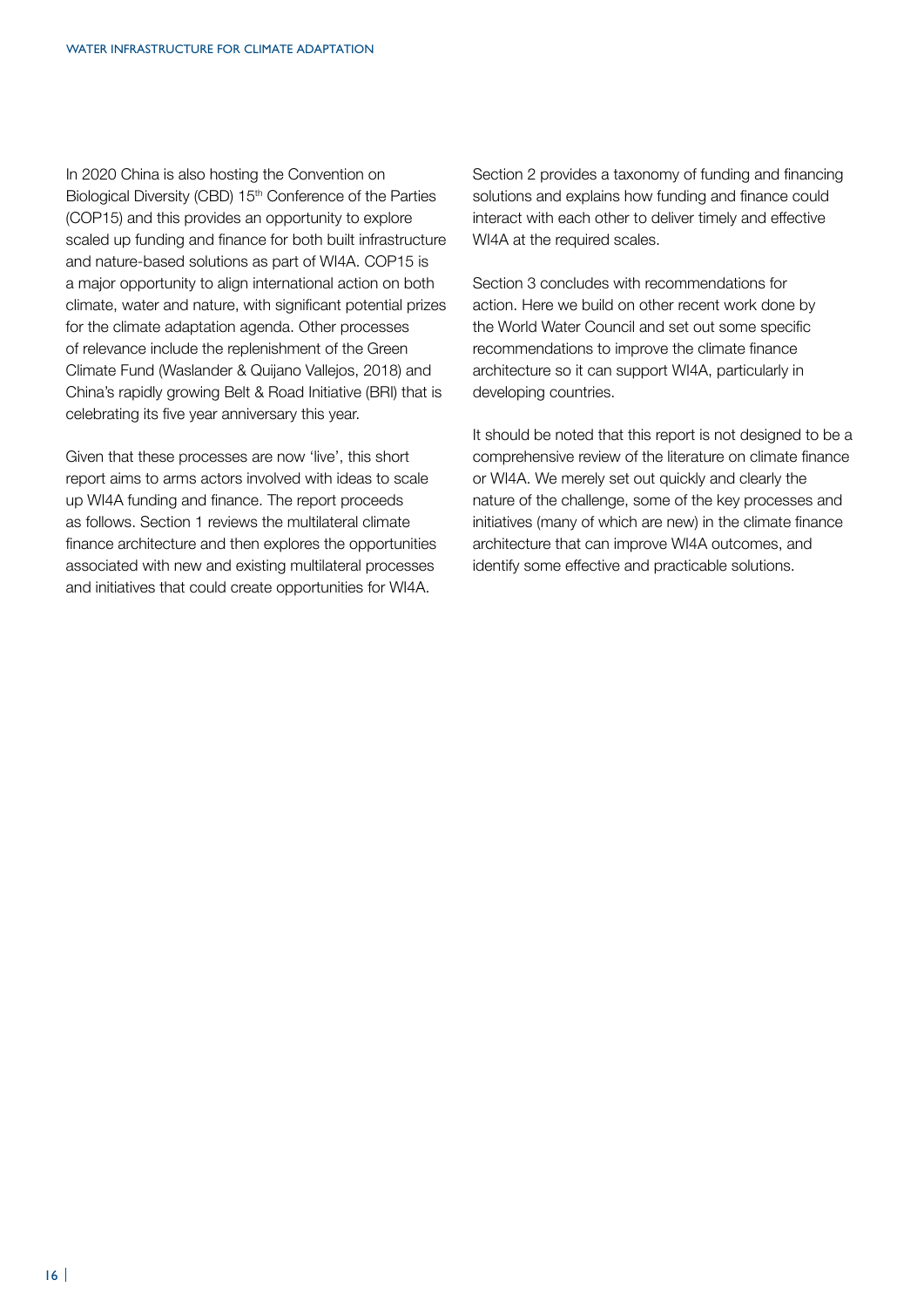In 2020 China is also hosting the Convention on Biological Diversity (CBD) 15<sup>th</sup> Conference of the Parties (COP15) and this provides an opportunity to explore scaled up funding and finance for both built infrastructure and nature-based solutions as part of WI4A. COP15 is a major opportunity to align international action on both climate, water and nature, with significant potential prizes for the climate adaptation agenda. Other processes of relevance include the replenishment of the Green Climate Fund (Waslander & Quijano Vallejos, 2018) and China's rapidly growing Belt & Road Initiative (BRI) that is celebrating its five year anniversary this year.

Given that these processes are now 'live', this short report aims to arms actors involved with ideas to scale up WI4A funding and finance. The report proceeds as follows. Section 1 reviews the multilateral climate finance architecture and then explores the opportunities associated with new and existing multilateral processes and initiatives that could create opportunities for WI4A.

Section 2 provides a taxonomy of funding and financing solutions and explains how funding and finance could interact with each other to deliver timely and effective WI4A at the required scales.

Section 3 concludes with recommendations for action. Here we build on other recent work done by the World Water Council and set out some specific recommendations to improve the climate finance architecture so it can support WI4A, particularly in developing countries.

It should be noted that this report is not designed to be a comprehensive review of the literature on climate finance or WI4A. We merely set out quickly and clearly the nature of the challenge, some of the key processes and initiatives (many of which are new) in the climate finance architecture that can improve WI4A outcomes, and identify some effective and practicable solutions.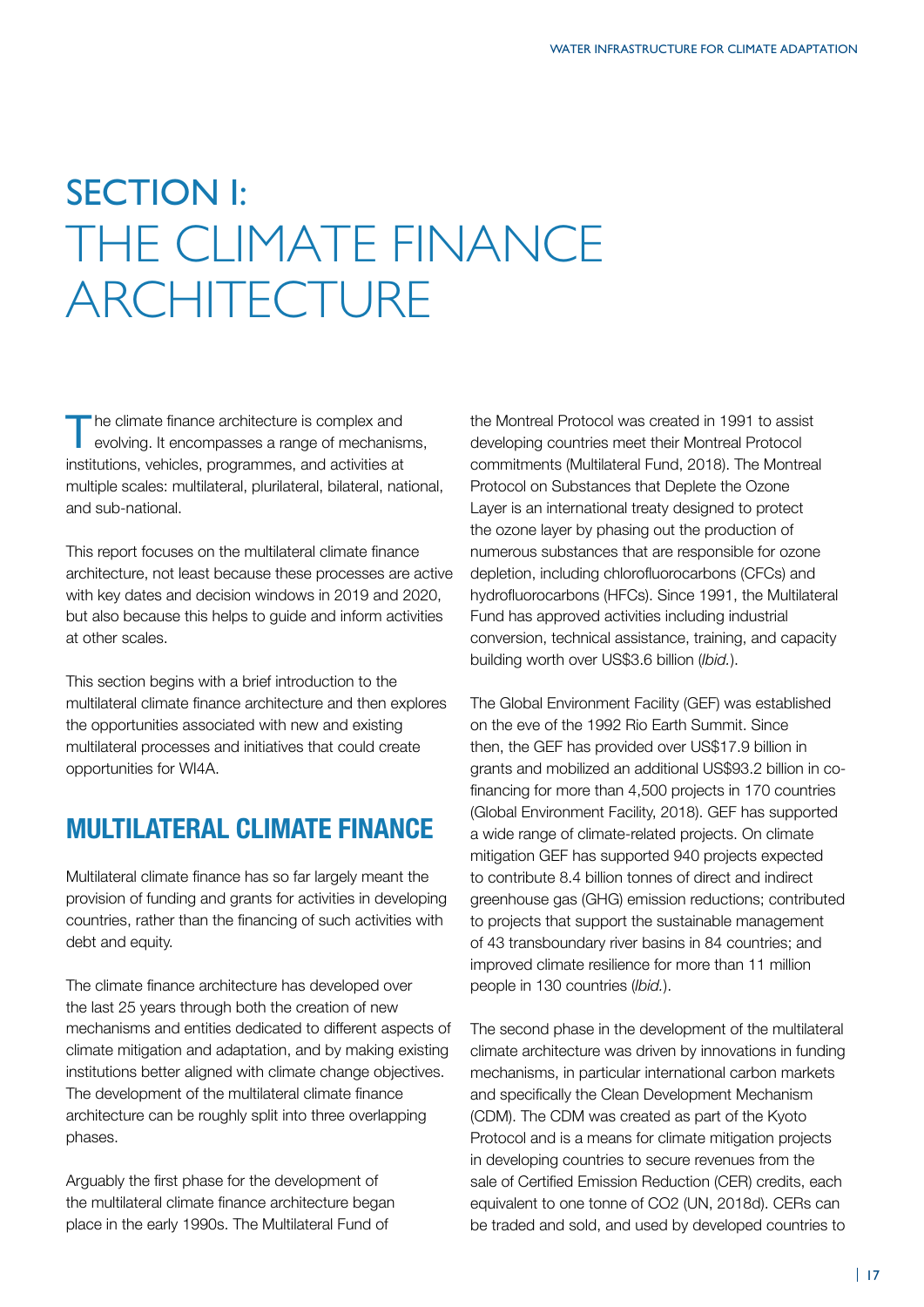## SECTION I: THE CLIMATE FINANCE ARCHITECTURE

The climate finance architecture is complex and<br>
evolving. It encompasses a range of mechanisms, institutions, vehicles, programmes, and activities at multiple scales: multilateral, plurilateral, bilateral, national, and sub-national.

This report focuses on the multilateral climate finance architecture, not least because these processes are active with key dates and decision windows in 2019 and 2020, but also because this helps to guide and inform activities at other scales.

This section begins with a brief introduction to the multilateral climate finance architecture and then explores the opportunities associated with new and existing multilateral processes and initiatives that could create opportunities for WI4A.

### **MULTILATERAL CLIMATE FINANCE**

Multilateral climate finance has so far largely meant the provision of funding and grants for activities in developing countries, rather than the financing of such activities with debt and equity.

The climate finance architecture has developed over the last 25 years through both the creation of new mechanisms and entities dedicated to different aspects of climate mitigation and adaptation, and by making existing institutions better aligned with climate change objectives. The development of the multilateral climate finance architecture can be roughly split into three overlapping phases.

Arguably the first phase for the development of the multilateral climate finance architecture began place in the early 1990s. The Multilateral Fund of

the Montreal Protocol was created in 1991 to assist developing countries meet their Montreal Protocol commitments (Multilateral Fund, 2018). The Montreal Protocol on Substances that Deplete the Ozone Layer is an international treaty designed to protect the ozone layer by phasing out the production of numerous substances that are responsible for ozone depletion, including chlorofluorocarbons (CFCs) and hydrofluorocarbons (HFCs). Since 1991, the Multilateral Fund has approved activities including industrial conversion, technical assistance, training, and capacity building worth over US\$3.6 billion (*Ibid.*).

The Global Environment Facility (GEF) was established on the eve of the 1992 Rio Earth Summit. Since then, the GEF has provided over US\$17.9 billion in grants and mobilized an additional US\$93.2 billion in cofinancing for more than 4,500 projects in 170 countries (Global Environment Facility, 2018). GEF has supported a wide range of climate-related projects. On climate mitigation GEF has supported 940 projects expected to contribute 8.4 billion tonnes of direct and indirect greenhouse gas (GHG) emission reductions; contributed to projects that support the sustainable management of 43 transboundary river basins in 84 countries; and improved climate resilience for more than 11 million people in 130 countries (*Ibid.*).

The second phase in the development of the multilateral climate architecture was driven by innovations in funding mechanisms, in particular international carbon markets and specifically the Clean Development Mechanism (CDM). The CDM was created as part of the Kyoto Protocol and is a means for climate mitigation projects in developing countries to secure revenues from the sale of Certified Emission Reduction (CER) credits, each equivalent to one tonne of CO2 (UN, 2018d). CERs can be traded and sold, and used by developed countries to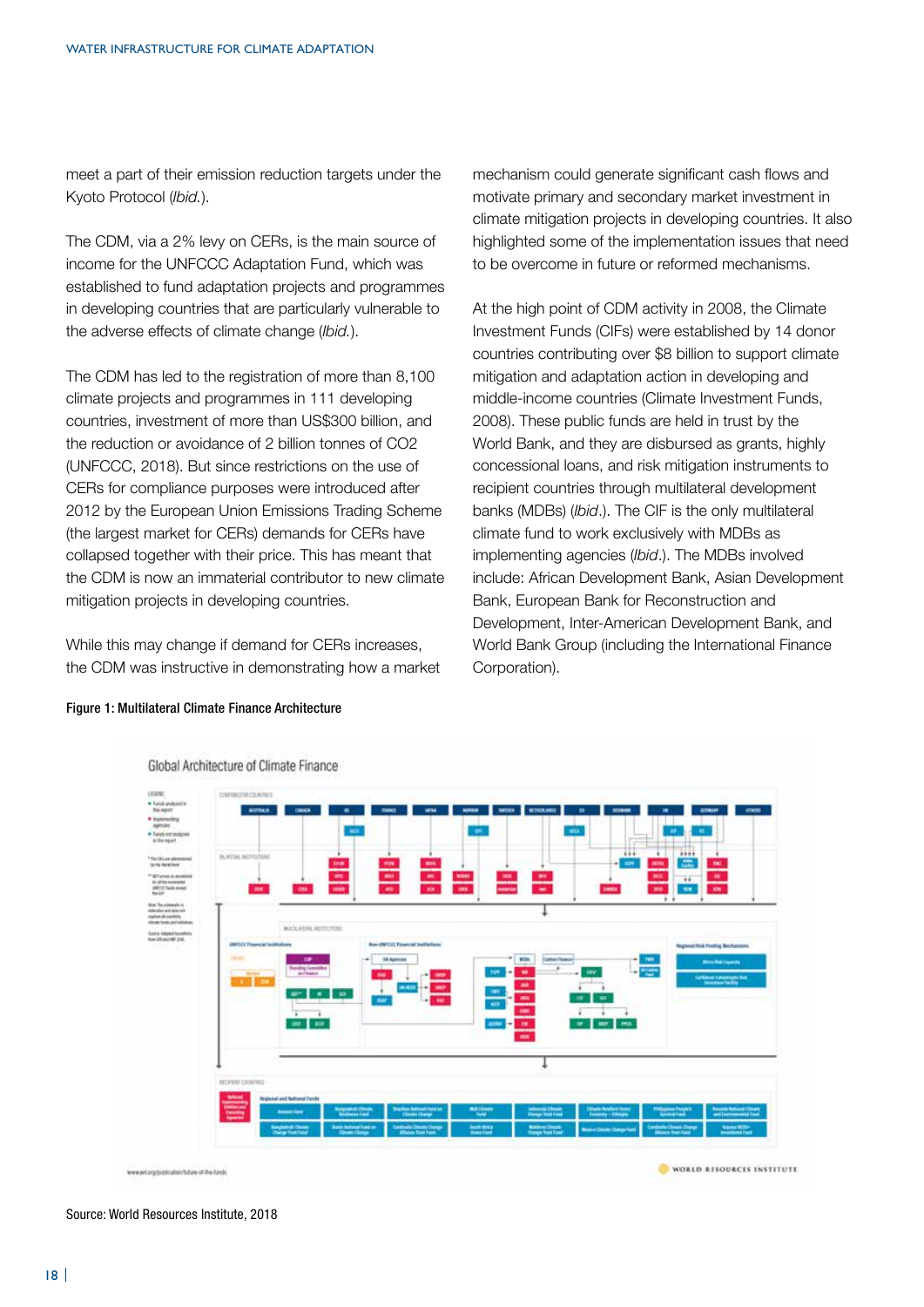meet a part of their emission reduction targets under the Kyoto Protocol (*Ibid.*).

The CDM, via a 2% levy on CERs, is the main source of income for the UNFCCC Adaptation Fund, which was established to fund adaptation projects and programmes in developing countries that are particularly vulnerable to the adverse effects of climate change (*Ibid.*).

The CDM has led to the registration of more than 8,100 climate projects and programmes in 111 developing countries, investment of more than US\$300 billion, and the reduction or avoidance of 2 billion tonnes of CO2 (UNFCCC, 2018). But since restrictions on the use of CERs for compliance purposes were introduced after 2012 by the European Union Emissions Trading Scheme (the largest market for CERs) demands for CERs have collapsed together with their price. This has meant that the CDM is now an immaterial contributor to new climate mitigation projects in developing countries.

While this may change if demand for CERs increases, the CDM was instructive in demonstrating how a market mechanism could generate significant cash flows and motivate primary and secondary market investment in climate mitigation projects in developing countries. It also highlighted some of the implementation issues that need to be overcome in future or reformed mechanisms.

At the high point of CDM activity in 2008, the Climate Investment Funds (CIFs) were established by 14 donor countries contributing over \$8 billion to support climate mitigation and adaptation action in developing and middle-income countries (Climate Investment Funds, 2008). These public funds are held in trust by the World Bank, and they are disbursed as grants, highly concessional loans, and risk mitigation instruments to recipient countries through multilateral development banks (MDBs) (*Ibid*.). The CIF is the only multilateral climate fund to work exclusively with MDBs as implementing agencies (*Ibid*.). The MDBs involved include: African Development Bank, Asian Development Bank, European Bank for Reconstruction and Development, Inter-American Development Bank, and World Bank Group (including the International Finance Corporation).



#### Figure 1: Multilateral Climate Finance Architecture

Source: World Resources Institute, 2018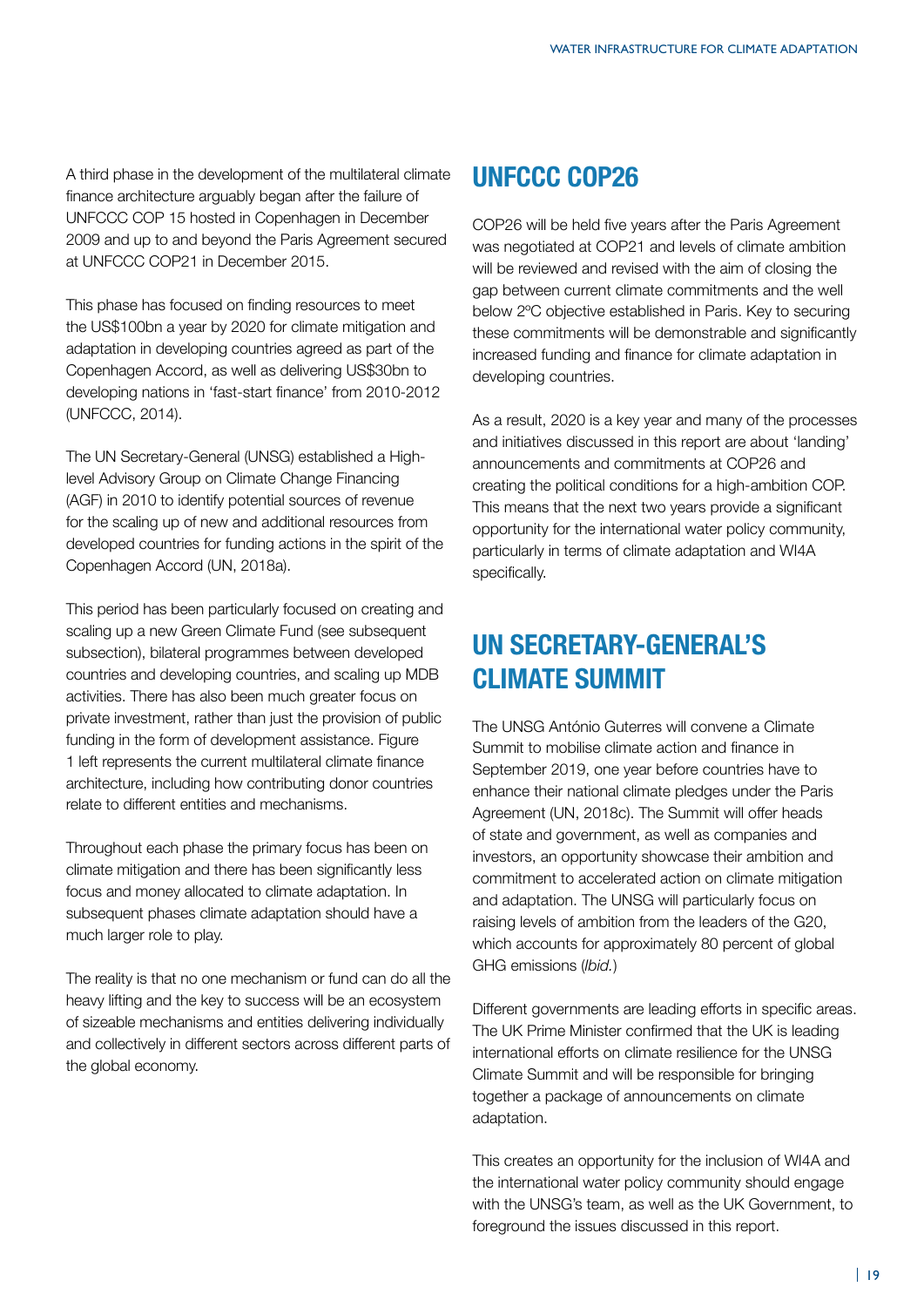A third phase in the development of the multilateral climate finance architecture arguably began after the failure of UNFCCC COP 15 hosted in Copenhagen in December 2009 and up to and beyond the Paris Agreement secured at UNFCCC COP21 in December 2015.

This phase has focused on finding resources to meet the US\$100bn a year by 2020 for climate mitigation and adaptation in developing countries agreed as part of the Copenhagen Accord, as well as delivering US\$30bn to developing nations in 'fast-start finance' from 2010-2012 (UNFCCC, 2014).

The UN Secretary-General (UNSG) established a Highlevel Advisory Group on Climate Change Financing (AGF) in 2010 to identify potential sources of revenue for the scaling up of new and additional resources from developed countries for funding actions in the spirit of the Copenhagen Accord (UN, 2018a).

This period has been particularly focused on creating and scaling up a new Green Climate Fund (see subsequent subsection), bilateral programmes between developed countries and developing countries, and scaling up MDB activities. There has also been much greater focus on private investment, rather than just the provision of public funding in the form of development assistance. Figure 1 left represents the current multilateral climate finance architecture, including how contributing donor countries relate to different entities and mechanisms.

Throughout each phase the primary focus has been on climate mitigation and there has been significantly less focus and money allocated to climate adaptation. In subsequent phases climate adaptation should have a much larger role to play.

The reality is that no one mechanism or fund can do all the heavy lifting and the key to success will be an ecosystem of sizeable mechanisms and entities delivering individually and collectively in different sectors across different parts of the global economy.

### **UNFCCC COP26**

COP26 will be held five years after the Paris Agreement was negotiated at COP21 and levels of climate ambition will be reviewed and revised with the aim of closing the gap between current climate commitments and the well below 2ºC objective established in Paris. Key to securing these commitments will be demonstrable and significantly increased funding and finance for climate adaptation in developing countries.

As a result, 2020 is a key year and many of the processes and initiatives discussed in this report are about 'landing' announcements and commitments at COP26 and creating the political conditions for a high-ambition COP. This means that the next two years provide a significant opportunity for the international water policy community, particularly in terms of climate adaptation and WI4A specifically.

## **UN SECRETARY-GENERAL'S CLIMATE SUMMIT**

The UNSG António Guterres will convene a Climate Summit to mobilise climate action and finance in September 2019, one year before countries have to enhance their national climate pledges under the Paris Agreement (UN, 2018c). The Summit will offer heads of state and government, as well as companies and investors, an opportunity showcase their ambition and commitment to accelerated action on climate mitigation and adaptation. The UNSG will particularly focus on raising levels of ambition from the leaders of the G20, which accounts for approximately 80 percent of global GHG emissions (*Ibid.*)

Different governments are leading efforts in specific areas. The UK Prime Minister confirmed that the UK is leading international efforts on climate resilience for the UNSG Climate Summit and will be responsible for bringing together a package of announcements on climate adaptation.

This creates an opportunity for the inclusion of WI4A and the international water policy community should engage with the UNSG's team, as well as the UK Government, to foreground the issues discussed in this report.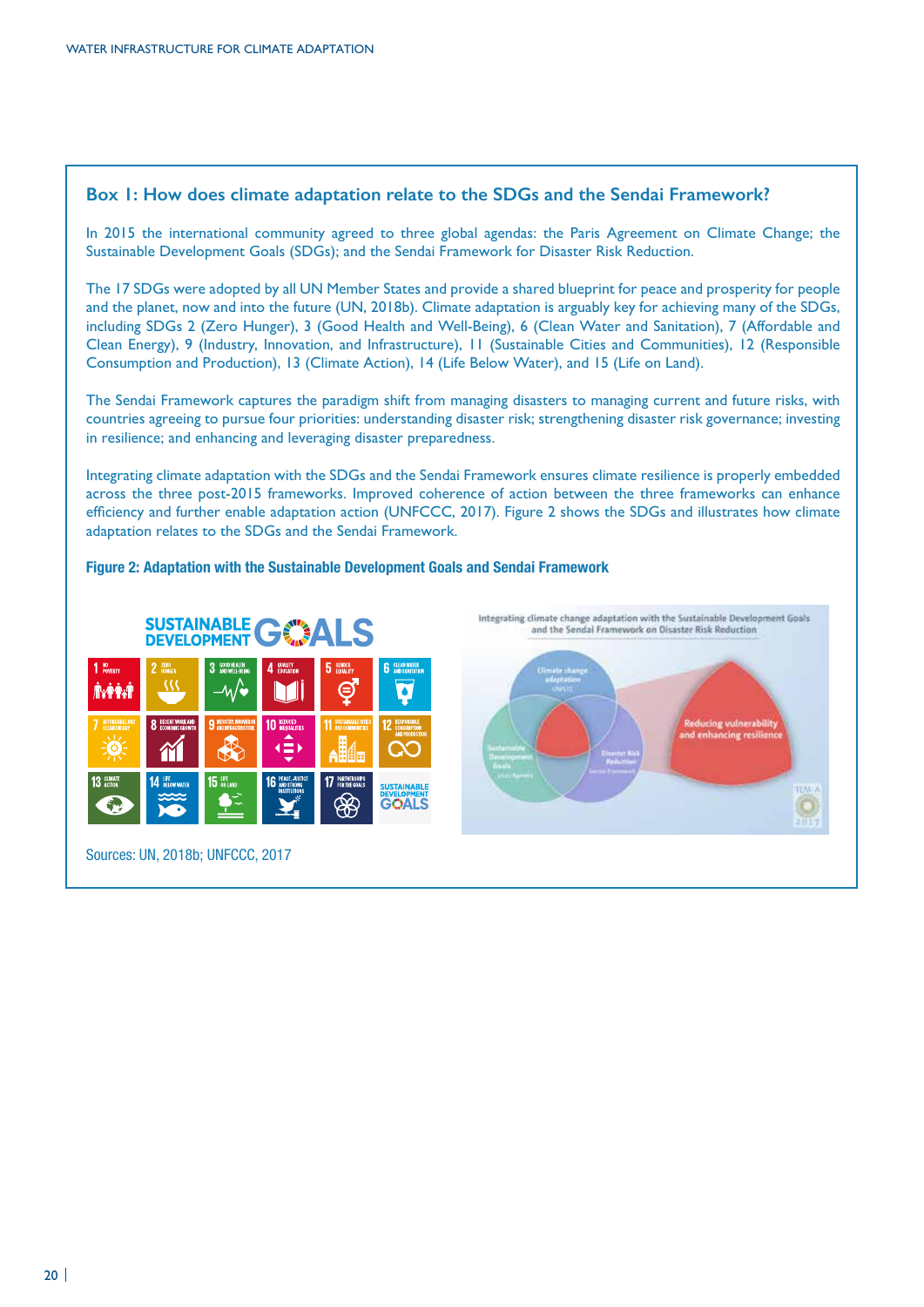#### **Box 1: How does climate adaptation relate to the SDGs and the Sendai Framework?**

In 2015 the international community agreed to three global agendas: the Paris Agreement on Climate Change; the Sustainable Development Goals (SDGs); and the Sendai Framework for Disaster Risk Reduction.

The 17 SDGs were adopted by all UN Member States and provide a shared blueprint for peace and prosperity for people and the planet, now and into the future (UN, 2018b). Climate adaptation is arguably key for achieving many of the SDGs, including SDGs 2 (Zero Hunger), 3 (Good Health and Well-Being), 6 (Clean Water and Sanitation), 7 (Affordable and Clean Energy), 9 (Industry, Innovation, and Infrastructure), 11 (Sustainable Cities and Communities), 12 (Responsible Consumption and Production), 13 (Climate Action), 14 (Life Below Water), and 15 (Life on Land).

The Sendai Framework captures the paradigm shift from managing disasters to managing current and future risks, with countries agreeing to pursue four priorities: understanding disaster risk; strengthening disaster risk governance; investing in resilience; and enhancing and leveraging disaster preparedness.

Integrating climate adaptation with the SDGs and the Sendai Framework ensures climate resilience is properly embedded across the three post-2015 frameworks. Improved coherence of action between the three frameworks can enhance efficiency and further enable adaptation action (UNFCCC, 2017). Figure 2 shows the SDGs and illustrates how climate adaptation relates to the SDGs and the Sendai Framework.

#### **Figure 2: Adaptation with the Sustainable Development Goals and Sendai Framework**

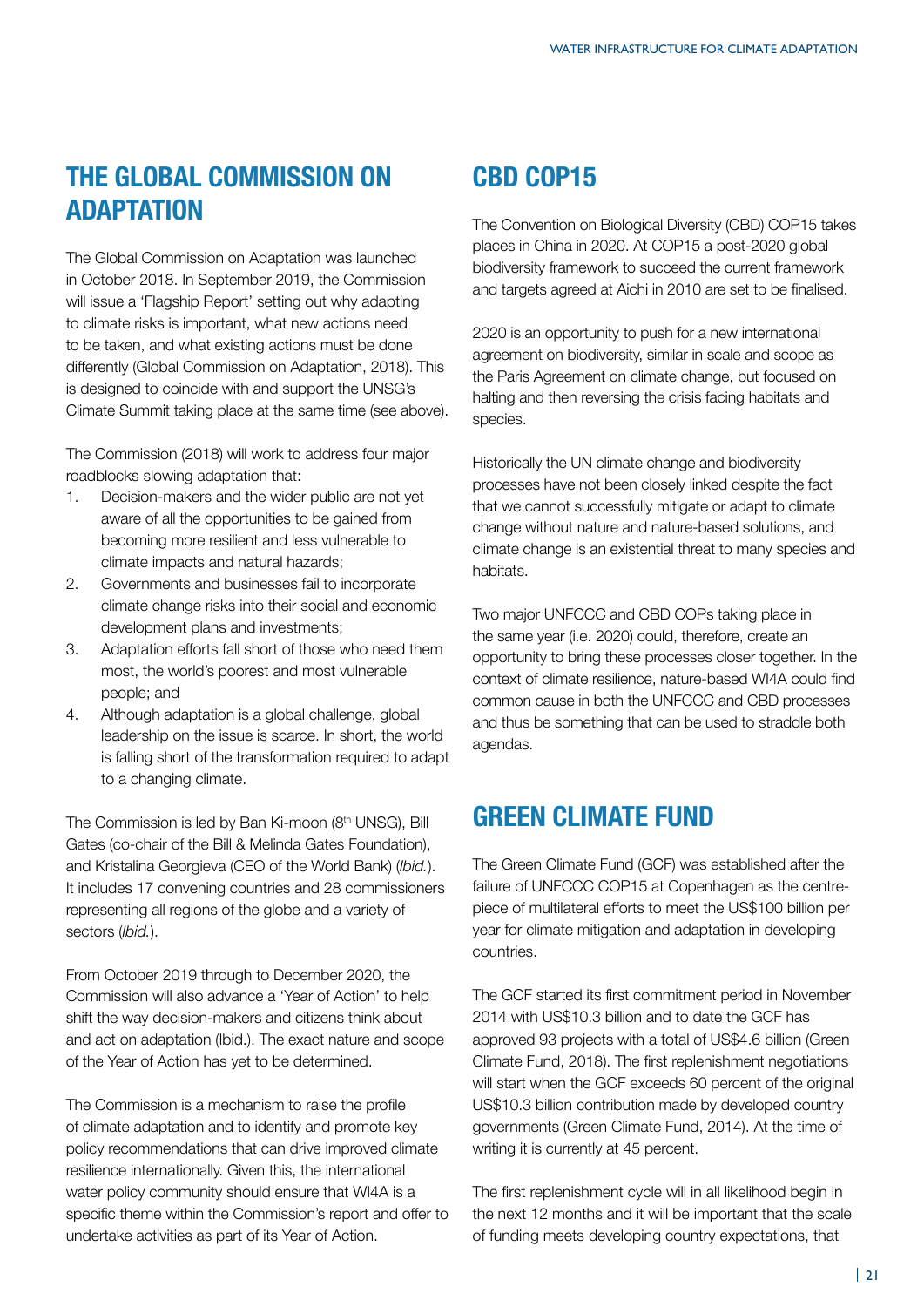## **THE GLOBAL COMMISSION ON ADAPTATION**

The Global Commission on Adaptation was launched in October 2018. In September 2019, the Commission will issue a 'Flagship Report' setting out why adapting to climate risks is important, what new actions need to be taken, and what existing actions must be done differently (Global Commission on Adaptation, 2018). This is designed to coincide with and support the UNSG's Climate Summit taking place at the same time (see above).

The Commission (2018) will work to address four major roadblocks slowing adaptation that:

- 1. Decision-makers and the wider public are not yet aware of all the opportunities to be gained from becoming more resilient and less vulnerable to climate impacts and natural hazards;
- 2. Governments and businesses fail to incorporate climate change risks into their social and economic development plans and investments;
- 3. Adaptation efforts fall short of those who need them most, the world's poorest and most vulnerable people; and
- 4. Although adaptation is a global challenge, global leadership on the issue is scarce. In short, the world is falling short of the transformation required to adapt to a changing climate.

The Commission is led by Ban Ki-moon (8th UNSG), Bill Gates (co-chair of the Bill & Melinda Gates Foundation), and Kristalina Georgieva (CEO of the World Bank) (*Ibid.*). It includes 17 convening countries and 28 commissioners representing all regions of the globe and a variety of sectors (*Ibid.*).

From October 2019 through to December 2020, the Commission will also advance a 'Year of Action' to help shift the way decision-makers and citizens think about and act on adaptation (Ibid.). The exact nature and scope of the Year of Action has yet to be determined.

The Commission is a mechanism to raise the profile of climate adaptation and to identify and promote key policy recommendations that can drive improved climate resilience internationally. Given this, the international water policy community should ensure that WI4A is a specific theme within the Commission's report and offer to undertake activities as part of its Year of Action.

## **CBD COP15**

The Convention on Biological Diversity (CBD) COP15 takes places in China in 2020. At COP15 a post-2020 global biodiversity framework to succeed the current framework and targets agreed at Aichi in 2010 are set to be finalised.

2020 is an opportunity to push for a new international agreement on biodiversity, similar in scale and scope as the Paris Agreement on climate change, but focused on halting and then reversing the crisis facing habitats and species.

Historically the UN climate change and biodiversity processes have not been closely linked despite the fact that we cannot successfully mitigate or adapt to climate change without nature and nature-based solutions, and climate change is an existential threat to many species and habitats.

Two major UNFCCC and CBD COPs taking place in the same year (i.e. 2020) could, therefore, create an opportunity to bring these processes closer together. In the context of climate resilience, nature-based WI4A could find common cause in both the UNFCCC and CBD processes and thus be something that can be used to straddle both agendas.

### **GREEN CLIMATE FUND**

The Green Climate Fund (GCF) was established after the failure of UNFCCC COP15 at Copenhagen as the centrepiece of multilateral efforts to meet the US\$100 billion per year for climate mitigation and adaptation in developing countries.

The GCF started its first commitment period in November 2014 with US\$10.3 billion and to date the GCF has approved 93 projects with a total of US\$4.6 billion (Green Climate Fund, 2018). The first replenishment negotiations will start when the GCF exceeds 60 percent of the original US\$10.3 billion contribution made by developed country governments (Green Climate Fund, 2014). At the time of writing it is currently at 45 percent.

The first replenishment cycle will in all likelihood begin in the next 12 months and it will be important that the scale of funding meets developing country expectations, that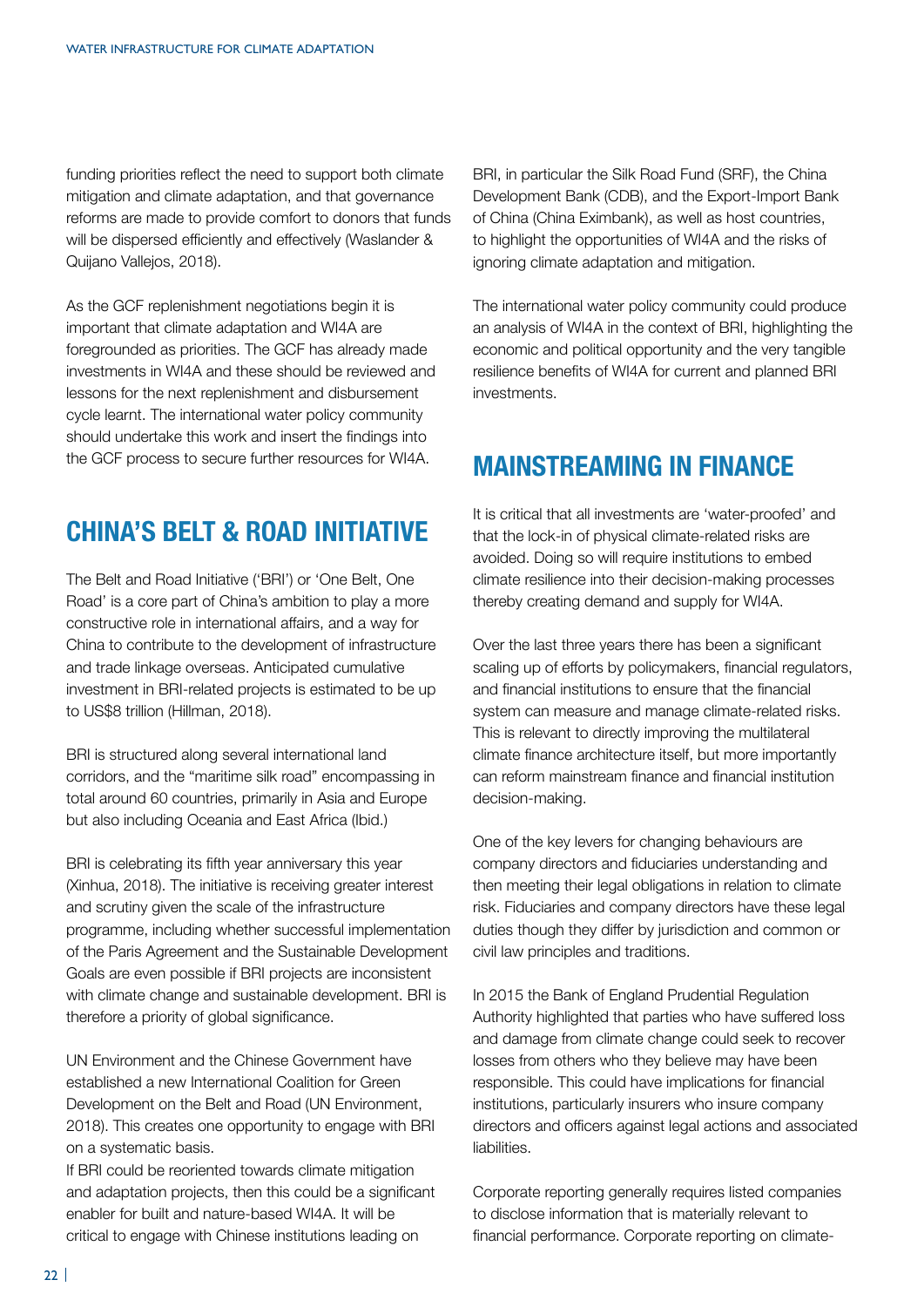funding priorities reflect the need to support both climate mitigation and climate adaptation, and that governance reforms are made to provide comfort to donors that funds will be dispersed efficiently and effectively (Waslander & Quijano Vallejos, 2018).

As the GCF replenishment negotiations begin it is important that climate adaptation and WI4A are foregrounded as priorities. The GCF has already made investments in WI4A and these should be reviewed and lessons for the next replenishment and disbursement cycle learnt. The international water policy community should undertake this work and insert the findings into the GCF process to secure further resources for WI4A.

### **CHINA'S BELT & ROAD INITIATIVE**

The Belt and Road Initiative ('BRI') or 'One Belt, One Road' is a core part of China's ambition to play a more constructive role in international affairs, and a way for China to contribute to the development of infrastructure and trade linkage overseas. Anticipated cumulative investment in BRI-related projects is estimated to be up to US\$8 trillion (Hillman, 2018).

BRI is structured along several international land corridors, and the "maritime silk road" encompassing in total around 60 countries, primarily in Asia and Europe but also including Oceania and East Africa (Ibid.)

BRI is celebrating its fifth year anniversary this year (Xinhua, 2018). The initiative is receiving greater interest and scrutiny given the scale of the infrastructure programme, including whether successful implementation of the Paris Agreement and the Sustainable Development Goals are even possible if BRI projects are inconsistent with climate change and sustainable development. BRI is therefore a priority of global significance.

UN Environment and the Chinese Government have established a new International Coalition for Green Development on the Belt and Road (UN Environment, 2018). This creates one opportunity to engage with BRI on a systematic basis.

If BRI could be reoriented towards climate mitigation and adaptation projects, then this could be a significant enabler for built and nature-based WI4A. It will be critical to engage with Chinese institutions leading on

BRI, in particular the Silk Road Fund (SRF), the China Development Bank (CDB), and the Export-Import Bank of China (China Eximbank), as well as host countries, to highlight the opportunities of WI4A and the risks of ignoring climate adaptation and mitigation.

The international water policy community could produce an analysis of WI4A in the context of BRI, highlighting the economic and political opportunity and the very tangible resilience benefits of WI4A for current and planned BRI investments.

### **MAINSTREAMING IN FINANCE**

It is critical that all investments are 'water-proofed' and that the lock-in of physical climate-related risks are avoided. Doing so will require institutions to embed climate resilience into their decision-making processes thereby creating demand and supply for WI4A.

Over the last three years there has been a significant scaling up of efforts by policymakers, financial regulators, and financial institutions to ensure that the financial system can measure and manage climate-related risks. This is relevant to directly improving the multilateral climate finance architecture itself, but more importantly can reform mainstream finance and financial institution decision-making.

One of the key levers for changing behaviours are company directors and fiduciaries understanding and then meeting their legal obligations in relation to climate risk. Fiduciaries and company directors have these legal duties though they differ by jurisdiction and common or civil law principles and traditions.

In 2015 the Bank of England Prudential Regulation Authority highlighted that parties who have suffered loss and damage from climate change could seek to recover losses from others who they believe may have been responsible. This could have implications for financial institutions, particularly insurers who insure company directors and officers against legal actions and associated liabilities.

Corporate reporting generally requires listed companies to disclose information that is materially relevant to financial performance. Corporate reporting on climate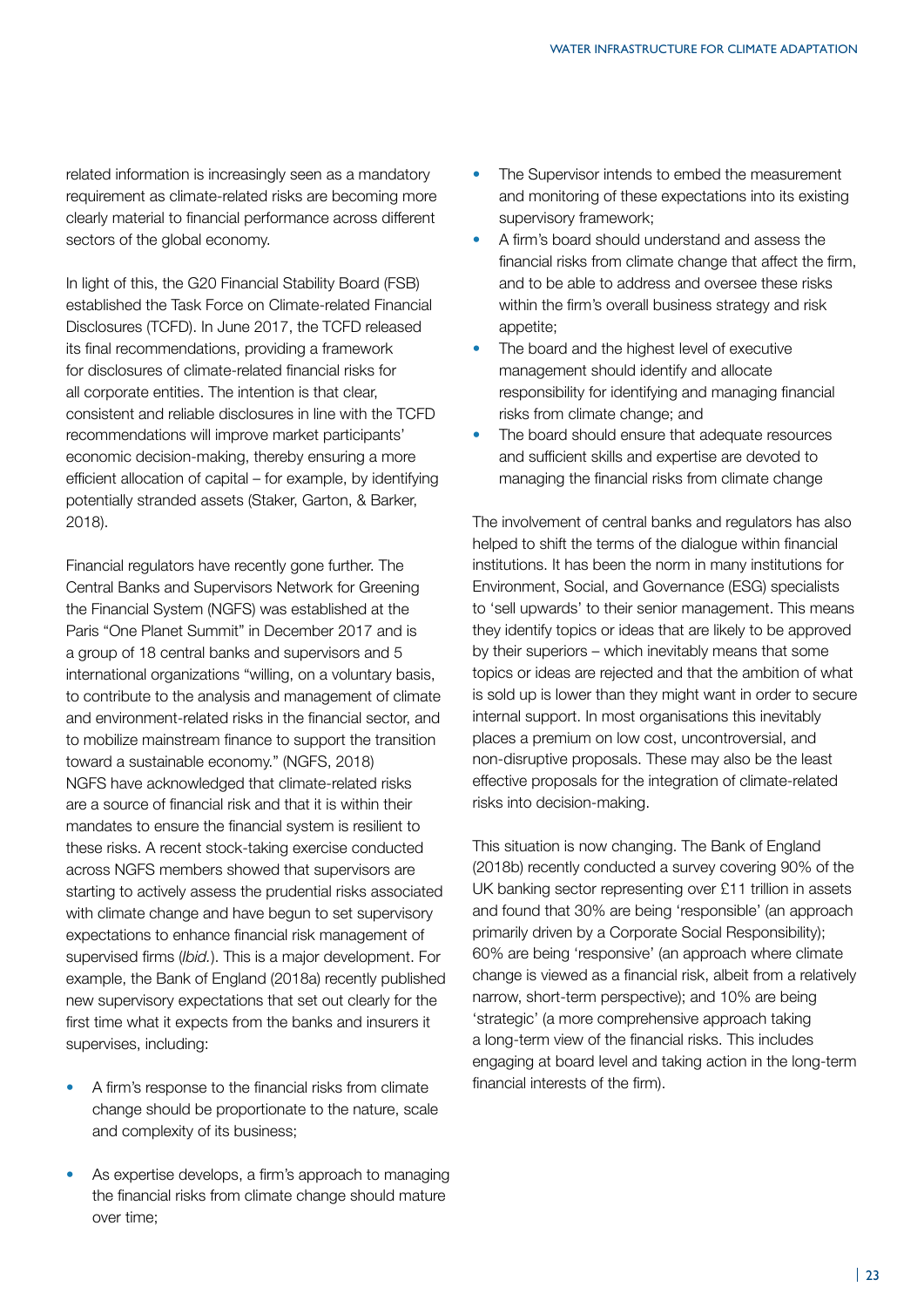related information is increasingly seen as a mandatory requirement as climate-related risks are becoming more clearly material to financial performance across different sectors of the global economy.

In light of this, the G20 Financial Stability Board (FSB) established the Task Force on Climate-related Financial Disclosures (TCFD). In June 2017, the TCFD released its final recommendations, providing a framework for disclosures of climate-related financial risks for all corporate entities. The intention is that clear, consistent and reliable disclosures in line with the TCFD recommendations will improve market participants' economic decision-making, thereby ensuring a more efficient allocation of capital – for example, by identifying potentially stranded assets (Staker, Garton, & Barker, 2018).

Financial regulators have recently gone further. The Central Banks and Supervisors Network for Greening the Financial System (NGFS) was established at the Paris "One Planet Summit" in December 2017 and is a group of 18 central banks and supervisors and 5 international organizations "willing, on a voluntary basis, to contribute to the analysis and management of climate and environment-related risks in the financial sector, and to mobilize mainstream finance to support the transition toward a sustainable economy." (NGFS, 2018) NGFS have acknowledged that climate-related risks are a source of financial risk and that it is within their mandates to ensure the financial system is resilient to these risks. A recent stock-taking exercise conducted across NGFS members showed that supervisors are starting to actively assess the prudential risks associated with climate change and have begun to set supervisory expectations to enhance financial risk management of supervised firms (*Ibid.*). This is a major development. For example, the Bank of England (2018a) recently published new supervisory expectations that set out clearly for the first time what it expects from the banks and insurers it supervises, including:

- A firm's response to the financial risks from climate change should be proportionate to the nature, scale and complexity of its business;
- As expertise develops, a firm's approach to managing the financial risks from climate change should mature over time;
- The Supervisor intends to embed the measurement and monitoring of these expectations into its existing supervisory framework;
- A firm's board should understand and assess the financial risks from climate change that affect the firm, and to be able to address and oversee these risks within the firm's overall business strategy and risk appetite;
- The board and the highest level of executive management should identify and allocate responsibility for identifying and managing financial risks from climate change; and
- The board should ensure that adequate resources and sufficient skills and expertise are devoted to managing the financial risks from climate change

The involvement of central banks and regulators has also helped to shift the terms of the dialogue within financial institutions. It has been the norm in many institutions for Environment, Social, and Governance (ESG) specialists to 'sell upwards' to their senior management. This means they identify topics or ideas that are likely to be approved by their superiors – which inevitably means that some topics or ideas are rejected and that the ambition of what is sold up is lower than they might want in order to secure internal support. In most organisations this inevitably places a premium on low cost, uncontroversial, and non-disruptive proposals. These may also be the least effective proposals for the integration of climate-related risks into decision-making.

This situation is now changing. The Bank of England (2018b) recently conducted a survey covering 90% of the UK banking sector representing over £11 trillion in assets and found that 30% are being 'responsible' (an approach primarily driven by a Corporate Social Responsibility); 60% are being 'responsive' (an approach where climate change is viewed as a financial risk, albeit from a relatively narrow, short-term perspective); and 10% are being 'strategic' (a more comprehensive approach taking a long-term view of the financial risks. This includes engaging at board level and taking action in the long-term financial interests of the firm).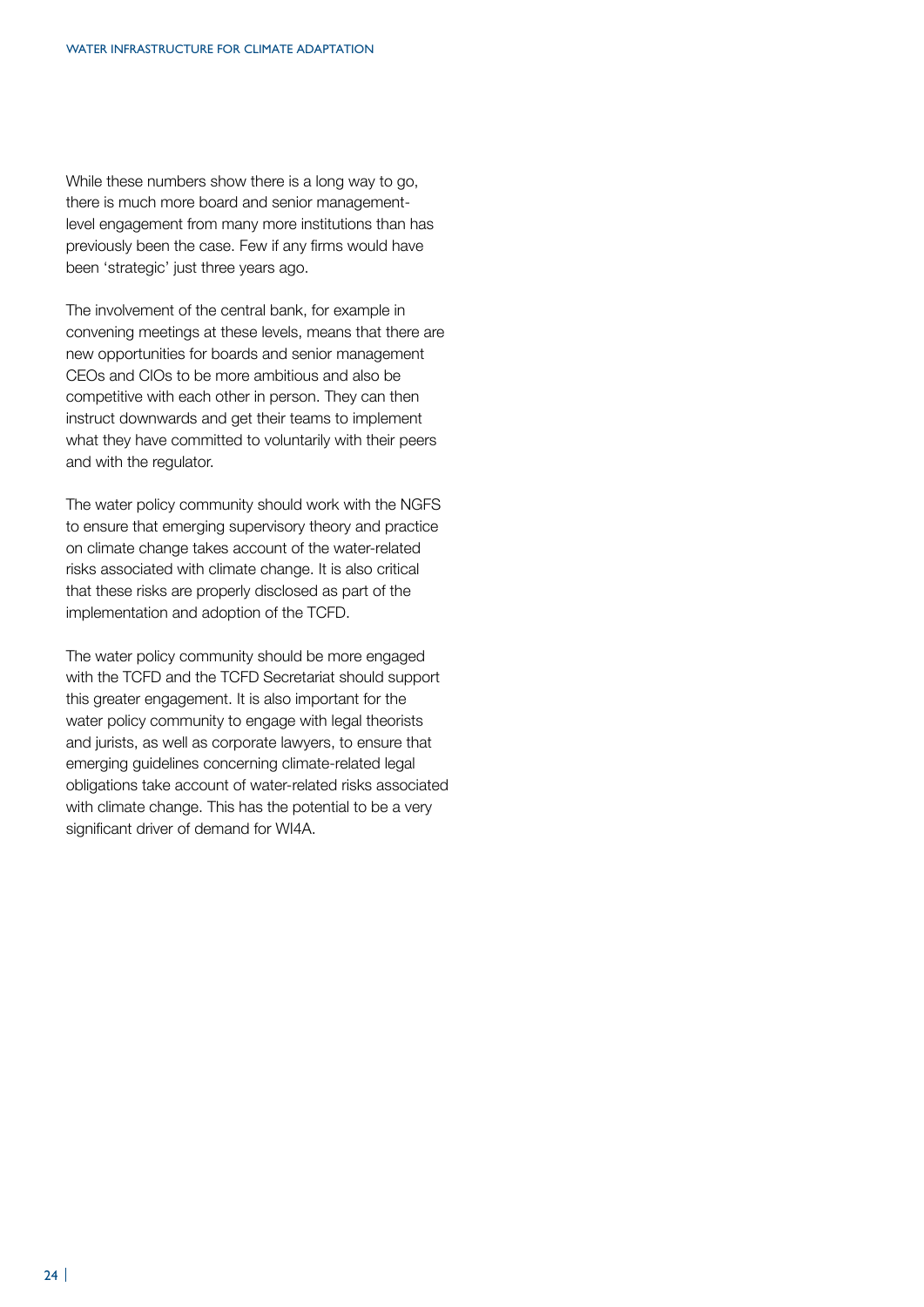While these numbers show there is a long way to go, there is much more board and senior managementlevel engagement from many more institutions than has previously been the case. Few if any firms would have been 'strategic' just three years ago.

The involvement of the central bank, for example in convening meetings at these levels, means that there are new opportunities for boards and senior management CEOs and CIOs to be more ambitious and also be competitive with each other in person. They can then instruct downwards and get their teams to implement what they have committed to voluntarily with their peers and with the regulator.

The water policy community should work with the NGFS to ensure that emerging supervisory theory and practice on climate change takes account of the water-related risks associated with climate change. It is also critical that these risks are properly disclosed as part of the implementation and adoption of the TCFD.

The water policy community should be more engaged with the TCFD and the TCFD Secretariat should support this greater engagement. It is also important for the water policy community to engage with legal theorists and jurists, as well as corporate lawyers, to ensure that emerging guidelines concerning climate-related legal obligations take account of water-related risks associated with climate change. This has the potential to be a very significant driver of demand for WI4A.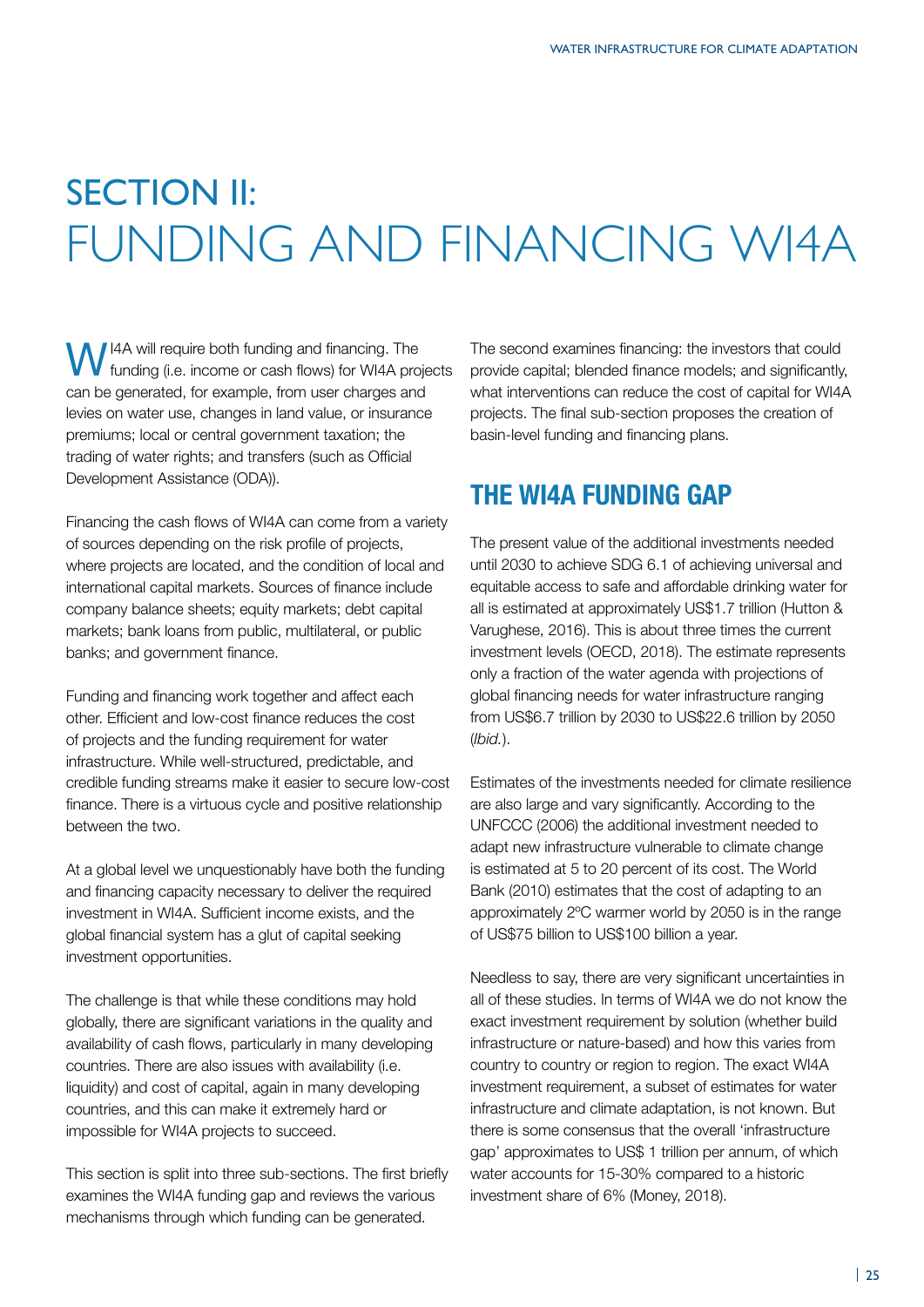## SECTION II: FUNDING AND FINANCING WI4A

W <sup>14A</sup> will require both funding and financing. The funding (i.e. income or cash flows) for WI4A projects can be generated, for example, from user charges and levies on water use, changes in land value, or insurance premiums; local or central government taxation; the trading of water rights; and transfers (such as Official Development Assistance (ODA)).

Financing the cash flows of WI4A can come from a variety of sources depending on the risk profile of projects, where projects are located, and the condition of local and international capital markets. Sources of finance include company balance sheets; equity markets; debt capital markets; bank loans from public, multilateral, or public banks; and government finance.

Funding and financing work together and affect each other. Efficient and low-cost finance reduces the cost of projects and the funding requirement for water infrastructure. While well-structured, predictable, and credible funding streams make it easier to secure low-cost finance. There is a virtuous cycle and positive relationship between the two.

At a global level we unquestionably have both the funding and financing capacity necessary to deliver the required investment in WI4A. Sufficient income exists, and the global financial system has a glut of capital seeking investment opportunities.

The challenge is that while these conditions may hold globally, there are significant variations in the quality and availability of cash flows, particularly in many developing countries. There are also issues with availability (i.e. liquidity) and cost of capital, again in many developing countries, and this can make it extremely hard or impossible for WI4A projects to succeed.

This section is split into three sub-sections. The first briefly examines the WI4A funding gap and reviews the various mechanisms through which funding can be generated.

The second examines financing: the investors that could provide capital; blended finance models; and significantly, what interventions can reduce the cost of capital for WI4A projects. The final sub-section proposes the creation of basin-level funding and financing plans.

### **THE WI4A FUNDING GAP**

The present value of the additional investments needed until 2030 to achieve SDG 6.1 of achieving universal and equitable access to safe and affordable drinking water for all is estimated at approximately US\$1.7 trillion (Hutton & Varughese, 2016). This is about three times the current investment levels (OECD, 2018). The estimate represents only a fraction of the water agenda with projections of global financing needs for water infrastructure ranging from US\$6.7 trillion by 2030 to US\$22.6 trillion by 2050 (*Ibid.*).

Estimates of the investments needed for climate resilience are also large and vary significantly. According to the UNFCCC (2006) the additional investment needed to adapt new infrastructure vulnerable to climate change is estimated at 5 to 20 percent of its cost. The World Bank (2010) estimates that the cost of adapting to an approximately 2ºC warmer world by 2050 is in the range of US\$75 billion to US\$100 billion a year.

Needless to say, there are very significant uncertainties in all of these studies. In terms of WI4A we do not know the exact investment requirement by solution (whether build infrastructure or nature-based) and how this varies from country to country or region to region. The exact WI4A investment requirement, a subset of estimates for water infrastructure and climate adaptation, is not known. But there is some consensus that the overall 'infrastructure gap' approximates to US\$ 1 trillion per annum, of which water accounts for 15-30% compared to a historic investment share of 6% (Money, 2018).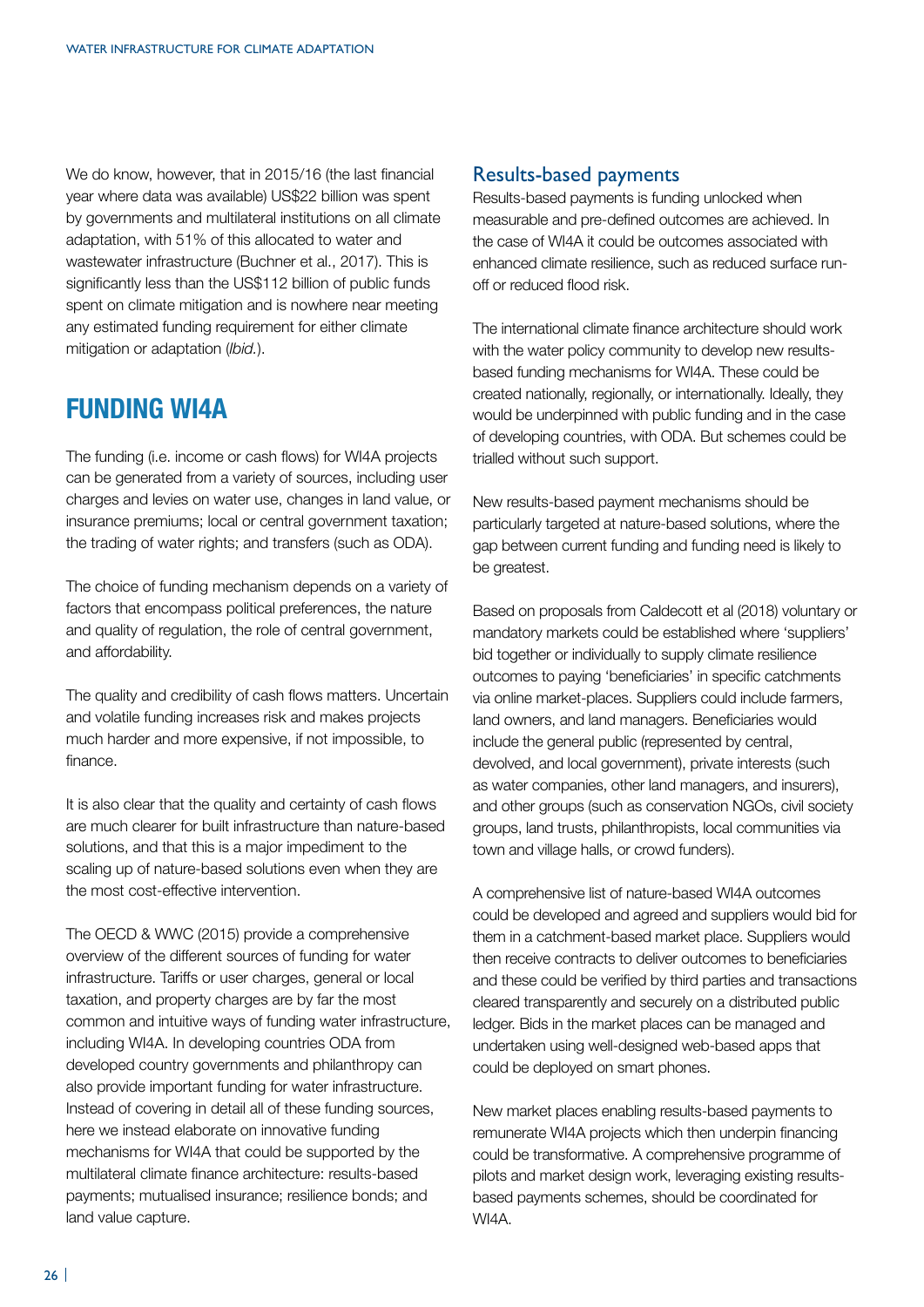We do know, however, that in 2015/16 (the last financial year where data was available) US\$22 billion was spent by governments and multilateral institutions on all climate adaptation, with 51% of this allocated to water and wastewater infrastructure (Buchner et al., 2017). This is significantly less than the US\$112 billion of public funds spent on climate mitigation and is nowhere near meeting any estimated funding requirement for either climate mitigation or adaptation (*Ibid.*).

### **FUNDING WI4A**

The funding (i.e. income or cash flows) for WI4A projects can be generated from a variety of sources, including user charges and levies on water use, changes in land value, or insurance premiums; local or central government taxation; the trading of water rights; and transfers (such as ODA).

The choice of funding mechanism depends on a variety of factors that encompass political preferences, the nature and quality of regulation, the role of central government, and affordability.

The quality and credibility of cash flows matters. Uncertain and volatile funding increases risk and makes projects much harder and more expensive, if not impossible, to finance.

It is also clear that the quality and certainty of cash flows are much clearer for built infrastructure than nature-based solutions, and that this is a major impediment to the scaling up of nature-based solutions even when they are the most cost-effective intervention.

The OECD & WWC (2015) provide a comprehensive overview of the different sources of funding for water infrastructure. Tariffs or user charges, general or local taxation, and property charges are by far the most common and intuitive ways of funding water infrastructure, including WI4A. In developing countries ODA from developed country governments and philanthropy can also provide important funding for water infrastructure. Instead of covering in detail all of these funding sources, here we instead elaborate on innovative funding mechanisms for WI4A that could be supported by the multilateral climate finance architecture: results-based payments; mutualised insurance; resilience bonds; and land value capture.

#### Results-based payments

Results-based payments is funding unlocked when measurable and pre-defined outcomes are achieved. In the case of WI4A it could be outcomes associated with enhanced climate resilience, such as reduced surface runoff or reduced flood risk.

The international climate finance architecture should work with the water policy community to develop new resultsbased funding mechanisms for WI4A. These could be created nationally, regionally, or internationally. Ideally, they would be underpinned with public funding and in the case of developing countries, with ODA. But schemes could be trialled without such support.

New results-based payment mechanisms should be particularly targeted at nature-based solutions, where the gap between current funding and funding need is likely to be greatest.

Based on proposals from Caldecott et al (2018) voluntary or mandatory markets could be established where 'suppliers' bid together or individually to supply climate resilience outcomes to paying 'beneficiaries' in specific catchments via online market-places. Suppliers could include farmers, land owners, and land managers. Beneficiaries would include the general public (represented by central, devolved, and local government), private interests (such as water companies, other land managers, and insurers), and other groups (such as conservation NGOs, civil society groups, land trusts, philanthropists, local communities via town and village halls, or crowd funders).

A comprehensive list of nature-based WI4A outcomes could be developed and agreed and suppliers would bid for them in a catchment-based market place. Suppliers would then receive contracts to deliver outcomes to beneficiaries and these could be verified by third parties and transactions cleared transparently and securely on a distributed public ledger. Bids in the market places can be managed and undertaken using well-designed web-based apps that could be deployed on smart phones.

New market places enabling results-based payments to remunerate WI4A projects which then underpin financing could be transformative. A comprehensive programme of pilots and market design work, leveraging existing resultsbased payments schemes, should be coordinated for WI4A.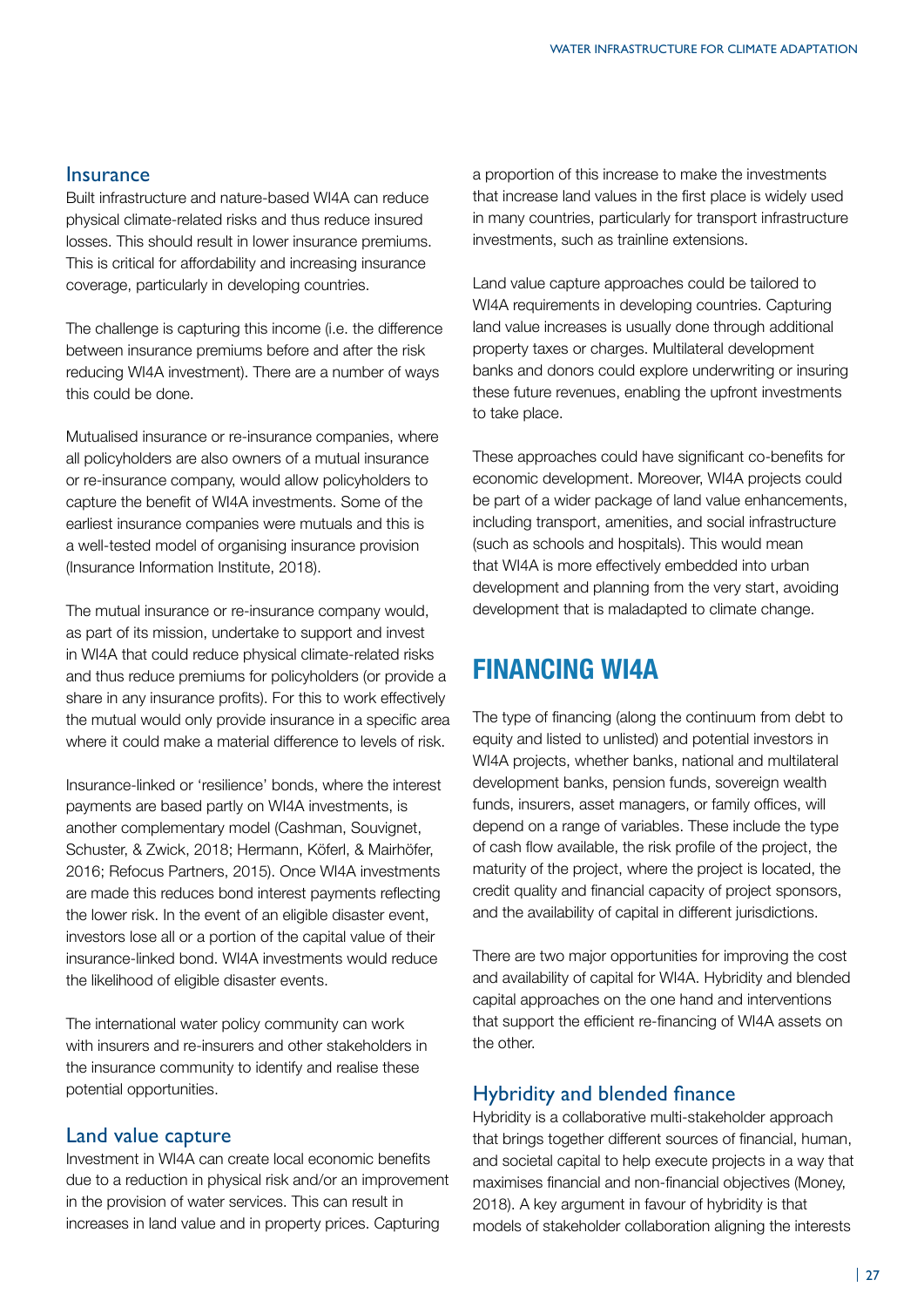#### **Insurance**

Built infrastructure and nature-based WI4A can reduce physical climate-related risks and thus reduce insured losses. This should result in lower insurance premiums. This is critical for affordability and increasing insurance coverage, particularly in developing countries.

The challenge is capturing this income (i.e. the difference between insurance premiums before and after the risk reducing WI4A investment). There are a number of ways this could be done.

Mutualised insurance or re-insurance companies, where all policyholders are also owners of a mutual insurance or re-insurance company, would allow policyholders to capture the benefit of WI4A investments. Some of the earliest insurance companies were mutuals and this is a well-tested model of organising insurance provision (Insurance Information Institute, 2018).

The mutual insurance or re-insurance company would, as part of its mission, undertake to support and invest in WI4A that could reduce physical climate-related risks and thus reduce premiums for policyholders (or provide a share in any insurance profits). For this to work effectively the mutual would only provide insurance in a specific area where it could make a material difference to levels of risk.

Insurance-linked or 'resilience' bonds, where the interest payments are based partly on WI4A investments, is another complementary model (Cashman, Souvignet, Schuster, & Zwick, 2018; Hermann, Köferl, & Mairhöfer, 2016; Refocus Partners, 2015). Once WI4A investments are made this reduces bond interest payments reflecting the lower risk. In the event of an eligible disaster event, investors lose all or a portion of the capital value of their insurance-linked bond. WI4A investments would reduce the likelihood of eligible disaster events.

The international water policy community can work with insurers and re-insurers and other stakeholders in the insurance community to identify and realise these potential opportunities.

#### Land value capture

Investment in WI4A can create local economic benefits due to a reduction in physical risk and/or an improvement in the provision of water services. This can result in increases in land value and in property prices. Capturing

a proportion of this increase to make the investments that increase land values in the first place is widely used in many countries, particularly for transport infrastructure investments, such as trainline extensions.

Land value capture approaches could be tailored to WI4A requirements in developing countries. Capturing land value increases is usually done through additional property taxes or charges. Multilateral development banks and donors could explore underwriting or insuring these future revenues, enabling the upfront investments to take place.

These approaches could have significant co-benefits for economic development. Moreover, WI4A projects could be part of a wider package of land value enhancements, including transport, amenities, and social infrastructure (such as schools and hospitals). This would mean that WI4A is more effectively embedded into urban development and planning from the very start, avoiding development that is maladapted to climate change.

### **FINANCING WI4A**

The type of financing (along the continuum from debt to equity and listed to unlisted) and potential investors in WI4A projects, whether banks, national and multilateral development banks, pension funds, sovereign wealth funds, insurers, asset managers, or family offices, will depend on a range of variables. These include the type of cash flow available, the risk profile of the project, the maturity of the project, where the project is located, the credit quality and financial capacity of project sponsors, and the availability of capital in different jurisdictions.

There are two major opportunities for improving the cost and availability of capital for WI4A. Hybridity and blended capital approaches on the one hand and interventions that support the efficient re-financing of WI4A assets on the other.

#### Hybridity and blended finance

Hybridity is a collaborative multi-stakeholder approach that brings together different sources of financial, human, and societal capital to help execute projects in a way that maximises financial and non-financial objectives (Money, 2018). A key argument in favour of hybridity is that models of stakeholder collaboration aligning the interests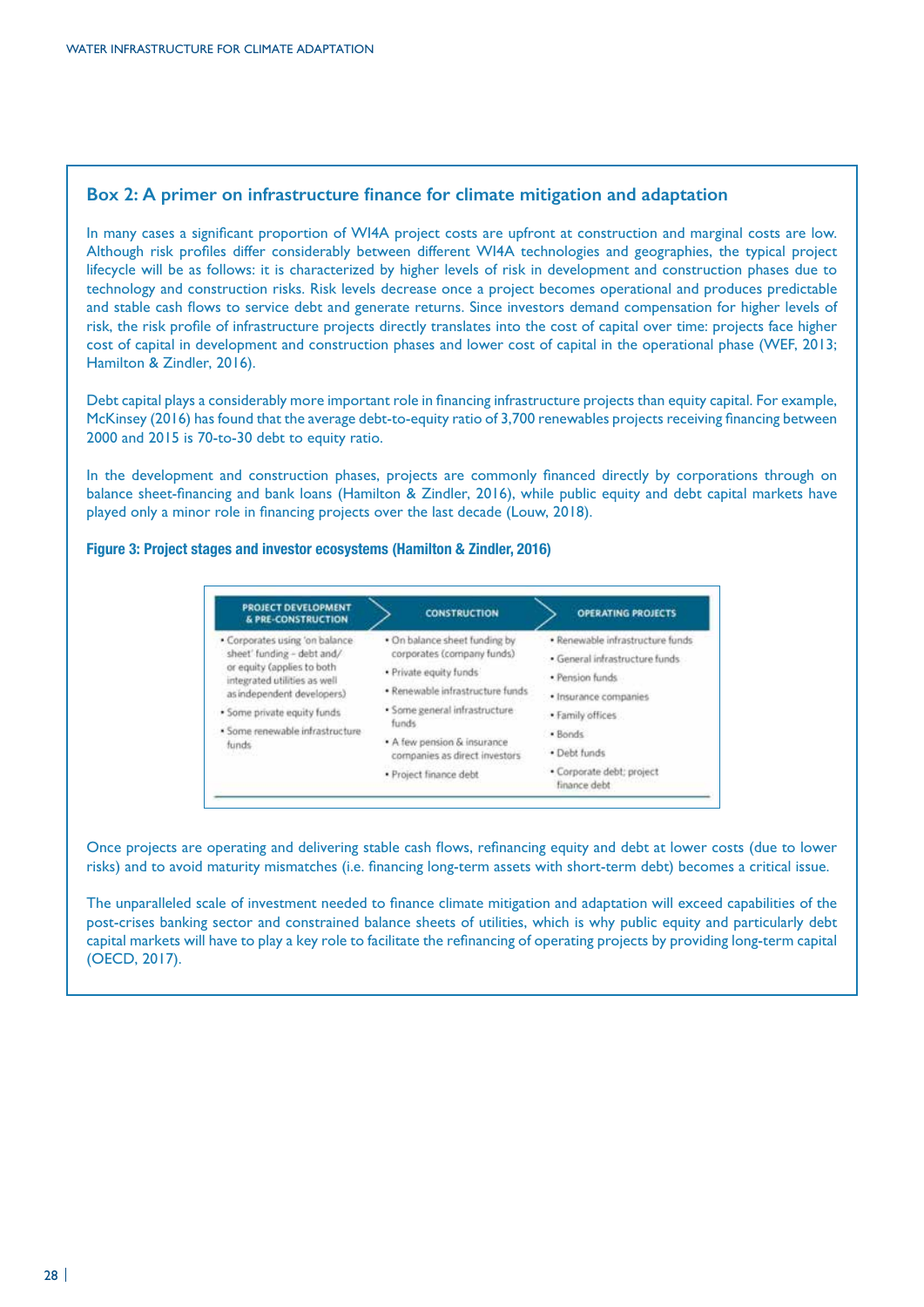#### **Box 2: A primer on infrastructure finance for climate mitigation and adaptation**

In many cases a significant proportion of WI4A project costs are upfront at construction and marginal costs are low. Although risk profiles differ considerably between different WI4A technologies and geographies, the typical project lifecycle will be as follows: it is characterized by higher levels of risk in development and construction phases due to technology and construction risks. Risk levels decrease once a project becomes operational and produces predictable and stable cash flows to service debt and generate returns. Since investors demand compensation for higher levels of risk, the risk profile of infrastructure projects directly translates into the cost of capital over time: projects face higher cost of capital in development and construction phases and lower cost of capital in the operational phase (WEF, 2013; Hamilton & Zindler, 2016).

Debt capital plays a considerably more important role in financing infrastructure projects than equity capital. For example, McKinsey (2016) has found that the average debt-to-equity ratio of 3,700 renewables projects receiving financing between 2000 and 2015 is 70-to-30 debt to equity ratio.

In the development and construction phases, projects are commonly financed directly by corporations through on balance sheet-financing and bank loans (Hamilton & Zindler, 2016), while public equity and debt capital markets have played only a minor role in financing projects over the last decade (Louw, 2018).

#### **Figure 3: Project stages and investor ecosystems (Hamilton & Zindler, 2016)**

| PROJECT DEVELOPMENT<br><b>&amp; PRE-CONSTRUCTION</b>       | <b>CONSTRUCTION</b>                                          | <b>OPERATING PROJECTS</b>                 |  |  |
|------------------------------------------------------------|--------------------------------------------------------------|-------------------------------------------|--|--|
| · Corporates using 'on balance                             | . On balance sheet funding by                                | · Renewable infrastructure funds          |  |  |
| sheet' funding - debt and/                                 | corporates (company funds)                                   | · General infrastructure funds            |  |  |
| or equity (applies to both<br>integrated utilities as well | · Private equity funds                                       | · Pension funds                           |  |  |
| as independent developers)                                 | · Renewable infrastructure funds                             | · Insurance companies                     |  |  |
| · Some private equity funds                                | · Some general infrastructure<br>funds                       | . Family offices                          |  |  |
| · Some renewable infrastructure                            |                                                              | · Bonds                                   |  |  |
| funds.<br>99 G.W. 2012                                     | . A few pension & insurance<br>companies as direct investors | · Debt funds                              |  |  |
|                                                            | · Project finance debt.                                      | · Corporate debt; project<br>finance debt |  |  |

Once projects are operating and delivering stable cash flows, refinancing equity and debt at lower costs (due to lower risks) and to avoid maturity mismatches (i.e. financing long-term assets with short-term debt) becomes a critical issue.

The unparalleled scale of investment needed to finance climate mitigation and adaptation will exceed capabilities of the post-crises banking sector and constrained balance sheets of utilities, which is why public equity and particularly debt capital markets will have to play a key role to facilitate the refinancing of operating projects by providing long-term capital (OECD, 2017).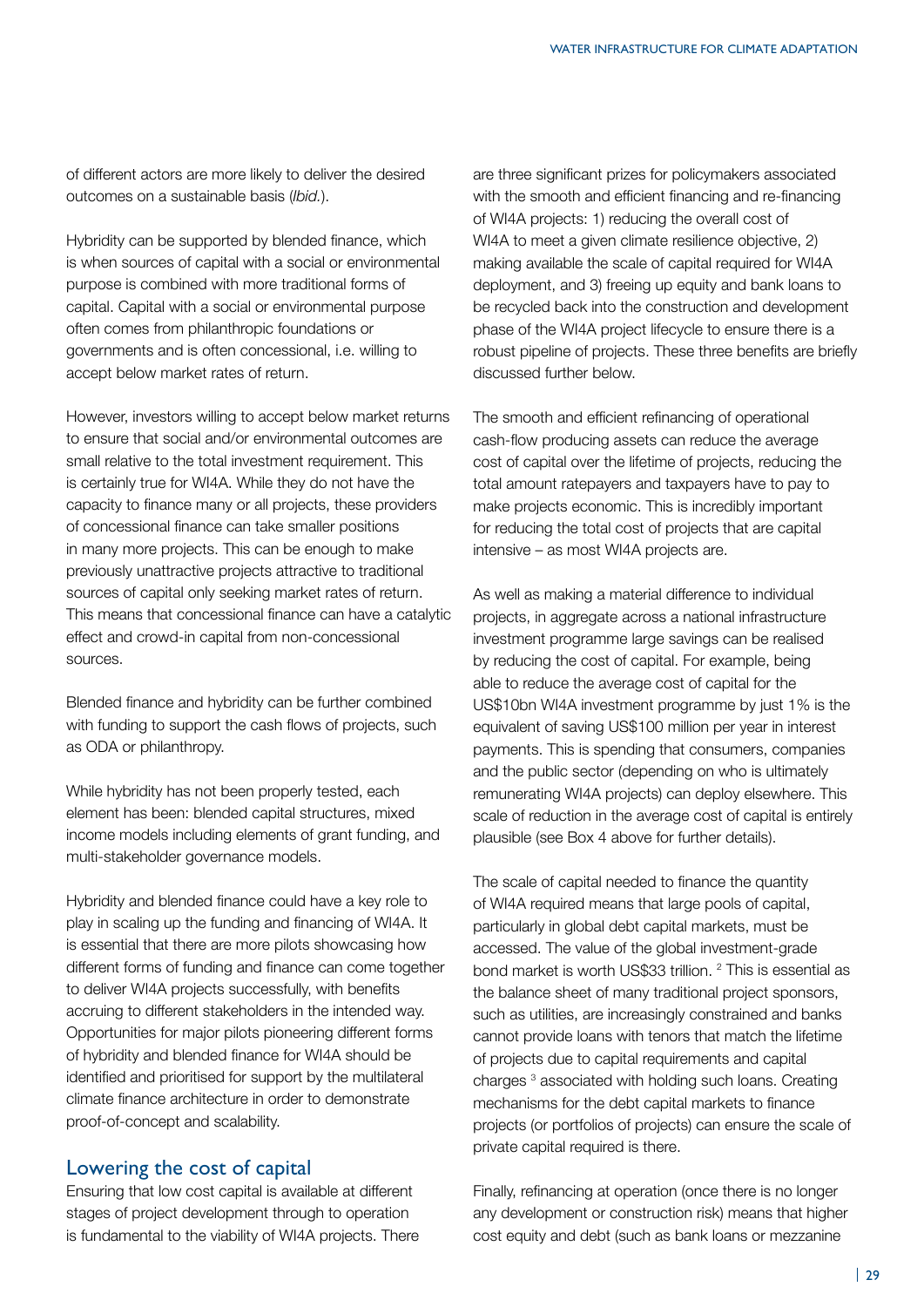of different actors are more likely to deliver the desired outcomes on a sustainable basis (*Ibid.*).

Hybridity can be supported by blended finance, which is when sources of capital with a social or environmental purpose is combined with more traditional forms of capital. Capital with a social or environmental purpose often comes from philanthropic foundations or governments and is often concessional, i.e. willing to accept below market rates of return.

However, investors willing to accept below market returns to ensure that social and/or environmental outcomes are small relative to the total investment requirement. This is certainly true for WI4A. While they do not have the capacity to finance many or all projects, these providers of concessional finance can take smaller positions in many more projects. This can be enough to make previously unattractive projects attractive to traditional sources of capital only seeking market rates of return. This means that concessional finance can have a catalytic effect and crowd-in capital from non-concessional sources.

Blended finance and hybridity can be further combined with funding to support the cash flows of projects, such as ODA or philanthropy.

While hybridity has not been properly tested, each element has been: blended capital structures, mixed income models including elements of grant funding, and multi-stakeholder governance models.

Hybridity and blended finance could have a key role to play in scaling up the funding and financing of WI4A. It is essential that there are more pilots showcasing how different forms of funding and finance can come together to deliver WI4A projects successfully, with benefits accruing to different stakeholders in the intended way. Opportunities for major pilots pioneering different forms of hybridity and blended finance for WI4A should be identified and prioritised for support by the multilateral climate finance architecture in order to demonstrate proof-of-concept and scalability.

#### Lowering the cost of capital

Ensuring that low cost capital is available at different stages of project development through to operation is fundamental to the viability of WI4A projects. There are three significant prizes for policymakers associated with the smooth and efficient financing and re-financing of WI4A projects: 1) reducing the overall cost of WI4A to meet a given climate resilience objective, 2) making available the scale of capital required for WI4A deployment, and 3) freeing up equity and bank loans to be recycled back into the construction and development phase of the WI4A project lifecycle to ensure there is a robust pipeline of projects. These three benefits are briefly discussed further below.

The smooth and efficient refinancing of operational cash-flow producing assets can reduce the average cost of capital over the lifetime of projects, reducing the total amount ratepayers and taxpayers have to pay to make projects economic. This is incredibly important for reducing the total cost of projects that are capital intensive – as most WI4A projects are.

As well as making a material difference to individual projects, in aggregate across a national infrastructure investment programme large savings can be realised by reducing the cost of capital. For example, being able to reduce the average cost of capital for the US\$10bn WI4A investment programme by just 1% is the equivalent of saving US\$100 million per year in interest payments. This is spending that consumers, companies and the public sector (depending on who is ultimately remunerating WI4A projects) can deploy elsewhere. This scale of reduction in the average cost of capital is entirely plausible (see Box 4 above for further details).

The scale of capital needed to finance the quantity of WI4A required means that large pools of capital, particularly in global debt capital markets, must be accessed. The value of the global investment-grade bond market is worth US\$33 trillion. <sup>2</sup> This is essential as the balance sheet of many traditional project sponsors, such as utilities, are increasingly constrained and banks cannot provide loans with tenors that match the lifetime of projects due to capital requirements and capital charges 3 associated with holding such loans. Creating mechanisms for the debt capital markets to finance projects (or portfolios of projects) can ensure the scale of private capital required is there.

Finally, refinancing at operation (once there is no longer any development or construction risk) means that higher cost equity and debt (such as bank loans or mezzanine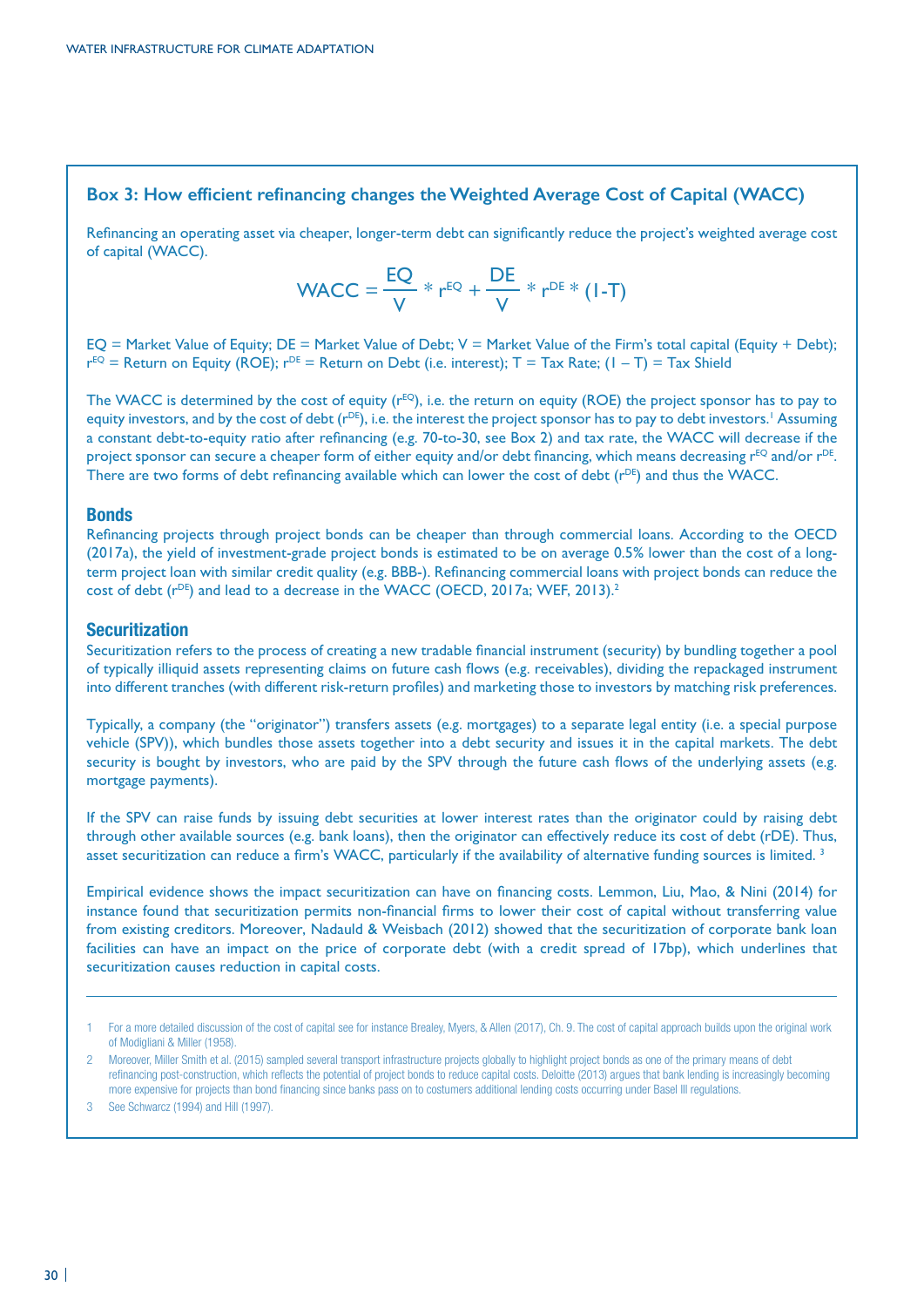#### **Box 3: How efficient refinancing changes the Weighted Average Cost of Capital (WACC)**

Refinancing an operating asset via cheaper, longer-term debt can significantly reduce the project's weighted average cost of capital (WACC).

WACC = 
$$
\frac{EQ}{V} * r^{EQ} + \frac{DE}{V} * r^{DE} * (1-T)
$$

 $EQ =$  Market Value of Equity;  $DE =$  Market Value of Debt;  $V =$  Market Value of the Firm's total capital (Equity + Debt);  $r^{EQ}$  = Return on Equity (ROE);  $r^{DE}$  = Return on Debt (i.e. interest); T = Tax Rate; (1 – T) = Tax Shield

The WACC is determined by the cost of equity ( $r^{EQ}$ ), i.e. the return on equity (ROE) the project sponsor has to pay to equity investors, and by the cost of debt ( $r^{DE}$ ), i.e. the interest the project sponsor has to pay to debt investors.<sup>1</sup> Assuming a constant debt-to-equity ratio after refinancing (e.g. 70-to-30, see Box 2) and tax rate, the WACC will decrease if the project sponsor can secure a cheaper form of either equity and/or debt financing, which means decreasing  $r^{EQ}$  and/or  $r^{DE}$ . There are two forms of debt refinancing available which can lower the cost of debt (r<sup>DE</sup>) and thus the WACC.

#### **Bonds**

Refinancing projects through project bonds can be cheaper than through commercial loans. According to the OECD (2017a), the yield of investment-grade project bonds is estimated to be on average 0.5% lower than the cost of a longterm project loan with similar credit quality (e.g. BBB-). Refinancing commercial loans with project bonds can reduce the cost of debt  $(r^{DE})$  and lead to a decrease in the WACC (OECD, 2017a; WEF, 2013).<sup>2</sup>

#### **Securitization**

Securitization refers to the process of creating a new tradable financial instrument (security) by bundling together a pool of typically illiquid assets representing claims on future cash flows (e.g. receivables), dividing the repackaged instrument into different tranches (with different risk-return profiles) and marketing those to investors by matching risk preferences.

Typically, a company (the "originator") transfers assets (e.g. mortgages) to a separate legal entity (i.e. a special purpose vehicle (SPV)), which bundles those assets together into a debt security and issues it in the capital markets. The debt security is bought by investors, who are paid by the SPV through the future cash flows of the underlying assets (e.g. mortgage payments).

If the SPV can raise funds by issuing debt securities at lower interest rates than the originator could by raising debt through other available sources (e.g. bank loans), then the originator can effectively reduce its cost of debt (rDE). Thus, asset securitization can reduce a firm's WACC, particularly if the availability of alternative funding sources is limited.  $3$ 

Empirical evidence shows the impact securitization can have on financing costs. Lemmon, Liu, Mao, & Nini (2014) for instance found that securitization permits non-financial firms to lower their cost of capital without transferring value from existing creditors. Moreover, Nadauld & Weisbach (2012) showed that the securitization of corporate bank loan facilities can have an impact on the price of corporate debt (with a credit spread of 17bp), which underlines that securitization causes reduction in capital costs.

2 Moreover, Miller Smith et al. (2015) sampled several transport infrastructure projects globally to highlight project bonds as one of the primary means of debt refinancing post-construction, which reflects the potential of project bonds to reduce capital costs. Deloitte (2013) argues that bank lending is increasingly becoming more expensive for projects than bond financing since banks pass on to costumers additional lending costs occurring under Basel III regulations.

3 See Schwarcz (1994) and Hill (1997).

<sup>1</sup> For a more detailed discussion of the cost of capital see for instance Brealey, Myers, & Allen (2017), Ch. 9. The cost of capital approach builds upon the original work of Modigliani & Miller (1958).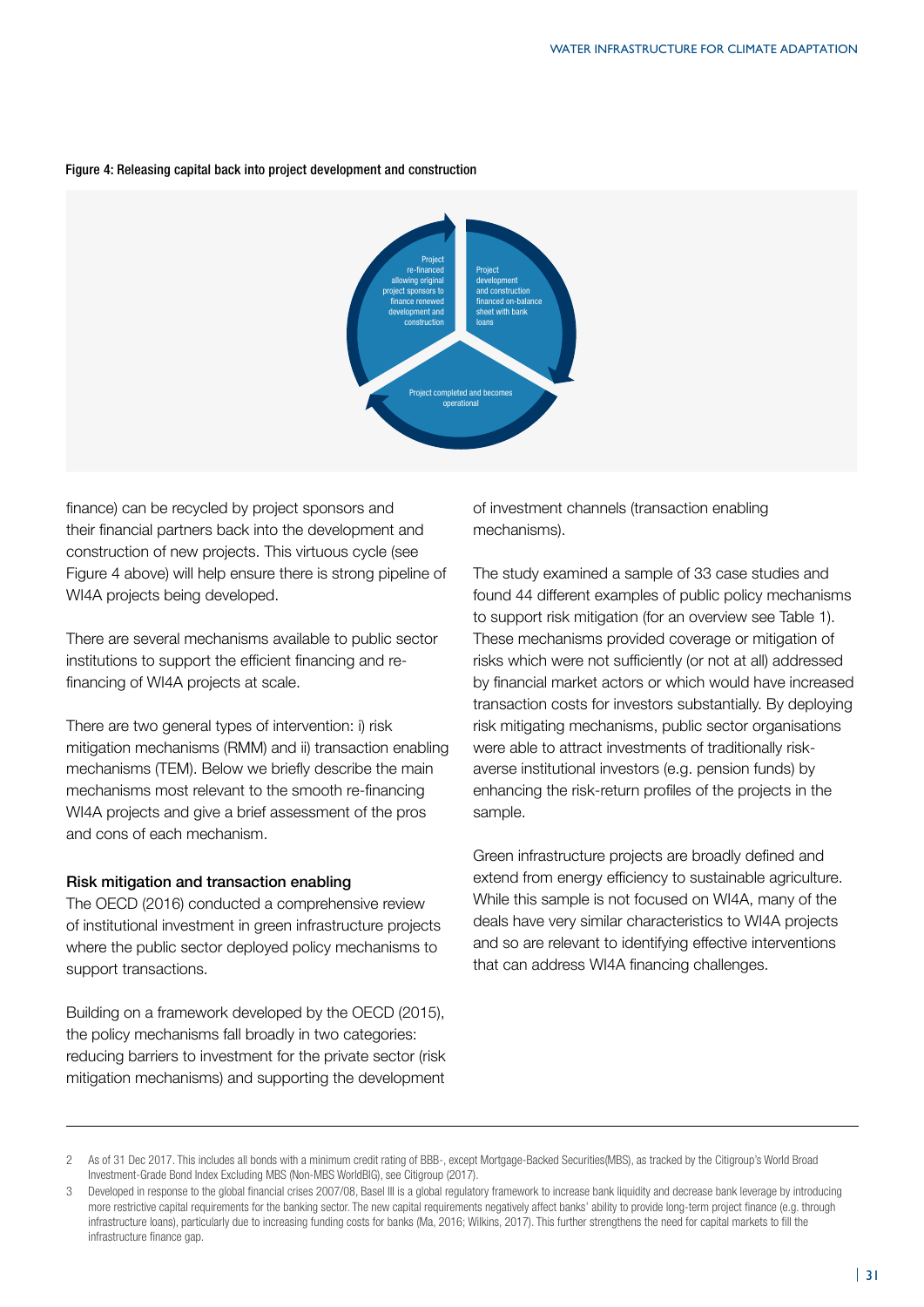

#### Figure 4: Releasing capital back into project development and construction

finance) can be recycled by project sponsors and their financial partners back into the development and construction of new projects. This virtuous cycle (see Figure 4 above) will help ensure there is strong pipeline of WI4A projects being developed.

There are several mechanisms available to public sector institutions to support the efficient financing and refinancing of WI4A projects at scale.

There are two general types of intervention: i) risk mitigation mechanisms (RMM) and ii) transaction enabling mechanisms (TEM). Below we briefly describe the main mechanisms most relevant to the smooth re-financing WI4A projects and give a brief assessment of the pros and cons of each mechanism.

#### Risk mitigation and transaction enabling

The OECD (2016) conducted a comprehensive review of institutional investment in green infrastructure projects where the public sector deployed policy mechanisms to support transactions.

Building on a framework developed by the OECD (2015), the policy mechanisms fall broadly in two categories: reducing barriers to investment for the private sector (risk mitigation mechanisms) and supporting the development

of investment channels (transaction enabling mechanisms).

The study examined a sample of 33 case studies and found 44 different examples of public policy mechanisms to support risk mitigation (for an overview see Table 1). These mechanisms provided coverage or mitigation of risks which were not sufficiently (or not at all) addressed by financial market actors or which would have increased transaction costs for investors substantially. By deploying risk mitigating mechanisms, public sector organisations were able to attract investments of traditionally riskaverse institutional investors (e.g. pension funds) by enhancing the risk-return profiles of the projects in the sample.

Green infrastructure projects are broadly defined and extend from energy efficiency to sustainable agriculture. While this sample is not focused on WI4A, many of the deals have very similar characteristics to WI4A projects and so are relevant to identifying effective interventions that can address WI4A financing challenges.

<sup>2</sup> As of 31 Dec 2017. This includes all bonds with a minimum credit rating of BBB-, except Mortgage-Backed Securities(MBS), as tracked by the Citigroup's World Broad Investment-Grade Bond Index Excluding MBS (Non-MBS WorldBIG), see Citigroup (2017).

<sup>3</sup> Developed in response to the global financial crises 2007/08, Basel III is a global regulatory framework to increase bank liquidity and decrease bank leverage by introducing more restrictive capital requirements for the banking sector. The new capital requirements negatively affect banks' ability to provide long-term project finance (e.g. through infrastructure loans), particularly due to increasing funding costs for banks (Ma, 2016; Wilkins, 2017). This further strengthens the need for capital markets to fill the infrastructure finance gap.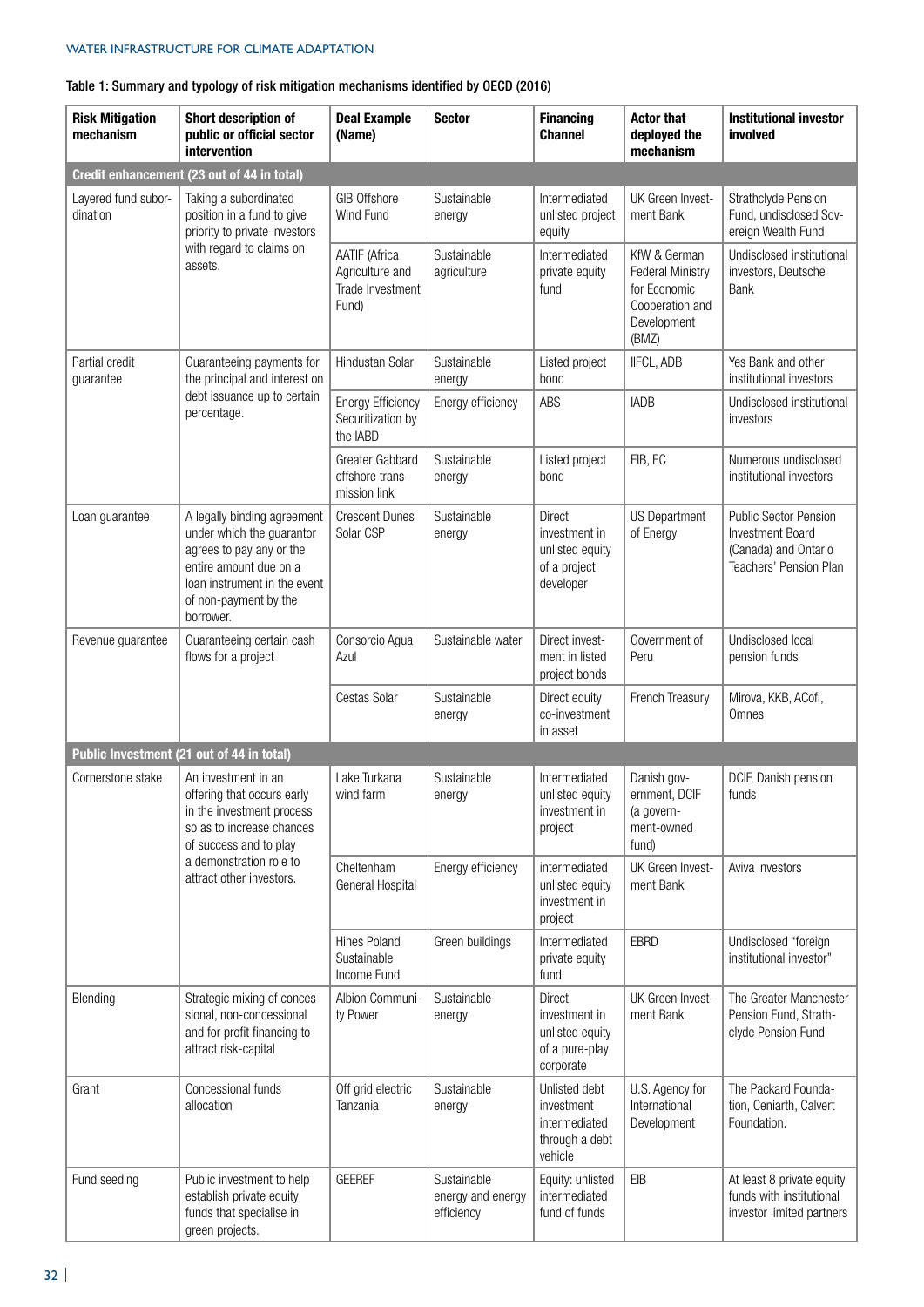#### WATER INFRASTRUCTURE FOR CLIMATE ADAPTATION

#### Table 1: Summary and typology of risk mitigation mechanisms identified by OECD (2016)

| <b>Risk Mitigation</b><br>mechanism                                                           | Short description of<br>public or official sector<br>intervention                                                                                                                            | <b>Deal Example</b><br>(Name)                                        | <b>Sector</b>                                  | <b>Financing</b><br><b>Channel</b>                                             | <b>Actor that</b><br>deployed the<br>mechanism                                                     | <b>Institutional investor</b><br>involved                                                          |  |
|-----------------------------------------------------------------------------------------------|----------------------------------------------------------------------------------------------------------------------------------------------------------------------------------------------|----------------------------------------------------------------------|------------------------------------------------|--------------------------------------------------------------------------------|----------------------------------------------------------------------------------------------------|----------------------------------------------------------------------------------------------------|--|
| Credit enhancement (23 out of 44 in total)                                                    |                                                                                                                                                                                              |                                                                      |                                                |                                                                                |                                                                                                    |                                                                                                    |  |
| Layered fund subor-<br>dination                                                               | Taking a subordinated<br>position in a fund to give<br>priority to private investors                                                                                                         | <b>GIB Offshore</b><br>Wind Fund                                     | Sustainable<br>energy                          | Intermediated<br>unlisted project<br>equity                                    | UK Green Invest-<br>ment Bank                                                                      | Strathclyde Pension<br>Fund, undisclosed Sov-<br>ereign Wealth Fund                                |  |
|                                                                                               | with regard to claims on<br>assets.                                                                                                                                                          | <b>AATIF (Africa</b><br>Agriculture and<br>Trade Investment<br>Fund) | Sustainable<br>agriculture                     | Intermediated<br>private equity<br>fund                                        | KfW & German<br><b>Federal Ministry</b><br>for Economic<br>Cooperation and<br>Development<br>(BMZ) | Undisclosed institutional<br>investors, Deutsche<br>Bank                                           |  |
| Partial credit<br>guarantee                                                                   | Guaranteeing payments for<br>the principal and interest on                                                                                                                                   | Hindustan Solar                                                      | Sustainable<br>energy                          | Listed project<br>bond                                                         | <b>IIFCL, ADB</b>                                                                                  | Yes Bank and other<br>institutional investors                                                      |  |
| Loan guarantee<br>Revenue guarantee<br>Cornerstone stake<br>Blending<br>Grant<br>Fund seeding | debt issuance up to certain<br>percentage.                                                                                                                                                   | <b>Energy Efficiency</b><br>Securitization by<br>the IABD            | Energy efficiency                              | ABS                                                                            | <b>IADB</b>                                                                                        | Undisclosed institutional<br>investors                                                             |  |
|                                                                                               |                                                                                                                                                                                              | Greater Gabbard<br>offshore trans-<br>mission link                   | Sustainable<br>energy                          | Listed project<br>bond                                                         | EIB, EC                                                                                            | Numerous undisclosed<br>institutional investors                                                    |  |
|                                                                                               | A legally binding agreement<br>under which the guarantor<br>agrees to pay any or the<br>entire amount due on a<br>loan instrument in the event<br>of non-payment by the<br>borrower.         | <b>Crescent Dunes</b><br>Solar CSP                                   | Sustainable<br>energy                          | <b>Direct</b><br>investment in<br>unlisted equity<br>of a project<br>developer | <b>US Department</b><br>of Energy                                                                  | Public Sector Pension<br><b>Investment Board</b><br>(Canada) and Ontario<br>Teachers' Pension Plan |  |
|                                                                                               | Guaranteeing certain cash<br>flows for a project                                                                                                                                             | Consorcio Agua<br>Azul                                               | Sustainable water                              | Direct invest-<br>ment in listed<br>project bonds                              | Government of<br>Peru                                                                              | Undisclosed local<br>pension funds                                                                 |  |
|                                                                                               |                                                                                                                                                                                              | Cestas Solar                                                         | Sustainable<br>energy                          | Direct equity<br>co-investment<br>in asset                                     | French Treasury                                                                                    | Mirova, KKB, ACofi,<br>Omnes                                                                       |  |
|                                                                                               | Public Investment (21 out of 44 in total)                                                                                                                                                    |                                                                      |                                                |                                                                                |                                                                                                    |                                                                                                    |  |
|                                                                                               | An investment in an<br>offering that occurs early<br>in the investment process<br>so as to increase chances<br>of success and to play<br>a demonstration role to<br>attract other investors. | Lake Turkana<br>wind farm                                            | Sustainable<br>energy                          | Intermediated<br>unlisted equity<br>investment in<br>project                   | Danish gov-<br>ernment. DCIF<br>(a govern-<br>ment-owned<br>fund)                                  | DCIF, Danish pension<br>funds                                                                      |  |
|                                                                                               |                                                                                                                                                                                              | Cheltenham<br>General Hospital                                       | Energy efficiency                              | intermediated<br>unlisted equity<br>investment in<br>project                   | UK Green Invest-<br>ment Bank                                                                      | Aviva Investors                                                                                    |  |
|                                                                                               |                                                                                                                                                                                              | Hines Poland<br>Sustainable<br>Income Fund                           | Green buildings                                | Intermediated<br>private equity<br>fund                                        | <b>EBRD</b>                                                                                        | Undisclosed "foreign<br>institutional investor"                                                    |  |
|                                                                                               | Strategic mixing of conces-<br>sional, non-concessional<br>and for profit financing to<br>attract risk-capital                                                                               | Albion Communi-<br>ty Power                                          | Sustainable<br>energy                          | Direct<br>investment in<br>unlisted equity<br>of a pure-play<br>corporate      | UK Green Invest-<br>ment Bank                                                                      | The Greater Manchester<br>Pension Fund, Strath-<br>clyde Pension Fund                              |  |
|                                                                                               | Concessional funds<br>allocation                                                                                                                                                             | Off grid electric<br>Tanzania                                        | Sustainable<br>energy                          | Unlisted debt<br>investment<br>intermediated<br>through a debt<br>vehicle      | U.S. Agency for<br>International<br>Development                                                    | The Packard Founda-<br>tion, Ceniarth, Calvert<br>Foundation.                                      |  |
|                                                                                               | Public investment to help<br>establish private equity<br>funds that specialise in<br>green projects.                                                                                         | <b>GEEREF</b>                                                        | Sustainable<br>energy and energy<br>efficiency | Equity: unlisted<br>intermediated<br>fund of funds                             | EIB                                                                                                | At least 8 private equity<br>funds with institutional<br>investor limited partners                 |  |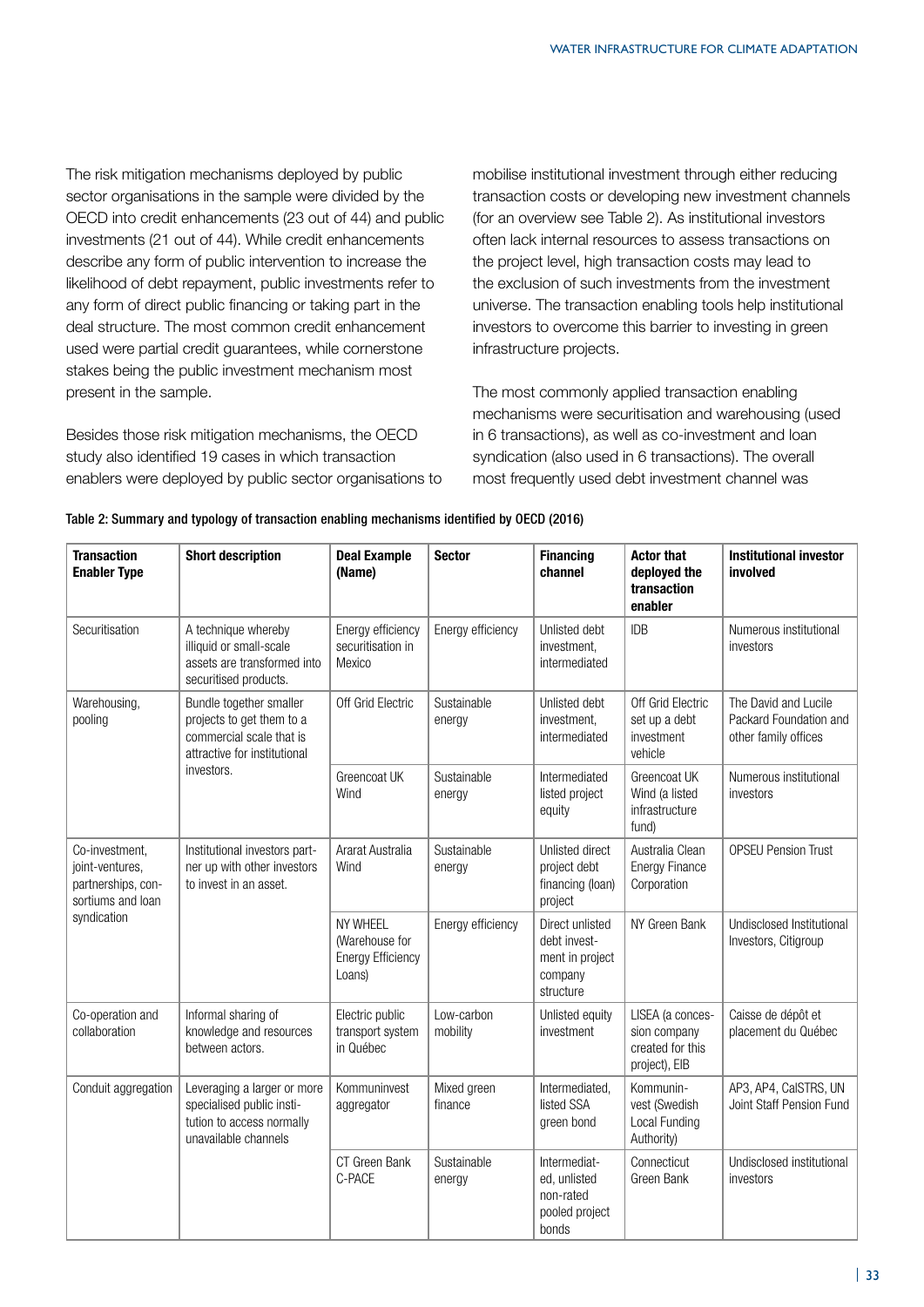The risk mitigation mechanisms deployed by public sector organisations in the sample were divided by the OECD into credit enhancements (23 out of 44) and public investments (21 out of 44). While credit enhancements describe any form of public intervention to increase the likelihood of debt repayment, public investments refer to any form of direct public financing or taking part in the deal structure. The most common credit enhancement used were partial credit guarantees, while cornerstone stakes being the public investment mechanism most present in the sample.

Besides those risk mitigation mechanisms, the OECD study also identified 19 cases in which transaction enablers were deployed by public sector organisations to mobilise institutional investment through either reducing transaction costs or developing new investment channels (for an overview see Table 2). As institutional investors often lack internal resources to assess transactions on the project level, high transaction costs may lead to the exclusion of such investments from the investment universe. The transaction enabling tools help institutional investors to overcome this barrier to investing in green infrastructure projects.

The most commonly applied transaction enabling mechanisms were securitisation and warehousing (used in 6 transactions), as well as co-investment and loan syndication (also used in 6 transactions). The overall most frequently used debt investment channel was

| <b>Transaction</b><br><b>Enabler Type</b>                                    | <b>Short description</b>                                                                                         | <b>Deal Example</b><br>(Name)                                    | <b>Sector</b>          | <b>Financing</b><br>channel                                                | <b>Actor that</b><br>deployed the<br>transaction<br>enabler           | <b>Institutional investor</b><br>involved                              |
|------------------------------------------------------------------------------|------------------------------------------------------------------------------------------------------------------|------------------------------------------------------------------|------------------------|----------------------------------------------------------------------------|-----------------------------------------------------------------------|------------------------------------------------------------------------|
| Securitisation                                                               | A technique whereby<br>illiquid or small-scale<br>assets are transformed into<br>securitised products.           | Energy efficiency<br>securitisation in<br>Mexico                 | Energy efficiency      | Unlisted debt<br>investment,<br>intermediated                              | <b>IDB</b>                                                            | Numerous institutional<br>investors                                    |
| Warehousing,<br>pooling                                                      | Bundle together smaller<br>projects to get them to a<br>commercial scale that is<br>attractive for institutional | Off Grid Electric                                                | Sustainable<br>energy  | Unlisted debt<br>investment,<br>intermediated                              | Off Grid Electric<br>set up a debt<br>investment<br>vehicle           | The David and Lucile<br>Packard Foundation and<br>other family offices |
|                                                                              | investors.                                                                                                       | Greencoat UK<br>Wind                                             | Sustainable<br>energy  | Intermediated<br>listed project<br>equity                                  | Greencoat UK<br>Wind (a listed<br>infrastructure<br>fund)             | Numerous institutional<br>investors                                    |
| Co-investment,<br>joint-ventures,<br>partnerships, con-<br>sortiums and loan | Institutional investors part-<br>ner up with other investors<br>to invest in an asset.                           | Ararat Australia<br>Wind                                         | Sustainable<br>energy  | Unlisted direct<br>project debt<br>financing (loan)<br>project             | Australia Clean<br><b>Energy Finance</b><br>Corporation               | <b>OPSEU Pension Trust</b>                                             |
| syndication                                                                  |                                                                                                                  | NY WHEEL<br>(Warehouse for<br><b>Energy Efficiency</b><br>Loans) | Energy efficiency      | Direct unlisted<br>debt invest-<br>ment in project<br>company<br>structure | NY Green Bank                                                         | Undisclosed Institutional<br>Investors, Citigroup                      |
| Co-operation and<br>collaboration                                            | Informal sharing of<br>knowledge and resources<br>between actors.                                                | Electric public<br>transport system<br>in Québec                 | Low-carbon<br>mobility | Unlisted equity<br>investment                                              | LISEA (a conces-<br>sion company<br>created for this<br>project), EIB | Caisse de dépôt et<br>placement du Québec                              |
| Conduit aggregation                                                          | Leveraging a larger or more<br>specialised public insti-<br>tution to access normally<br>unavailable channels    | Kommuninvest<br>aggregator                                       | Mixed green<br>finance | Intermediated,<br>listed SSA<br>green bond                                 | Kommunin-<br>vest (Swedish<br><b>Local Funding</b><br>Authority)      | AP3, AP4, CalSTRS, UN<br>Joint Staff Pension Fund                      |
|                                                                              |                                                                                                                  | CT Green Bank<br>C-PACE                                          | Sustainable<br>energy  | Intermediat-<br>ed. unlisted<br>non-rated<br>pooled project<br>bonds       | Connecticut<br>Green Bank                                             | Undisclosed institutional<br>investors                                 |

| Table 2: Summary and typology of transaction enabling mechanisms identified by OECD (2016) |  |  |  |
|--------------------------------------------------------------------------------------------|--|--|--|
|                                                                                            |  |  |  |
|                                                                                            |  |  |  |
|                                                                                            |  |  |  |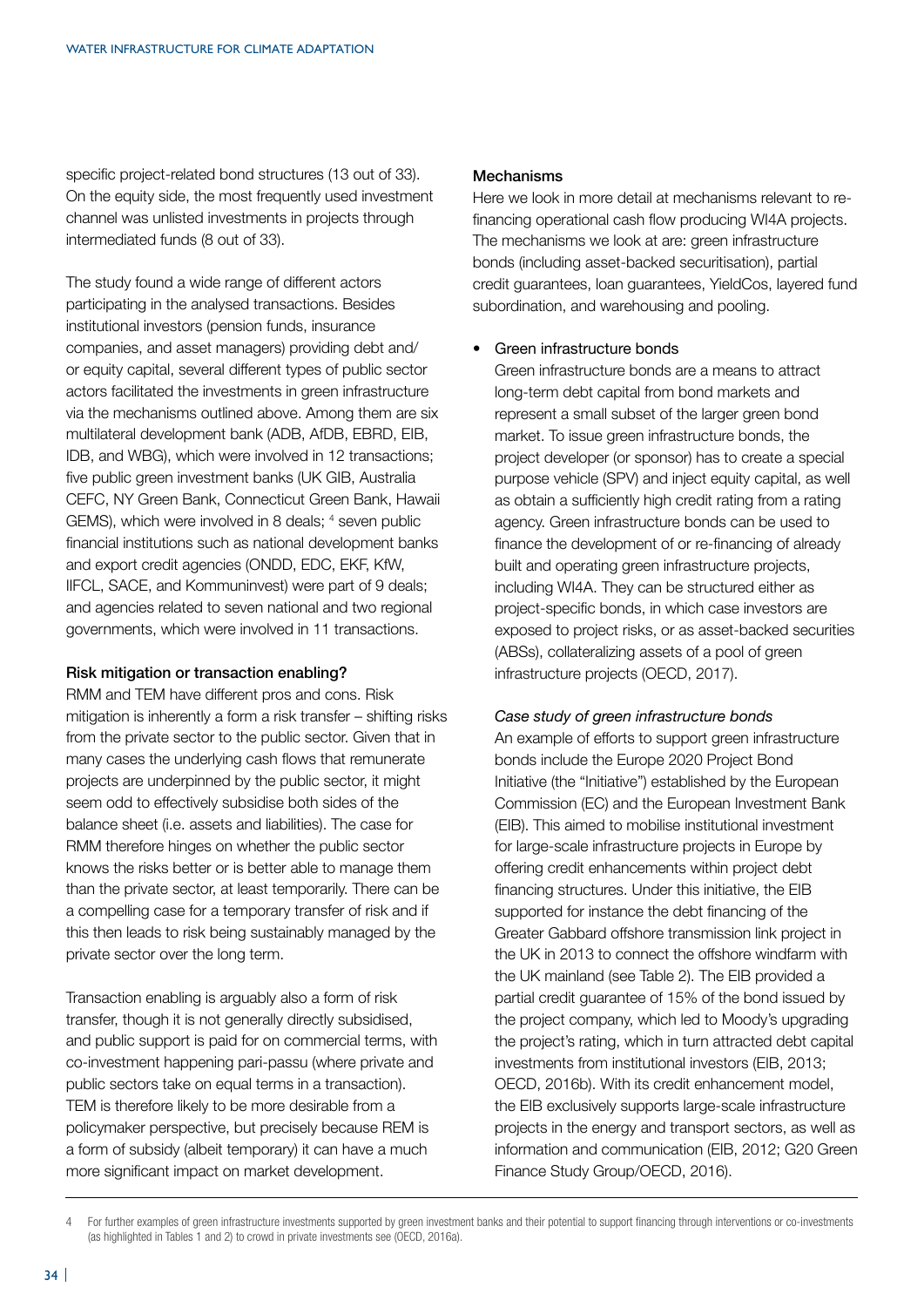specific project-related bond structures (13 out of 33). On the equity side, the most frequently used investment channel was unlisted investments in projects through intermediated funds (8 out of 33).

The study found a wide range of different actors participating in the analysed transactions. Besides institutional investors (pension funds, insurance companies, and asset managers) providing debt and/ or equity capital, several different types of public sector actors facilitated the investments in green infrastructure via the mechanisms outlined above. Among them are six multilateral development bank (ADB, AfDB, EBRD, EIB, IDB, and WBG), which were involved in 12 transactions; five public green investment banks (UK GIB, Australia CEFC, NY Green Bank, Connecticut Green Bank, Hawaii GEMS), which were involved in 8 deals; <sup>4</sup> seven public financial institutions such as national development banks and export credit agencies (ONDD, EDC, EKF, KfW, IIFCL, SACE, and Kommuninvest) were part of 9 deals; and agencies related to seven national and two regional governments, which were involved in 11 transactions.

#### Risk mitigation or transaction enabling?

RMM and TEM have different pros and cons. Risk mitigation is inherently a form a risk transfer – shifting risks from the private sector to the public sector. Given that in many cases the underlying cash flows that remunerate projects are underpinned by the public sector, it might seem odd to effectively subsidise both sides of the balance sheet (i.e. assets and liabilities). The case for RMM therefore hinges on whether the public sector knows the risks better or is better able to manage them than the private sector, at least temporarily. There can be a compelling case for a temporary transfer of risk and if this then leads to risk being sustainably managed by the private sector over the long term.

Transaction enabling is arguably also a form of risk transfer, though it is not generally directly subsidised, and public support is paid for on commercial terms, with co-investment happening pari-passu (where private and public sectors take on equal terms in a transaction). TEM is therefore likely to be more desirable from a policymaker perspective, but precisely because REM is a form of subsidy (albeit temporary) it can have a much more significant impact on market development.

#### **Mechanisms**

Here we look in more detail at mechanisms relevant to refinancing operational cash flow producing WI4A projects. The mechanisms we look at are: green infrastructure bonds (including asset-backed securitisation), partial credit guarantees, loan guarantees, YieldCos, layered fund subordination, and warehousing and pooling.

#### Green infrastructure bonds

Green infrastructure bonds are a means to attract long-term debt capital from bond markets and represent a small subset of the larger green bond market. To issue green infrastructure bonds, the project developer (or sponsor) has to create a special purpose vehicle (SPV) and inject equity capital, as well as obtain a sufficiently high credit rating from a rating agency. Green infrastructure bonds can be used to finance the development of or re-financing of already built and operating green infrastructure projects, including WI4A. They can be structured either as project-specific bonds, in which case investors are exposed to project risks, or as asset-backed securities (ABSs), collateralizing assets of a pool of green infrastructure projects (OECD, 2017).

#### *Case study of green infrastructure bonds*

An example of efforts to support green infrastructure bonds include the Europe 2020 Project Bond Initiative (the "Initiative") established by the European Commission (EC) and the European Investment Bank (EIB). This aimed to mobilise institutional investment for large-scale infrastructure projects in Europe by offering credit enhancements within project debt financing structures. Under this initiative, the EIB supported for instance the debt financing of the Greater Gabbard offshore transmission link project in the UK in 2013 to connect the offshore windfarm with the UK mainland (see Table 2). The EIB provided a partial credit guarantee of 15% of the bond issued by the project company, which led to Moody's upgrading the project's rating, which in turn attracted debt capital investments from institutional investors (EIB, 2013; OECD, 2016b). With its credit enhancement model, the EIB exclusively supports large-scale infrastructure projects in the energy and transport sectors, as well as information and communication (EIB, 2012; G20 Green Finance Study Group/OECD, 2016).

<sup>4</sup> For further examples of green infrastructure investments supported by green investment banks and their potential to support financing through interventions or co-investments (as highlighted in Tables 1 and 2) to crowd in private investments see (OECD, 2016a).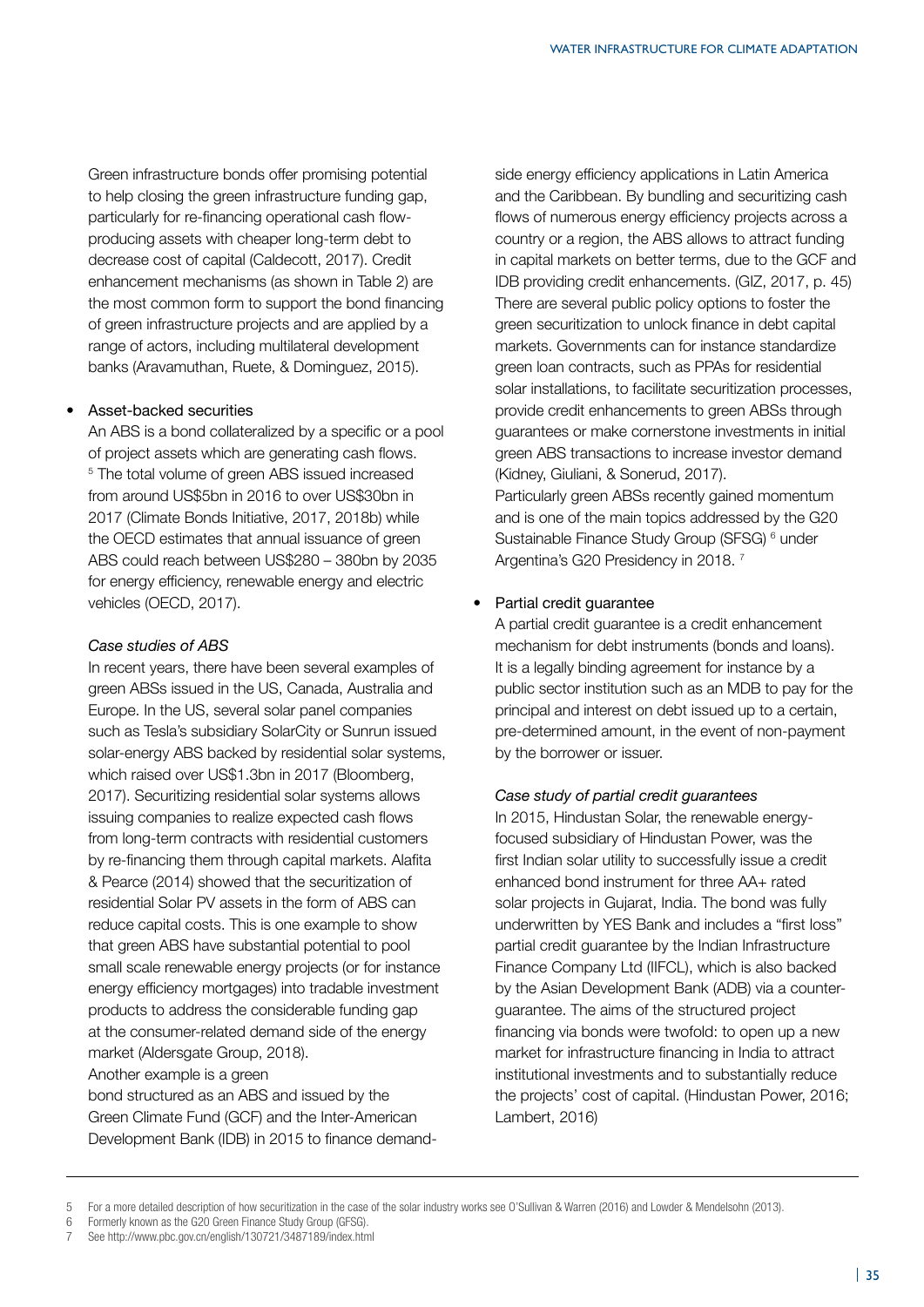Green infrastructure bonds offer promising potential to help closing the green infrastructure funding gap, particularly for re-financing operational cash flowproducing assets with cheaper long-term debt to decrease cost of capital (Caldecott, 2017). Credit enhancement mechanisms (as shown in Table 2) are the most common form to support the bond financing of green infrastructure projects and are applied by a range of actors, including multilateral development banks (Aravamuthan, Ruete, & Dominguez, 2015).

#### Asset-backed securities

An ABS is a bond collateralized by a specific or a pool of project assets which are generating cash flows. 5 The total volume of green ABS issued increased from around US\$5bn in 2016 to over US\$30bn in 2017 (Climate Bonds Initiative, 2017, 2018b) while the OECD estimates that annual issuance of green ABS could reach between US\$280 – 380bn by 2035 for energy efficiency, renewable energy and electric vehicles (OECD, 2017).

#### *Case studies of ABS*

In recent years, there have been several examples of green ABSs issued in the US, Canada, Australia and Europe. In the US, several solar panel companies such as Tesla's subsidiary SolarCity or Sunrun issued solar-energy ABS backed by residential solar systems, which raised over US\$1.3bn in 2017 (Bloomberg, 2017). Securitizing residential solar systems allows issuing companies to realize expected cash flows from long-term contracts with residential customers by re-financing them through capital markets. Alafita & Pearce (2014) showed that the securitization of residential Solar PV assets in the form of ABS can reduce capital costs. This is one example to show that green ABS have substantial potential to pool small scale renewable energy projects (or for instance energy efficiency mortgages) into tradable investment products to address the considerable funding gap at the consumer-related demand side of the energy market (Aldersgate Group, 2018).

Another example is a green

bond structured as an ABS and issued by the Green Climate Fund (GCF) and the Inter-American Development Bank (IDB) in 2015 to finance demand-

side energy efficiency applications in Latin America and the Caribbean. By bundling and securitizing cash flows of numerous energy efficiency projects across a country or a region, the ABS allows to attract funding in capital markets on better terms, due to the GCF and IDB providing credit enhancements. (GIZ, 2017, p. 45) There are several public policy options to foster the green securitization to unlock finance in debt capital markets. Governments can for instance standardize green loan contracts, such as PPAs for residential solar installations, to facilitate securitization processes, provide credit enhancements to green ABSs through guarantees or make cornerstone investments in initial green ABS transactions to increase investor demand (Kidney, Giuliani, & Sonerud, 2017). Particularly green ABSs recently gained momentum and is one of the main topics addressed by the G20 Sustainable Finance Study Group (SFSG)<sup>6</sup> under Argentina's G20 Presidency in 2018.<sup>7</sup>

#### • Partial credit guarantee

A partial credit guarantee is a credit enhancement mechanism for debt instruments (bonds and loans). It is a legally binding agreement for instance by a public sector institution such as an MDB to pay for the principal and interest on debt issued up to a certain, pre-determined amount, in the event of non-payment by the borrower or issuer.

#### *Case study of partial credit guarantees*

In 2015, Hindustan Solar, the renewable energyfocused subsidiary of Hindustan Power, was the first Indian solar utility to successfully issue a credit enhanced bond instrument for three AA+ rated solar projects in Gujarat, India. The bond was fully underwritten by YES Bank and includes a "first loss" partial credit guarantee by the Indian Infrastructure Finance Company Ltd (IIFCL), which is also backed by the Asian Development Bank (ADB) via a counterguarantee. The aims of the structured project financing via bonds were twofold: to open up a new market for infrastructure financing in India to attract institutional investments and to substantially reduce the projects' cost of capital. (Hindustan Power, 2016; Lambert, 2016)

<sup>5</sup> For a more detailed description of how securitization in the case of the solar industry works see O'Sullivan & Warren (2016) and Lowder & Mendelsohn (2013).

<sup>6</sup> Formerly known as the G20 Green Finance Study Group (GFSG).

See http://www.pbc.gov.cn/english/130721/3487189/index.html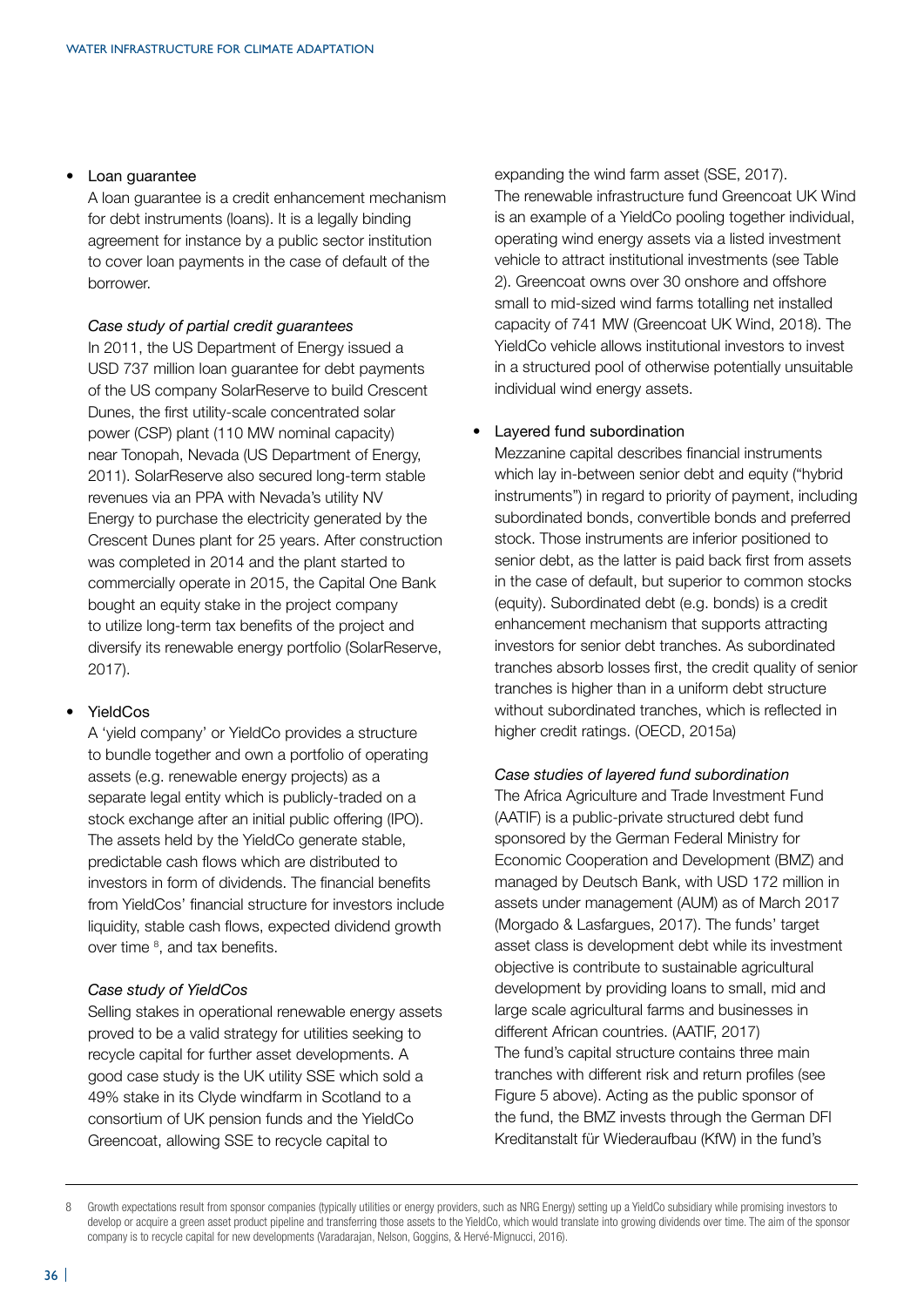#### Loan guarantee

A loan guarantee is a credit enhancement mechanism for debt instruments (loans). It is a legally binding agreement for instance by a public sector institution to cover loan payments in the case of default of the borrower.

#### *Case study of partial credit guarantees*

In 2011, the US Department of Energy issued a USD 737 million loan guarantee for debt payments of the US company SolarReserve to build Crescent Dunes, the first utility-scale concentrated solar power (CSP) plant (110 MW nominal capacity) near Tonopah, Nevada (US Department of Energy, 2011). SolarReserve also secured long-term stable revenues via an PPA with Nevada's utility NV Energy to purchase the electricity generated by the Crescent Dunes plant for 25 years. After construction was completed in 2014 and the plant started to commercially operate in 2015, the Capital One Bank bought an equity stake in the project company to utilize long-term tax benefits of the project and diversify its renewable energy portfolio (SolarReserve, 2017).

#### **YieldCos**

A 'yield company' or YieldCo provides a structure to bundle together and own a portfolio of operating assets (e.g. renewable energy projects) as a separate legal entity which is publicly-traded on a stock exchange after an initial public offering (IPO). The assets held by the YieldCo generate stable, predictable cash flows which are distributed to investors in form of dividends. The financial benefits from YieldCos' financial structure for investors include liquidity, stable cash flows, expected dividend growth over time <sup>8</sup>, and tax benefits.

#### *Case study of YieldCos*

Selling stakes in operational renewable energy assets proved to be a valid strategy for utilities seeking to recycle capital for further asset developments. A good case study is the UK utility SSE which sold a 49% stake in its Clyde windfarm in Scotland to a consortium of UK pension funds and the YieldCo Greencoat, allowing SSE to recycle capital to

expanding the wind farm asset (SSE, 2017). The renewable infrastructure fund Greencoat UK Wind is an example of a YieldCo pooling together individual, operating wind energy assets via a listed investment vehicle to attract institutional investments (see Table 2). Greencoat owns over 30 onshore and offshore small to mid-sized wind farms totalling net installed capacity of 741 MW (Greencoat UK Wind, 2018). The YieldCo vehicle allows institutional investors to invest in a structured pool of otherwise potentially unsuitable individual wind energy assets.

#### • Layered fund subordination

Mezzanine capital describes financial instruments which lay in-between senior debt and equity ("hybrid instruments") in regard to priority of payment, including subordinated bonds, convertible bonds and preferred stock. Those instruments are inferior positioned to senior debt, as the latter is paid back first from assets in the case of default, but superior to common stocks (equity). Subordinated debt (e.g. bonds) is a credit enhancement mechanism that supports attracting investors for senior debt tranches. As subordinated tranches absorb losses first, the credit quality of senior tranches is higher than in a uniform debt structure without subordinated tranches, which is reflected in higher credit ratings. (OECD, 2015a)

#### *Case studies of layered fund subordination*

The Africa Agriculture and Trade Investment Fund (AATIF) is a public-private structured debt fund sponsored by the German Federal Ministry for Economic Cooperation and Development (BMZ) and managed by Deutsch Bank, with USD 172 million in assets under management (AUM) as of March 2017 (Morgado & Lasfargues, 2017). The funds' target asset class is development debt while its investment objective is contribute to sustainable agricultural development by providing loans to small, mid and large scale agricultural farms and businesses in different African countries. (AATIF, 2017) The fund's capital structure contains three main tranches with different risk and return profiles (see Figure 5 above). Acting as the public sponsor of the fund, the BMZ invests through the German DFI Kreditanstalt für Wiederaufbau (KfW) in the fund's

<sup>8</sup> Growth expectations result from sponsor companies (typically utilities or energy providers, such as NRG Energy) setting up a YieldCo subsidiary while promising investors to develop or acquire a green asset product pipeline and transferring those assets to the YieldCo, which would translate into growing dividends over time. The aim of the sponsor company is to recycle capital for new developments (Varadarajan, Nelson, Goggins, & Hervé-Mignucci, 2016).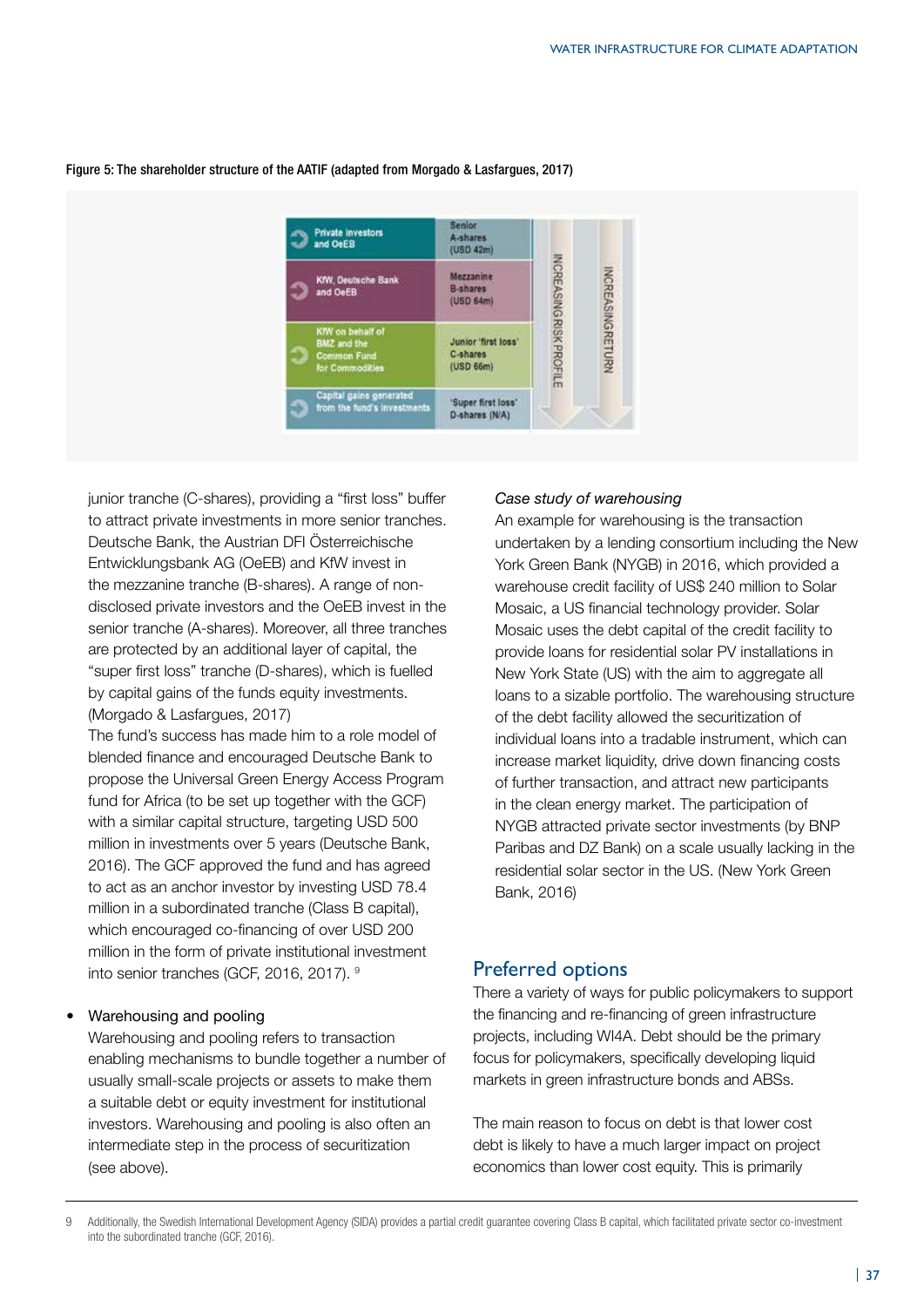

#### Figure 5: The shareholder structure of the AATIF (adapted from Morgado & Lasfargues, 2017)

junior tranche (C-shares), providing a "first loss" buffer to attract private investments in more senior tranches. Deutsche Bank, the Austrian DFI Österreichische Entwicklungsbank AG (OeEB) and KfW invest in the mezzanine tranche (B-shares). A range of nondisclosed private investors and the OeEB invest in the senior tranche (A-shares). Moreover, all three tranches are protected by an additional layer of capital, the "super first loss" tranche (D-shares), which is fuelled by capital gains of the funds equity investments. (Morgado & Lasfargues, 2017)

The fund's success has made him to a role model of blended finance and encouraged Deutsche Bank to propose the Universal Green Energy Access Program fund for Africa (to be set up together with the GCF) with a similar capital structure, targeting USD 500 million in investments over 5 years (Deutsche Bank, 2016). The GCF approved the fund and has agreed to act as an anchor investor by investing USD 78.4 million in a subordinated tranche (Class B capital), which encouraged co-financing of over USD 200 million in the form of private institutional investment into senior tranches (GCF, 2016, 2017). <sup>9</sup>

#### Warehousing and pooling

Warehousing and pooling refers to transaction enabling mechanisms to bundle together a number of usually small-scale projects or assets to make them a suitable debt or equity investment for institutional investors. Warehousing and pooling is also often an intermediate step in the process of securitization (see above).

#### *Case study of warehousing*

An example for warehousing is the transaction undertaken by a lending consortium including the New York Green Bank (NYGB) in 2016, which provided a warehouse credit facility of US\$ 240 million to Solar Mosaic, a US financial technology provider. Solar Mosaic uses the debt capital of the credit facility to provide loans for residential solar PV installations in New York State (US) with the aim to aggregate all loans to a sizable portfolio. The warehousing structure of the debt facility allowed the securitization of individual loans into a tradable instrument, which can increase market liquidity, drive down financing costs of further transaction, and attract new participants in the clean energy market. The participation of NYGB attracted private sector investments (by BNP Paribas and DZ Bank) on a scale usually lacking in the residential solar sector in the US. (New York Green Bank, 2016)

#### Preferred options

There a variety of ways for public policymakers to support the financing and re-financing of green infrastructure projects, including WI4A. Debt should be the primary focus for policymakers, specifically developing liquid markets in green infrastructure bonds and ABSs.

The main reason to focus on debt is that lower cost debt is likely to have a much larger impact on project economics than lower cost equity. This is primarily

<sup>9</sup> Additionally, the Swedish International Development Agency (SIDA) provides a partial credit guarantee covering Class B capital, which facilitated private sector co-investment into the subordinated tranche (GCF, 2016).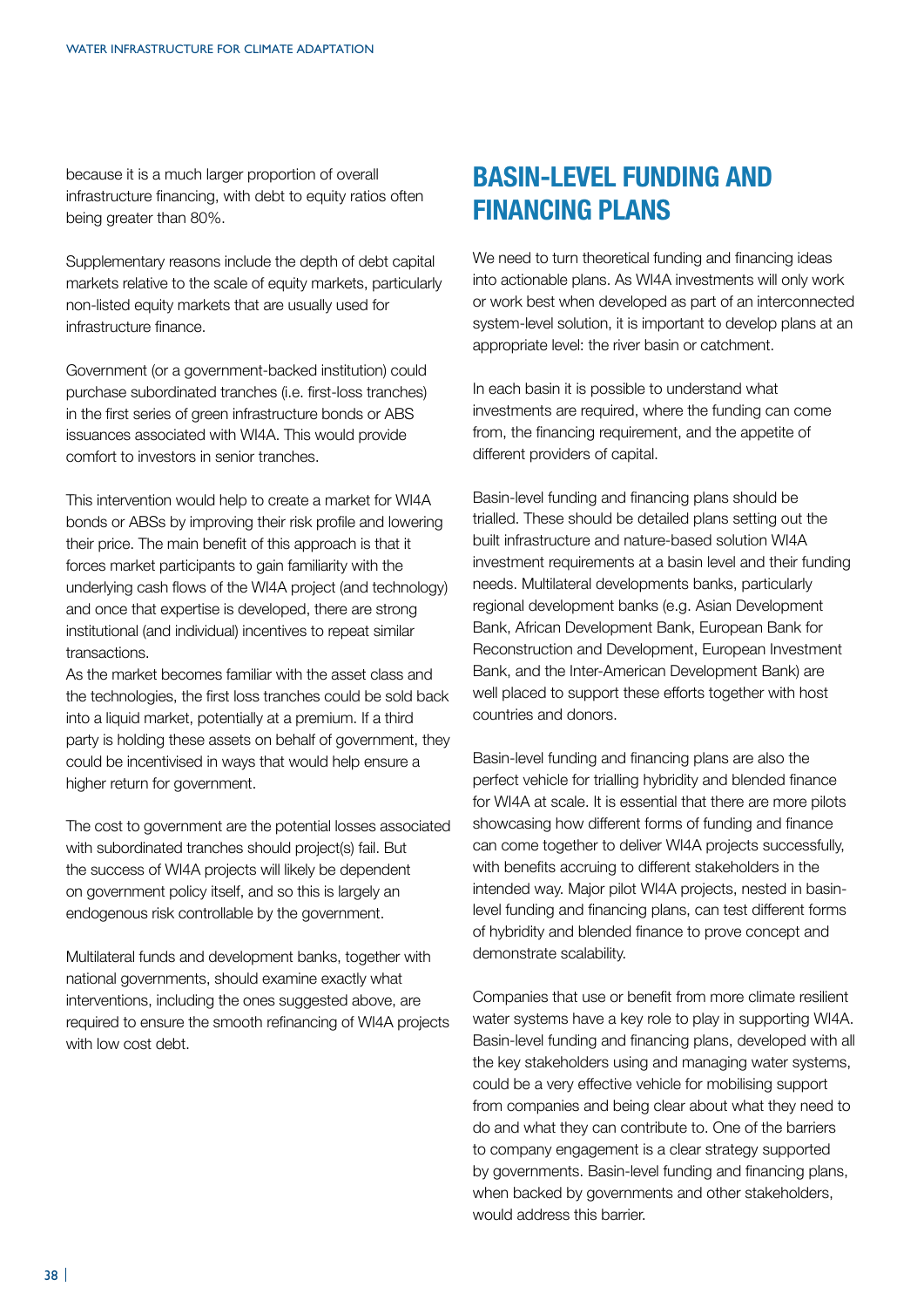because it is a much larger proportion of overall infrastructure financing, with debt to equity ratios often being greater than 80%.

Supplementary reasons include the depth of debt capital markets relative to the scale of equity markets, particularly non-listed equity markets that are usually used for infrastructure finance.

Government (or a government-backed institution) could purchase subordinated tranches (i.e. first-loss tranches) in the first series of green infrastructure bonds or ABS issuances associated with WI4A. This would provide comfort to investors in senior tranches.

This intervention would help to create a market for WI4A bonds or ABSs by improving their risk profile and lowering their price. The main benefit of this approach is that it forces market participants to gain familiarity with the underlying cash flows of the WI4A project (and technology) and once that expertise is developed, there are strong institutional (and individual) incentives to repeat similar transactions.

As the market becomes familiar with the asset class and the technologies, the first loss tranches could be sold back into a liquid market, potentially at a premium. If a third party is holding these assets on behalf of government, they could be incentivised in ways that would help ensure a higher return for government.

The cost to government are the potential losses associated with subordinated tranches should project(s) fail. But the success of WI4A projects will likely be dependent on government policy itself, and so this is largely an endogenous risk controllable by the government.

Multilateral funds and development banks, together with national governments, should examine exactly what interventions, including the ones suggested above, are required to ensure the smooth refinancing of WI4A projects with low cost debt.

### **BASIN-LEVEL FUNDING AND FINANCING PLANS**

We need to turn theoretical funding and financing ideas into actionable plans. As WI4A investments will only work or work best when developed as part of an interconnected system-level solution, it is important to develop plans at an appropriate level: the river basin or catchment.

In each basin it is possible to understand what investments are required, where the funding can come from, the financing requirement, and the appetite of different providers of capital.

Basin-level funding and financing plans should be trialled. These should be detailed plans setting out the built infrastructure and nature-based solution WI4A investment requirements at a basin level and their funding needs. Multilateral developments banks, particularly regional development banks (e.g. Asian Development Bank, African Development Bank, European Bank for Reconstruction and Development, European Investment Bank, and the Inter-American Development Bank) are well placed to support these efforts together with host countries and donors.

Basin-level funding and financing plans are also the perfect vehicle for trialling hybridity and blended finance for WI4A at scale. It is essential that there are more pilots showcasing how different forms of funding and finance can come together to deliver WI4A projects successfully, with benefits accruing to different stakeholders in the intended way. Major pilot WI4A projects, nested in basinlevel funding and financing plans, can test different forms of hybridity and blended finance to prove concept and demonstrate scalability.

Companies that use or benefit from more climate resilient water systems have a key role to play in supporting WI4A. Basin-level funding and financing plans, developed with all the key stakeholders using and managing water systems, could be a very effective vehicle for mobilising support from companies and being clear about what they need to do and what they can contribute to. One of the barriers to company engagement is a clear strategy supported by governments. Basin-level funding and financing plans, when backed by governments and other stakeholders, would address this barrier.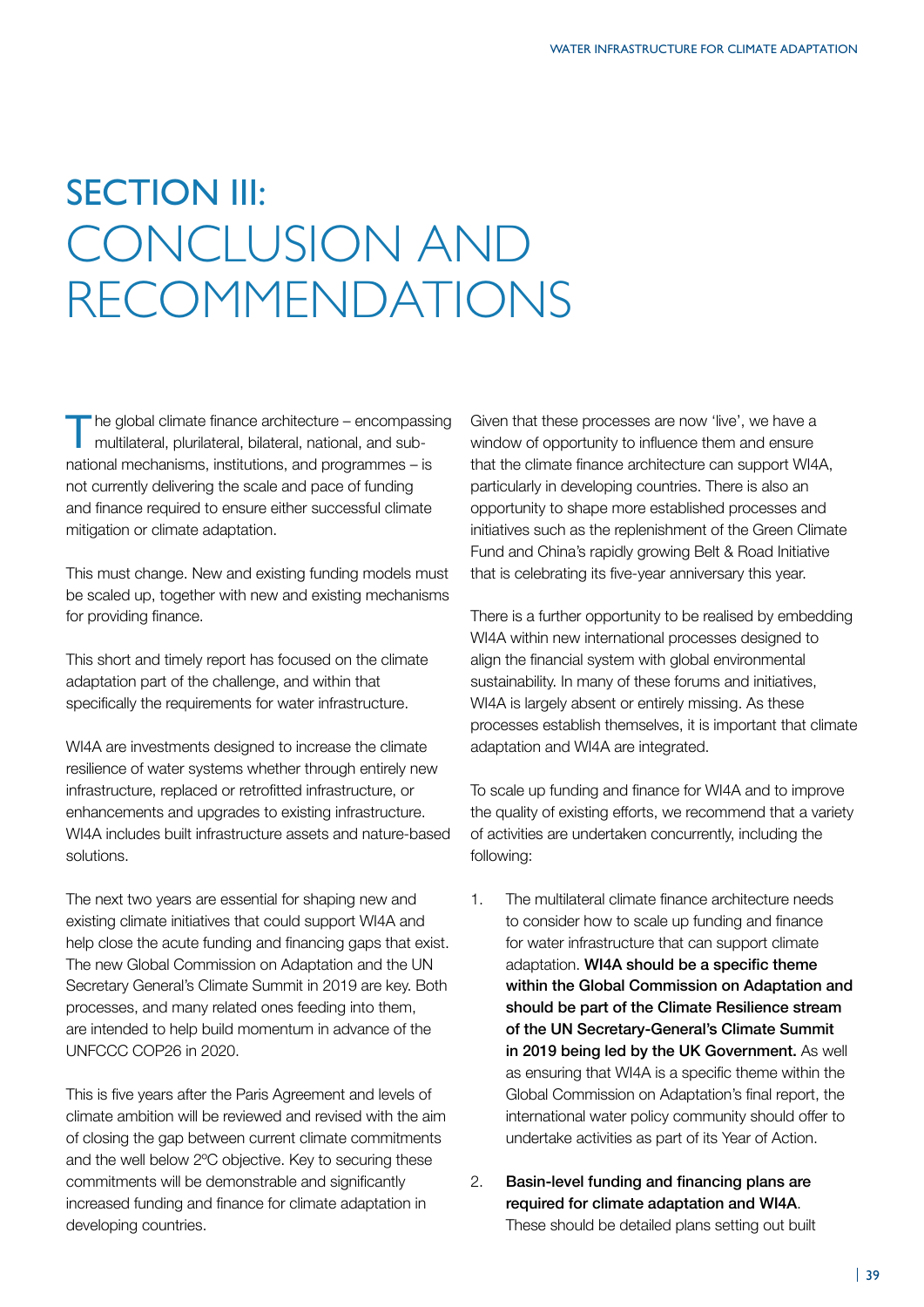## SECTION III: CONCLUSION AND RECOMMENDATIONS

The global climate finance architecture – encompassing<br>multilateral, plurilateral, bilateral, national, and subnational mechanisms, institutions, and programmes – is not currently delivering the scale and pace of funding and finance required to ensure either successful climate mitigation or climate adaptation.

This must change. New and existing funding models must be scaled up, together with new and existing mechanisms for providing finance.

This short and timely report has focused on the climate adaptation part of the challenge, and within that specifically the requirements for water infrastructure.

WI4A are investments designed to increase the climate resilience of water systems whether through entirely new infrastructure, replaced or retrofitted infrastructure, or enhancements and upgrades to existing infrastructure. WI4A includes built infrastructure assets and nature-based solutions.

The next two years are essential for shaping new and existing climate initiatives that could support WI4A and help close the acute funding and financing gaps that exist. The new Global Commission on Adaptation and the UN Secretary General's Climate Summit in 2019 are key. Both processes, and many related ones feeding into them, are intended to help build momentum in advance of the UNFCCC COP26 in 2020.

This is five years after the Paris Agreement and levels of climate ambition will be reviewed and revised with the aim of closing the gap between current climate commitments and the well below 2ºC objective. Key to securing these commitments will be demonstrable and significantly increased funding and finance for climate adaptation in developing countries.

Given that these processes are now 'live', we have a window of opportunity to influence them and ensure that the climate finance architecture can support WI4A, particularly in developing countries. There is also an opportunity to shape more established processes and initiatives such as the replenishment of the Green Climate Fund and China's rapidly growing Belt & Road Initiative that is celebrating its five-year anniversary this year.

There is a further opportunity to be realised by embedding WI4A within new international processes designed to align the financial system with global environmental sustainability. In many of these forums and initiatives, WI4A is largely absent or entirely missing. As these processes establish themselves, it is important that climate adaptation and WI4A are integrated.

To scale up funding and finance for WI4A and to improve the quality of existing efforts, we recommend that a variety of activities are undertaken concurrently, including the following:

- 1. The multilateral climate finance architecture needs to consider how to scale up funding and finance for water infrastructure that can support climate adaptation. WI4A should be a specific theme within the Global Commission on Adaptation and should be part of the Climate Resilience stream of the UN Secretary-General's Climate Summit in 2019 being led by the UK Government. As well as ensuring that WI4A is a specific theme within the Global Commission on Adaptation's final report, the international water policy community should offer to undertake activities as part of its Year of Action.
- 2. Basin-level funding and financing plans are required for climate adaptation and WI4A. These should be detailed plans setting out built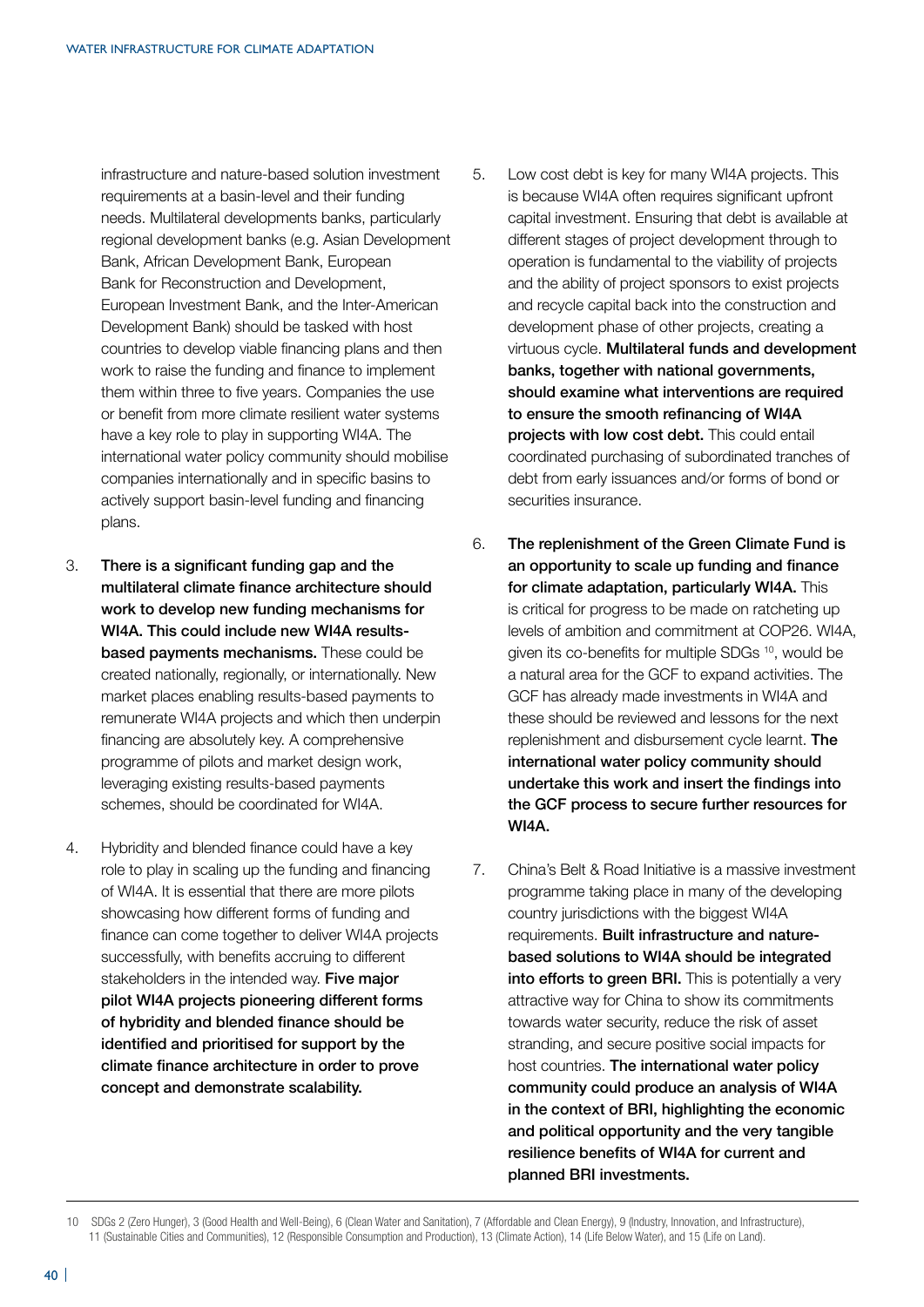infrastructure and nature-based solution investment requirements at a basin-level and their funding needs. Multilateral developments banks, particularly regional development banks (e.g. Asian Development Bank, African Development Bank, European Bank for Reconstruction and Development, European Investment Bank, and the Inter-American Development Bank) should be tasked with host countries to develop viable financing plans and then work to raise the funding and finance to implement them within three to five years. Companies the use or benefit from more climate resilient water systems have a key role to play in supporting WI4A. The international water policy community should mobilise companies internationally and in specific basins to actively support basin-level funding and financing plans.

- 3. There is a significant funding gap and the multilateral climate finance architecture should work to develop new funding mechanisms for WI4A. This could include new WI4A resultsbased payments mechanisms. These could be created nationally, regionally, or internationally. New market places enabling results-based payments to remunerate WI4A projects and which then underpin financing are absolutely key. A comprehensive programme of pilots and market design work, leveraging existing results-based payments schemes, should be coordinated for WI4A.
- 4. Hybridity and blended finance could have a key role to play in scaling up the funding and financing of WI4A. It is essential that there are more pilots showcasing how different forms of funding and finance can come together to deliver WI4A projects successfully, with benefits accruing to different stakeholders in the intended way. Five major pilot WI4A projects pioneering different forms of hybridity and blended finance should be identified and prioritised for support by the climate finance architecture in order to prove concept and demonstrate scalability.
- 5. Low cost debt is key for many WI4A projects. This is because WI4A often requires significant upfront capital investment. Ensuring that debt is available at different stages of project development through to operation is fundamental to the viability of projects and the ability of project sponsors to exist projects and recycle capital back into the construction and development phase of other projects, creating a virtuous cycle. Multilateral funds and development banks, together with national governments, should examine what interventions are required to ensure the smooth refinancing of WI4A projects with low cost debt. This could entail coordinated purchasing of subordinated tranches of debt from early issuances and/or forms of bond or securities insurance.
- 6. The replenishment of the Green Climate Fund is an opportunity to scale up funding and finance for climate adaptation, particularly WI4A. This is critical for progress to be made on ratcheting up levels of ambition and commitment at COP26. WI4A, given its co-benefits for multiple SDGs<sup>10</sup>, would be a natural area for the GCF to expand activities. The GCF has already made investments in WI4A and these should be reviewed and lessons for the next replenishment and disbursement cycle learnt. The international water policy community should undertake this work and insert the findings into the GCF process to secure further resources for WI4A.
- 7. China's Belt & Road Initiative is a massive investment programme taking place in many of the developing country jurisdictions with the biggest WI4A requirements. Built infrastructure and naturebased solutions to WI4A should be integrated into efforts to green BRI. This is potentially a very attractive way for China to show its commitments towards water security, reduce the risk of asset stranding, and secure positive social impacts for host countries. The international water policy community could produce an analysis of WI4A in the context of BRI, highlighting the economic and political opportunity and the very tangible resilience benefits of WI4A for current and planned BRI investments.

<sup>10</sup> SDGs 2 (Zero Hunger), 3 (Good Health and Well-Being), 6 (Clean Water and Sanitation), 7 (Affordable and Clean Energy), 9 (Industry, Innovation, and Infrastructure), 11 (Sustainable Cities and Communities), 12 (Responsible Consumption and Production), 13 (Climate Action), 14 (Life Below Water), and 15 (Life on Land).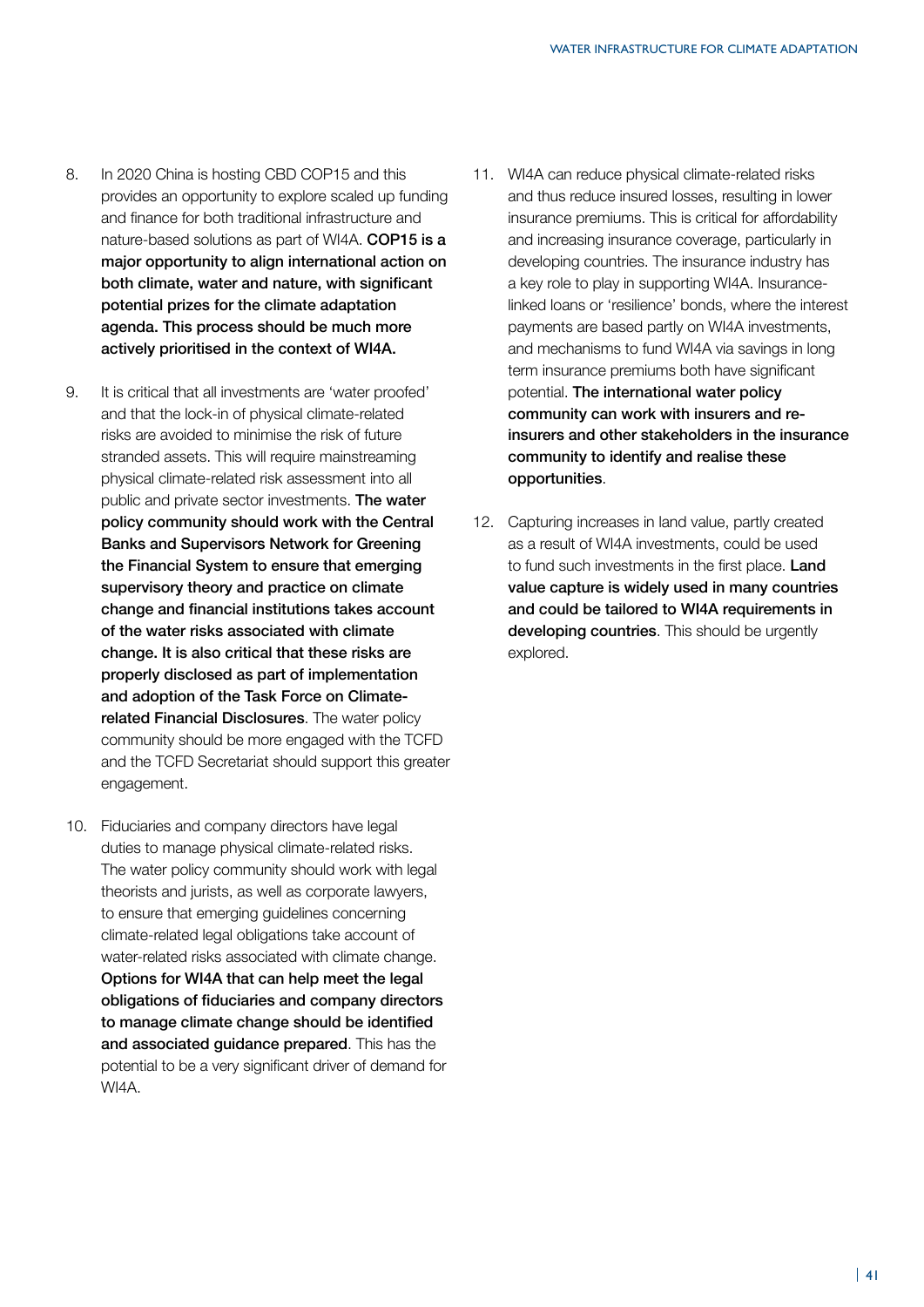- 8. In 2020 China is hosting CBD COP15 and this provides an opportunity to explore scaled up funding and finance for both traditional infrastructure and nature-based solutions as part of WI4A. COP15 is a major opportunity to align international action on both climate, water and nature, with significant potential prizes for the climate adaptation agenda. This process should be much more actively prioritised in the context of WI4A.
- 9. It is critical that all investments are 'water proofed' and that the lock-in of physical climate-related risks are avoided to minimise the risk of future stranded assets. This will require mainstreaming physical climate-related risk assessment into all public and private sector investments. The water policy community should work with the Central Banks and Supervisors Network for Greening the Financial System to ensure that emerging supervisory theory and practice on climate change and financial institutions takes account of the water risks associated with climate change. It is also critical that these risks are properly disclosed as part of implementation and adoption of the Task Force on Climaterelated Financial Disclosures. The water policy community should be more engaged with the TCFD and the TCFD Secretariat should support this greater engagement.
- 10. Fiduciaries and company directors have legal duties to manage physical climate-related risks. The water policy community should work with legal theorists and jurists, as well as corporate lawyers, to ensure that emerging guidelines concerning climate-related legal obligations take account of water-related risks associated with climate change. Options for WI4A that can help meet the legal obligations of fiduciaries and company directors to manage climate change should be identified and associated guidance prepared. This has the potential to be a very significant driver of demand for WI4A.
- 11. WI4A can reduce physical climate-related risks and thus reduce insured losses, resulting in lower insurance premiums. This is critical for affordability and increasing insurance coverage, particularly in developing countries. The insurance industry has a key role to play in supporting WI4A. Insurancelinked loans or 'resilience' bonds, where the interest payments are based partly on WI4A investments, and mechanisms to fund WI4A via savings in long term insurance premiums both have significant potential. The international water policy community can work with insurers and reinsurers and other stakeholders in the insurance community to identify and realise these opportunities.
- 12. Capturing increases in land value, partly created as a result of WI4A investments, could be used to fund such investments in the first place. Land value capture is widely used in many countries and could be tailored to WI4A requirements in developing countries. This should be urgently explored.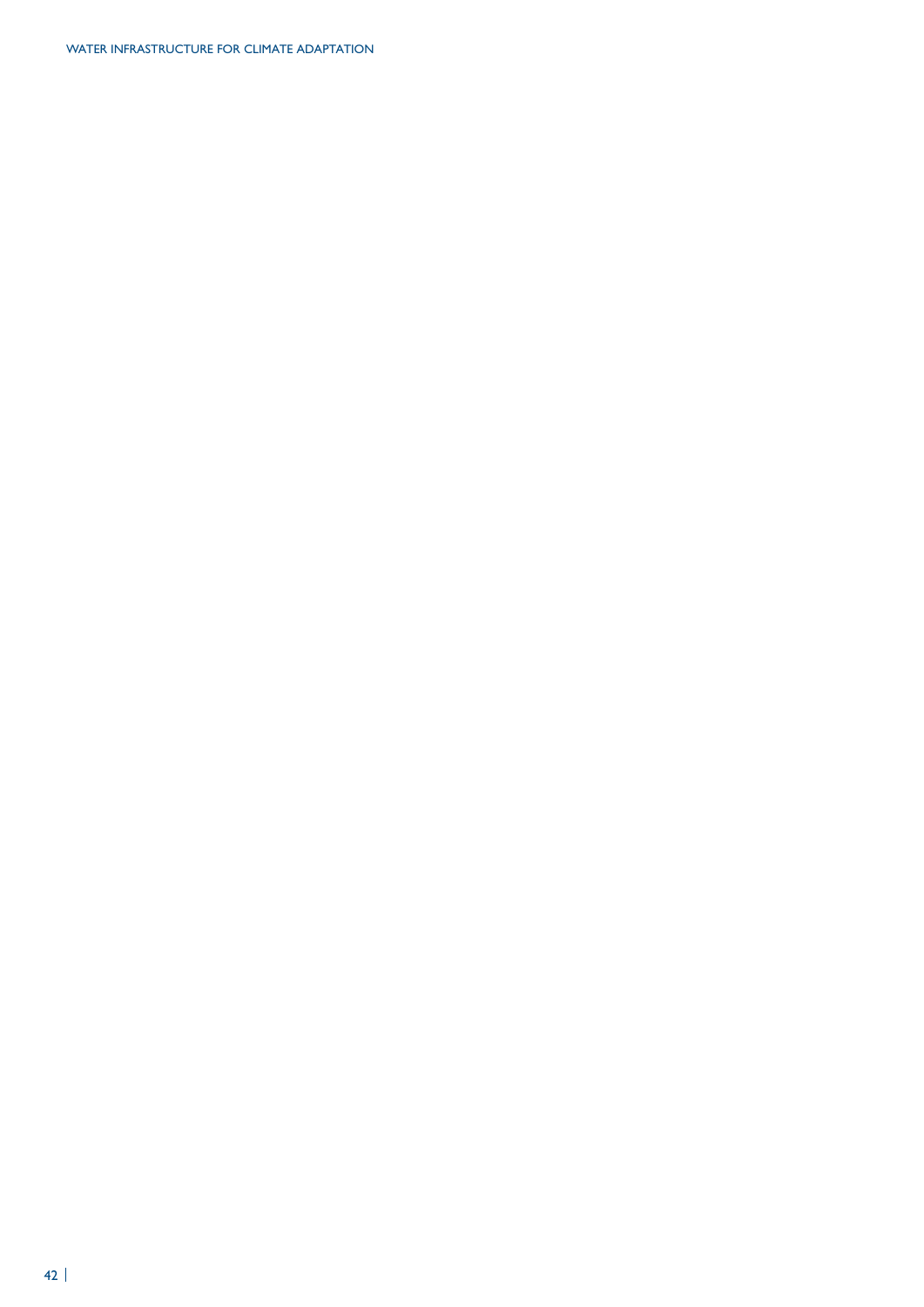WATER INFRASTRUCTURE FOR CLIMATE ADAPTATION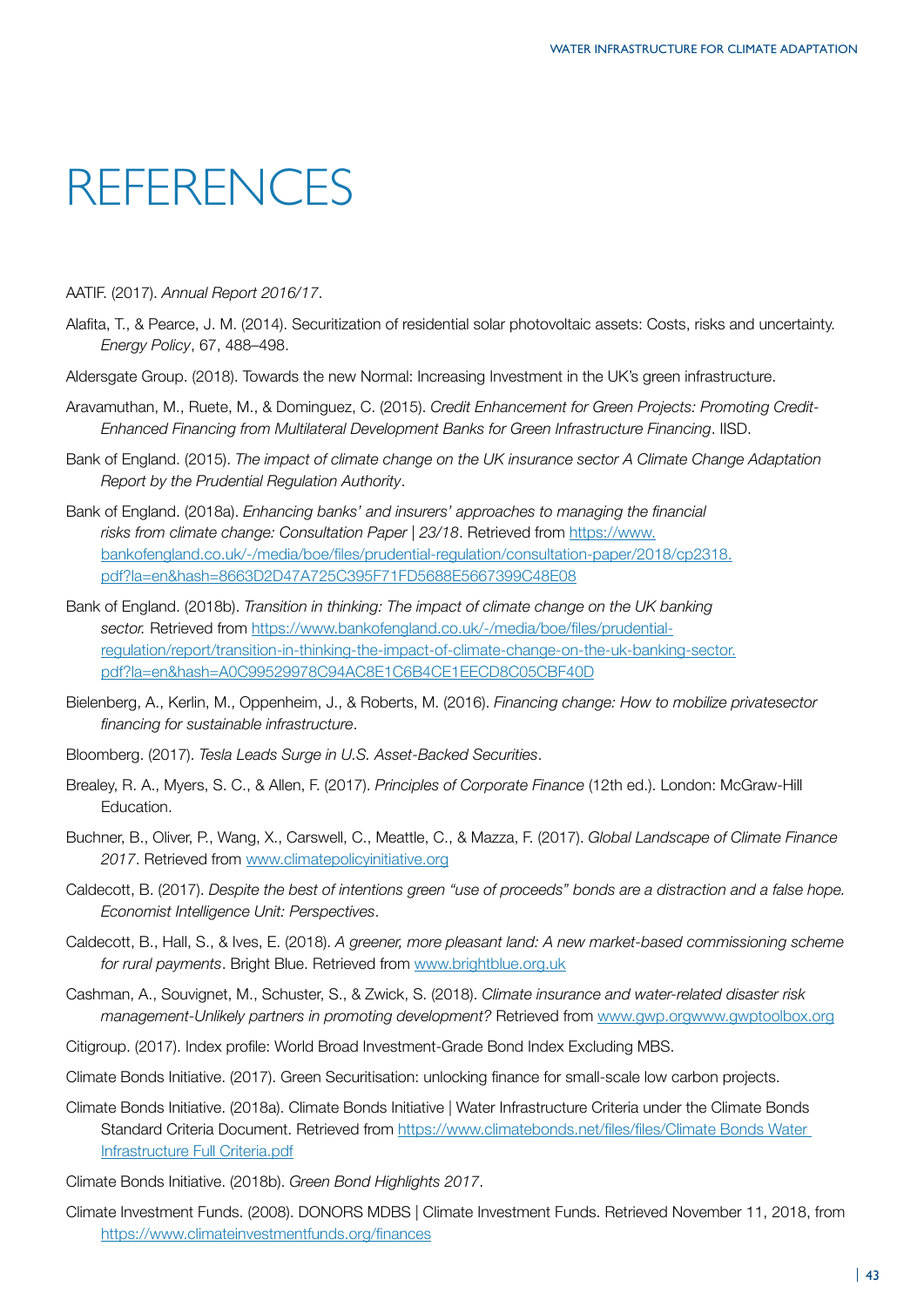## REFERENCES

AATIF. (2017). *Annual Report 2016/17*.

- Alafita, T., & Pearce, J. M. (2014). Securitization of residential solar photovoltaic assets: Costs, risks and uncertainty. *Energy Policy*, 67, 488–498.
- Aldersgate Group. (2018). Towards the new Normal: Increasing Investment in the UK's green infrastructure.
- Aravamuthan, M., Ruete, M., & Dominguez, C. (2015). *Credit Enhancement for Green Projects: Promoting Credit-Enhanced Financing from Multilateral Development Banks for Green Infrastructure Financing*. IISD.
- Bank of England. (2015). *The impact of climate change on the UK insurance sector A Climate Change Adaptation Report by the Prudential Regulation Authority*.
- Bank of England. (2018a). *Enhancing banks' and insurers' approaches to managing the financial*  risks from climate change: Consultation Paper | 23/18. Retrieved from https://www. bankofengland.co.uk/-/media/boe/files/prudential-regulation/consultation-paper/2018/cp2318. pdf?la=en&hash=8663D2D47A725C395F71FD5688E5667399C48E08
- Bank of England. (2018b). *Transition in thinking: The impact of climate change on the UK banking sector.* Retrieved from https://www.bankofengland.co.uk/-/media/boe/files/prudentialregulation/report/transition-in-thinking-the-impact-of-climate-change-on-the-uk-banking-sector. pdf?la=en&hash=A0C99529978C94AC8E1C6B4CE1EECD8C05CBF40D
- Bielenberg, A., Kerlin, M., Oppenheim, J., & Roberts, M. (2016). *Financing change: How to mobilize privatesector financing for sustainable infrastructure*.
- Bloomberg. (2017). *Tesla Leads Surge in U.S. Asset-Backed Securities*.
- Brealey, R. A., Myers, S. C., & Allen, F. (2017). *Principles of Corporate Finance* (12th ed.). London: McGraw-Hill Education.
- Buchner, B., Oliver, P., Wang, X., Carswell, C., Meattle, C., & Mazza, F. (2017). *Global Landscape of Climate Finance 2017*. Retrieved from www.climatepolicyinitiative.org
- Caldecott, B. (2017). *Despite the best of intentions green "use of proceeds" bonds are a distraction and a false hope. Economist Intelligence Unit: Perspectives*.
- Caldecott, B., Hall, S., & Ives, E. (2018). *A greener, more pleasant land: A new market-based commissioning scheme for rural payments*. Bright Blue. Retrieved from www.brightblue.org.uk
- Cashman, A., Souvignet, M., Schuster, S., & Zwick, S. (2018). *Climate insurance and water-related disaster risk management-Unlikely partners in promoting development?* Retrieved from www.gwp.orgwww.gwptoolbox.org
- Citigroup. (2017). Index profile: World Broad Investment-Grade Bond Index Excluding MBS.
- Climate Bonds Initiative. (2017). Green Securitisation: unlocking finance for small-scale low carbon projects.
- Climate Bonds Initiative. (2018a). Climate Bonds Initiative | Water Infrastructure Criteria under the Climate Bonds Standard Criteria Document. Retrieved from https://www.climatebonds.net/files/files/Climate Bonds Water Infrastructure Full Criteria.pdf
- Climate Bonds Initiative. (2018b). *Green Bond Highlights 2017*.
- Climate Investment Funds. (2008). DONORS MDBS | Climate Investment Funds. Retrieved November 11, 2018, from https://www.climateinvestmentfunds.org/finances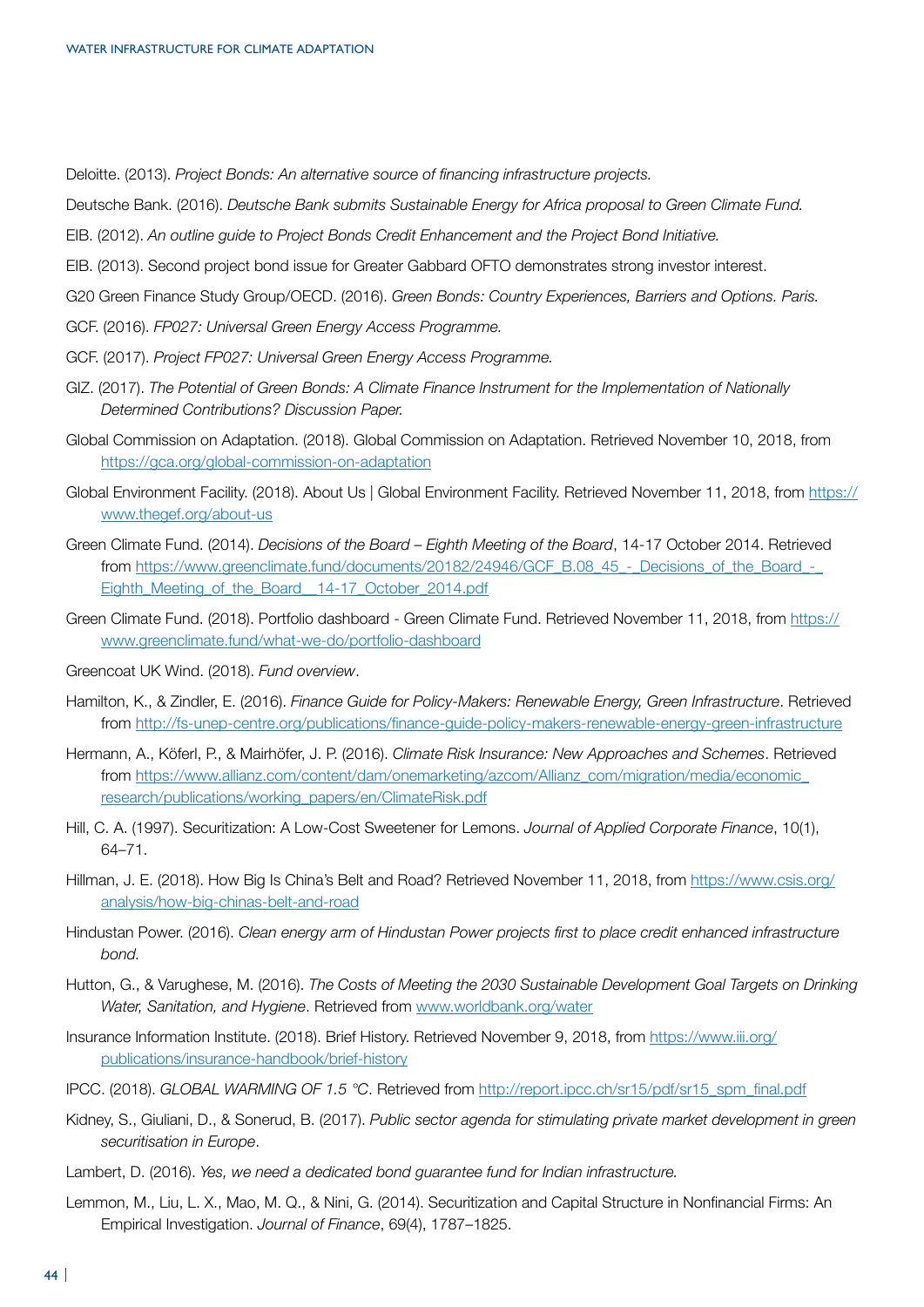Deloitte. (2013). *Project Bonds: An alternative source of financing infrastructure projects.*

Deutsche Bank. (2016). *Deutsche Bank submits Sustainable Energy for Africa proposal to Green Climate Fund.*

- EIB. (2012). *An outline guide to Project Bonds Credit Enhancement and the Project Bond Initiative.*
- EIB. (2013). Second project bond issue for Greater Gabbard OFTO demonstrates strong investor interest.
- G20 Green Finance Study Group/OECD. (2016). *Green Bonds: Country Experiences, Barriers and Options. Paris.*
- GCF. (2016). *FP027: Universal Green Energy Access Programme.*
- GCF. (2017). *Project FP027: Universal Green Energy Access Programme.*
- GIZ. (2017). *The Potential of Green Bonds: A Climate Finance Instrument for the Implementation of Nationally Determined Contributions? Discussion Paper.*
- Global Commission on Adaptation. (2018). Global Commission on Adaptation. Retrieved November 10, 2018, from https://gca.org/global-commission-on-adaptation
- Global Environment Facility. (2018). About Us | Global Environment Facility. Retrieved November 11, 2018, from https:// www.thegef.org/about-us
- Green Climate Fund. (2014). *Decisions of the Board Eighth Meeting of the Board*, 14-17 October 2014. Retrieved from https://www.greenclimate.fund/documents/20182/24946/GCF\_B.08\_45\_-\_Decisions\_of\_the\_Board\_-Eighth\_Meeting\_of\_the\_Board \_14-17\_October\_2014.pdf
- Green Climate Fund. (2018). Portfolio dashboard Green Climate Fund. Retrieved November 11, 2018, from https:// www.greenclimate.fund/what-we-do/portfolio-dashboard
- Greencoat UK Wind. (2018). *Fund overview*.
- Hamilton, K., & Zindler, E. (2016). *Finance Guide for Policy-Makers: Renewable Energy, Green Infrastructure*. Retrieved from http://fs-unep-centre.org/publications/finance-guide-policy-makers-renewable-energy-green-infrastructure
- Hermann, A., Köferl, P., & Mairhöfer, J. P. (2016). *Climate Risk Insurance: New Approaches and Schemes*. Retrieved from https://www.allianz.com/content/dam/onemarketing/azcom/Allianz\_com/migration/media/economic\_ research/publications/working\_papers/en/ClimateRisk.pdf
- Hill, C. A. (1997). Securitization: A Low-Cost Sweetener for Lemons. *Journal of Applied Corporate Finance*, 10(1), 64–71.
- Hillman, J. E. (2018). How Big Is China's Belt and Road? Retrieved November 11, 2018, from https://www.csis.org/ analysis/how-big-chinas-belt-and-road
- Hindustan Power. (2016). *Clean energy arm of Hindustan Power projects first to place credit enhanced infrastructure bond.*
- Hutton, G., & Varughese, M. (2016). *The Costs of Meeting the 2030 Sustainable Development Goal Targets on Drinking Water, Sanitation, and Hygiene*. Retrieved from www.worldbank.org/water
- Insurance Information Institute. (2018). Brief History. Retrieved November 9, 2018, from https://www.iii.org/ publications/insurance-handbook/brief-history
- IPCC. (2018). *GLOBAL WARMING OF 1.5 °C*. Retrieved from http://report.ipcc.ch/sr15/pdf/sr15\_spm\_final.pdf
- Kidney, S., Giuliani, D., & Sonerud, B. (2017). *Public sector agenda for stimulating private market development in green securitisation in Europe*.
- Lambert, D. (2016). *Yes, we need a dedicated bond guarantee fund for Indian infrastructure.*
- Lemmon, M., Liu, L. X., Mao, M. Q., & Nini, G. (2014). Securitization and Capital Structure in Nonfinancial Firms: An Empirical Investigation. *Journal of Finance*, 69(4), 1787–1825.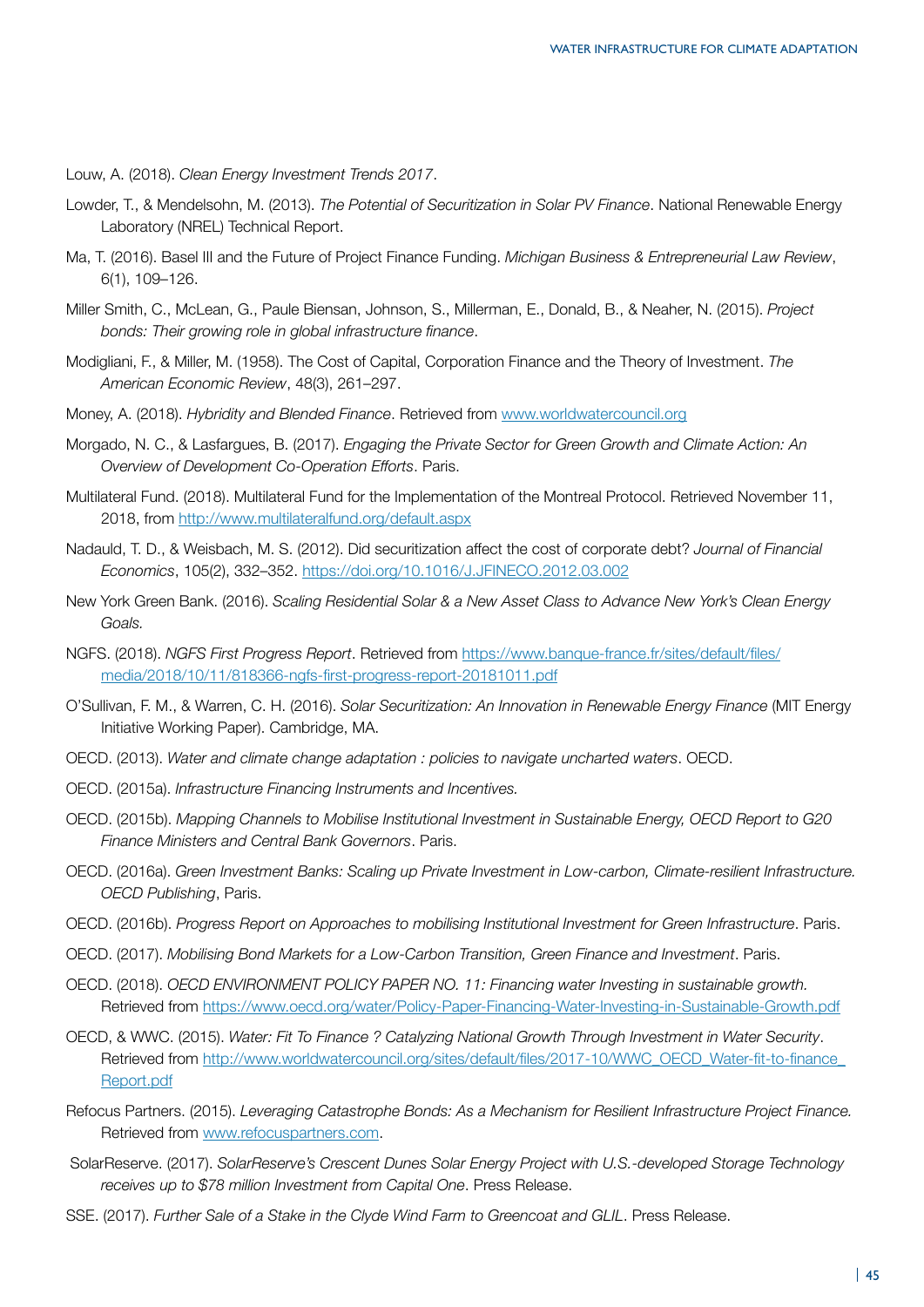Louw, A. (2018). *Clean Energy Investment Trends 2017*.

- Lowder, T., & Mendelsohn, M. (2013). *The Potential of Securitization in Solar PV Finance*. National Renewable Energy Laboratory (NREL) Technical Report.
- Ma, T. (2016). Basel III and the Future of Project Finance Funding. *Michigan Business & Entrepreneurial Law Review*, 6(1), 109–126.
- Miller Smith, C., McLean, G., Paule Biensan, Johnson, S., Millerman, E., Donald, B., & Neaher, N. (2015). *Project bonds: Their growing role in global infrastructure finance*.
- Modigliani, F., & Miller, M. (1958). The Cost of Capital, Corporation Finance and the Theory of Investment. *The American Economic Review*, 48(3), 261–297.
- Money, A. (2018). *Hybridity and Blended Finance*. Retrieved from www.worldwatercouncil.org
- Morgado, N. C., & Lasfargues, B. (2017). *Engaging the Private Sector for Green Growth and Climate Action: An Overview of Development Co-Operation Efforts*. Paris.
- Multilateral Fund. (2018). Multilateral Fund for the Implementation of the Montreal Protocol. Retrieved November 11, 2018, from http://www.multilateralfund.org/default.aspx
- Nadauld, T. D., & Weisbach, M. S. (2012). Did securitization affect the cost of corporate debt? *Journal of Financial Economics*, 105(2), 332–352. https://doi.org/10.1016/J.JFINECO.2012.03.002
- New York Green Bank. (2016). *Scaling Residential Solar & a New Asset Class to Advance New York's Clean Energy Goals.*
- NGFS. (2018). *NGFS First Progress Report*. Retrieved from https://www.banque-france.fr/sites/default/files/ media/2018/10/11/818366-ngfs-first-progress-report-20181011.pdf
- O'Sullivan, F. M., & Warren, C. H. (2016). *Solar Securitization: An Innovation in Renewable Energy Finance* (MIT Energy Initiative Working Paper). Cambridge, MA.
- OECD. (2013). *Water and climate change adaptation : policies to navigate uncharted waters*. OECD.
- OECD. (2015a). *Infrastructure Financing Instruments and Incentives.*
- OECD. (2015b). *Mapping Channels to Mobilise Institutional Investment in Sustainable Energy, OECD Report to G20 Finance Ministers and Central Bank Governors*. Paris.
- OECD. (2016a). *Green Investment Banks: Scaling up Private Investment in Low-carbon, Climate-resilient Infrastructure. OECD Publishing*, Paris.
- OECD. (2016b). *Progress Report on Approaches to mobilising Institutional Investment for Green Infrastructure*. Paris.
- OECD. (2017). *Mobilising Bond Markets for a Low-Carbon Transition, Green Finance and Investment*. Paris.
- OECD. (2018). *OECD ENVIRONMENT POLICY PAPER NO. 11: Financing water Investing in sustainable growth.* Retrieved from https://www.oecd.org/water/Policy-Paper-Financing-Water-Investing-in-Sustainable-Growth.pdf
- OECD, & WWC. (2015). *Water: Fit To Finance ? Catalyzing National Growth Through Investment in Water Security*. Retrieved from http://www.worldwatercouncil.org/sites/default/files/2017-10/WWC\_OECD\_Water-fit-to-finance\_ Report.pdf
- Refocus Partners. (2015). *Leveraging Catastrophe Bonds: As a Mechanism for Resilient Infrastructure Project Finance.* Retrieved from www.refocuspartners.com.
- SolarReserve. (2017). *SolarReserve's Crescent Dunes Solar Energy Project with U.S.-developed Storage Technology receives up to \$78 million Investment from Capital One*. Press Release.
- SSE. (2017). *Further Sale of a Stake in the Clyde Wind Farm to Greencoat and GLIL*. Press Release.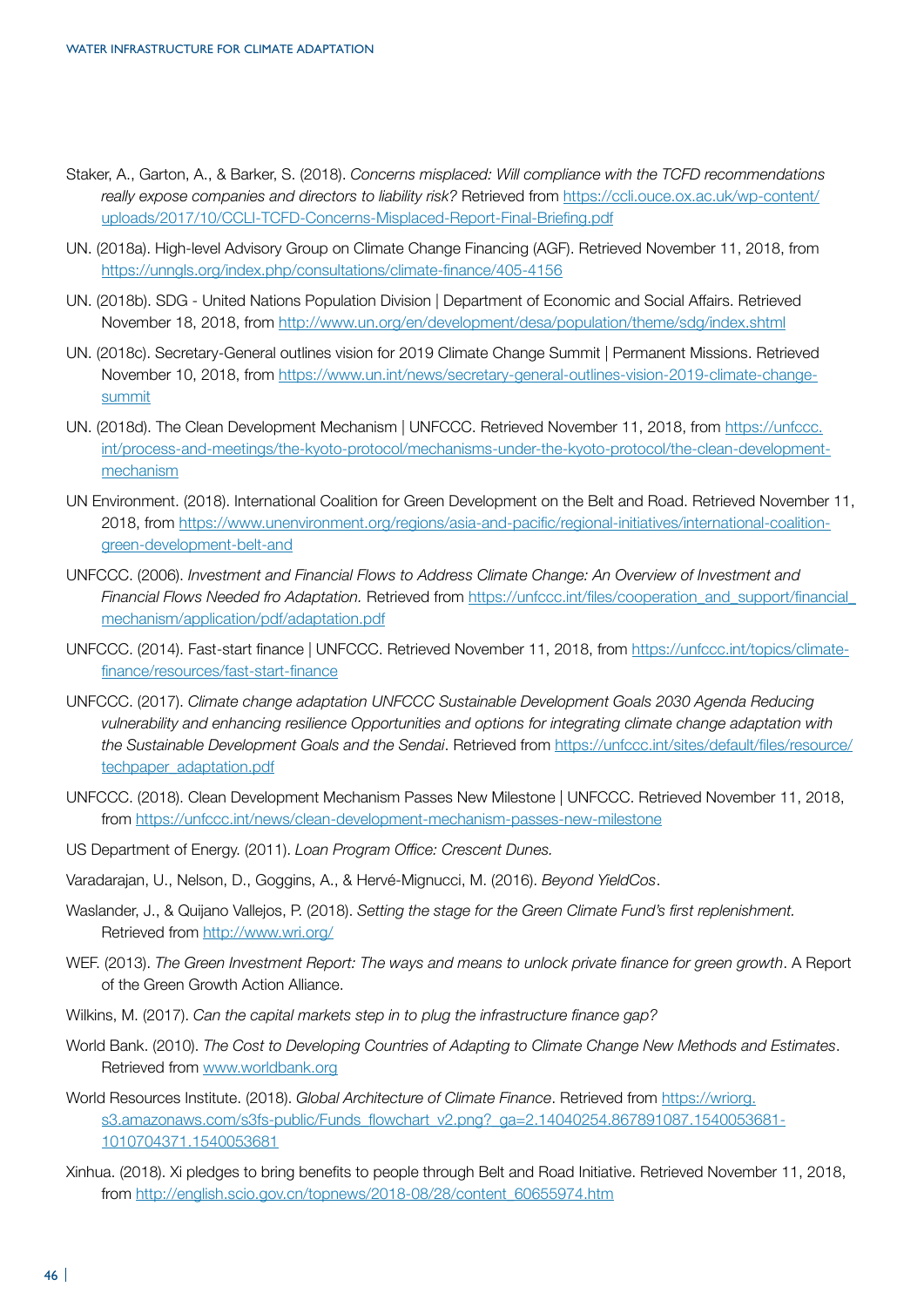- Staker, A., Garton, A., & Barker, S. (2018). *Concerns misplaced: Will compliance with the TCFD recommendations really expose companies and directors to liability risk?* Retrieved from https://ccli.ouce.ox.ac.uk/wp-content/ uploads/2017/10/CCLI-TCFD-Concerns-Misplaced-Report-Final-Briefing.pdf
- UN. (2018a). High-level Advisory Group on Climate Change Financing (AGF). Retrieved November 11, 2018, from https://unngls.org/index.php/consultations/climate-finance/405-4156
- UN. (2018b). SDG United Nations Population Division | Department of Economic and Social Affairs. Retrieved November 18, 2018, from http://www.un.org/en/development/desa/population/theme/sdg/index.shtml
- UN. (2018c). Secretary-General outlines vision for 2019 Climate Change Summit | Permanent Missions. Retrieved November 10, 2018, from https://www.un.int/news/secretary-general-outlines-vision-2019-climate-changesummit
- UN. (2018d). The Clean Development Mechanism | UNFCCC. Retrieved November 11, 2018, from https://unfccc. int/process-and-meetings/the-kyoto-protocol/mechanisms-under-the-kyoto-protocol/the-clean-developmentmechanism
- UN Environment. (2018). International Coalition for Green Development on the Belt and Road. Retrieved November 11, 2018, from https://www.unenvironment.org/regions/asia-and-pacific/regional-initiatives/international-coalitiongreen-development-belt-and
- UNFCCC. (2006). *Investment and Financial Flows to Address Climate Change: An Overview of Investment and*  Financial Flows Needed fro Adaptation. Retrieved from https://unfccc.int/files/cooperation\_and\_support/financial\_ mechanism/application/pdf/adaptation.pdf
- UNFCCC. (2014). Fast-start finance | UNFCCC. Retrieved November 11, 2018, from https://unfccc.int/topics/climatefinance/resources/fast-start-finance
- UNFCCC. (2017). *Climate change adaptation UNFCCC Sustainable Development Goals 2030 Agenda Reducing vulnerability and enhancing resilience Opportunities and options for integrating climate change adaptation with the Sustainable Development Goals and the Sendai*. Retrieved from https://unfccc.int/sites/default/files/resource/ techpaper\_adaptation.pdf
- UNFCCC. (2018). Clean Development Mechanism Passes New Milestone | UNFCCC. Retrieved November 11, 2018, from https://unfccc.int/news/clean-development-mechanism-passes-new-milestone
- US Department of Energy. (2011). *Loan Program Office: Crescent Dunes.*
- Varadarajan, U., Nelson, D., Goggins, A., & Hervé-Mignucci, M. (2016). *Beyond YieldCos*.
- Waslander, J., & Quijano Vallejos, P. (2018). *Setting the stage for the Green Climate Fund's first replenishment.* Retrieved from http://www.wri.org/
- WEF. (2013). *The Green Investment Report: The ways and means to unlock private finance for green growth*. A Report of the Green Growth Action Alliance.
- Wilkins, M. (2017). *Can the capital markets step in to plug the infrastructure finance gap?*
- World Bank. (2010). *The Cost to Developing Countries of Adapting to Climate Change New Methods and Estimates*. Retrieved from www.worldbank.org
- World Resources Institute. (2018). *Global Architecture of Climate Finance*. Retrieved from https://wriorg. s3.amazonaws.com/s3fs-public/Funds\_flowchart\_v2.png?\_ga=2.14040254.867891087.1540053681- 1010704371.1540053681
- Xinhua. (2018). Xi pledges to bring benefits to people through Belt and Road Initiative. Retrieved November 11, 2018, from http://english.scio.gov.cn/topnews/2018-08/28/content\_60655974.htm